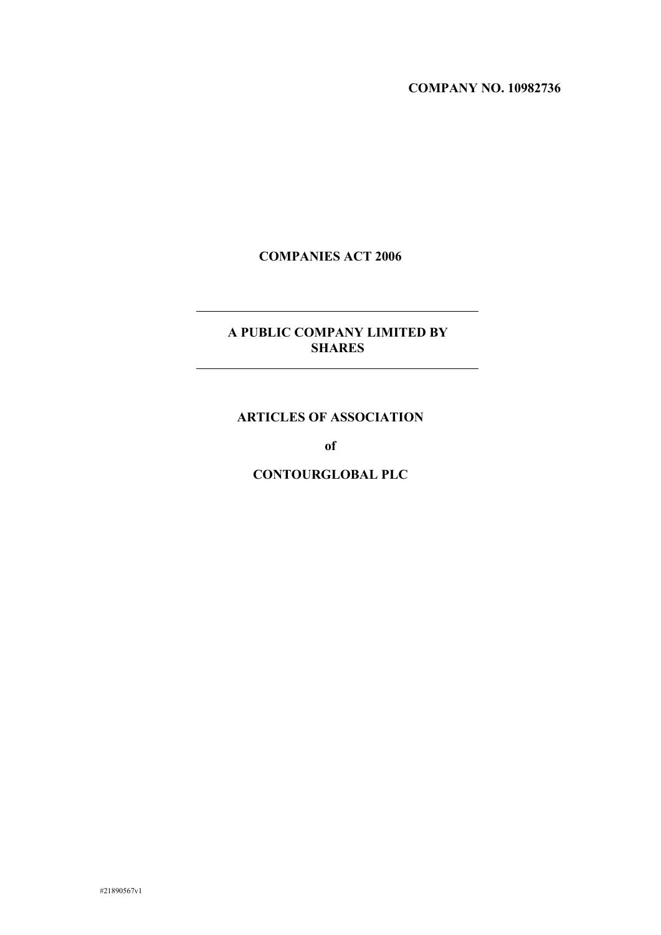#### **COMPANY NO. 10982736**

# **COMPANIES ACT 2006**

# **A PUBLIC COMPANY LIMITED BY SHARES**

# **ARTICLES OF ASSOCIATION**

**of**

**CONTOURGLOBAL PLC**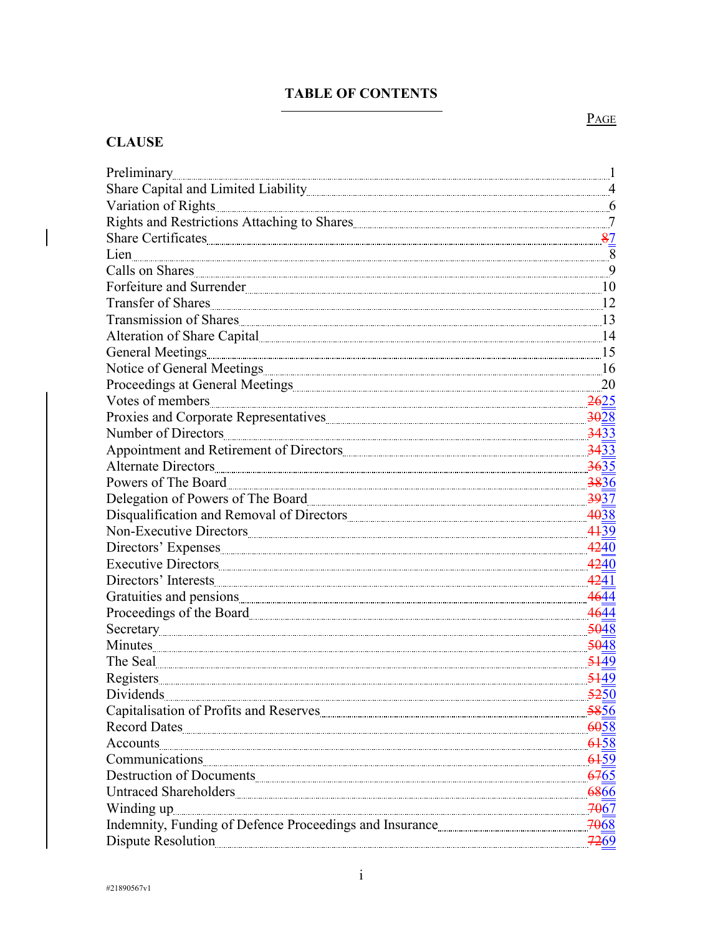# **TABLE OF CONTENTS**

# **CLAUSE**

 $\overline{\mathbf{I}}$ 

|                                                                                                                                                                                                                                                                | $\mathbf{1}$              |
|----------------------------------------------------------------------------------------------------------------------------------------------------------------------------------------------------------------------------------------------------------------|---------------------------|
|                                                                                                                                                                                                                                                                |                           |
| Variation of Rights                                                                                                                                                                                                                                            | $-6$                      |
|                                                                                                                                                                                                                                                                |                           |
| Share Certificates 87                                                                                                                                                                                                                                          |                           |
| Lien                                                                                                                                                                                                                                                           | $\overline{\phantom{0}}8$ |
| Calls on Shares                                                                                                                                                                                                                                                |                           |
|                                                                                                                                                                                                                                                                | 10                        |
| Transfer of Shares                                                                                                                                                                                                                                             |                           |
| Transmission of Shares                                                                                                                                                                                                                                         | 13                        |
| Alteration of Share Capital [1994] [1994] [1995] [1995] [1996] [1996] [1996] [1996] [1996] [1996] [1996] [1996] [1996] [1996] [1996] [1996] [1996] [1996] [1996] [1996] [1996] [1996] [1996] [1996] [1996] [1996] [1996] [1996                                 | 14                        |
| General Meetings 15                                                                                                                                                                                                                                            |                           |
|                                                                                                                                                                                                                                                                | 16                        |
|                                                                                                                                                                                                                                                                |                           |
| Votes of members 2625                                                                                                                                                                                                                                          |                           |
|                                                                                                                                                                                                                                                                | 3028                      |
|                                                                                                                                                                                                                                                                | 3433                      |
|                                                                                                                                                                                                                                                                | <b>3433</b>               |
|                                                                                                                                                                                                                                                                | 3635                      |
| Powers of The Board                                                                                                                                                                                                                                            | 3836                      |
| Delegation of Powers of The Board                                                                                                                                                                                                                              | 3937                      |
|                                                                                                                                                                                                                                                                | 4038                      |
|                                                                                                                                                                                                                                                                | 4439                      |
|                                                                                                                                                                                                                                                                | 4240                      |
|                                                                                                                                                                                                                                                                | 4240                      |
|                                                                                                                                                                                                                                                                | 4241                      |
|                                                                                                                                                                                                                                                                | 4644                      |
|                                                                                                                                                                                                                                                                | 4644                      |
|                                                                                                                                                                                                                                                                | 5048                      |
| Minutes                                                                                                                                                                                                                                                        | 5048                      |
| The Seal                                                                                                                                                                                                                                                       | 5449                      |
|                                                                                                                                                                                                                                                                | 5449                      |
| Dividends                                                                                                                                                                                                                                                      | 5250                      |
|                                                                                                                                                                                                                                                                | 5856                      |
| Record Dates                                                                                                                                                                                                                                                   | 6058                      |
| Accounts                                                                                                                                                                                                                                                       | 6458                      |
|                                                                                                                                                                                                                                                                |                           |
|                                                                                                                                                                                                                                                                | 6765                      |
| Untraced Shareholders                                                                                                                                                                                                                                          | 6866                      |
| Winding up<br><sub>www.</sub> communications.com/winding.up<br><sub>www.</sub> communications.com/winding.up<br>www.communications.com/winding.up<br>www.communications.com/winding.up<br>www.communications.com/winding.up<br>www.communications.com/winding. | 7067                      |
|                                                                                                                                                                                                                                                                | 7068                      |
|                                                                                                                                                                                                                                                                | 7269                      |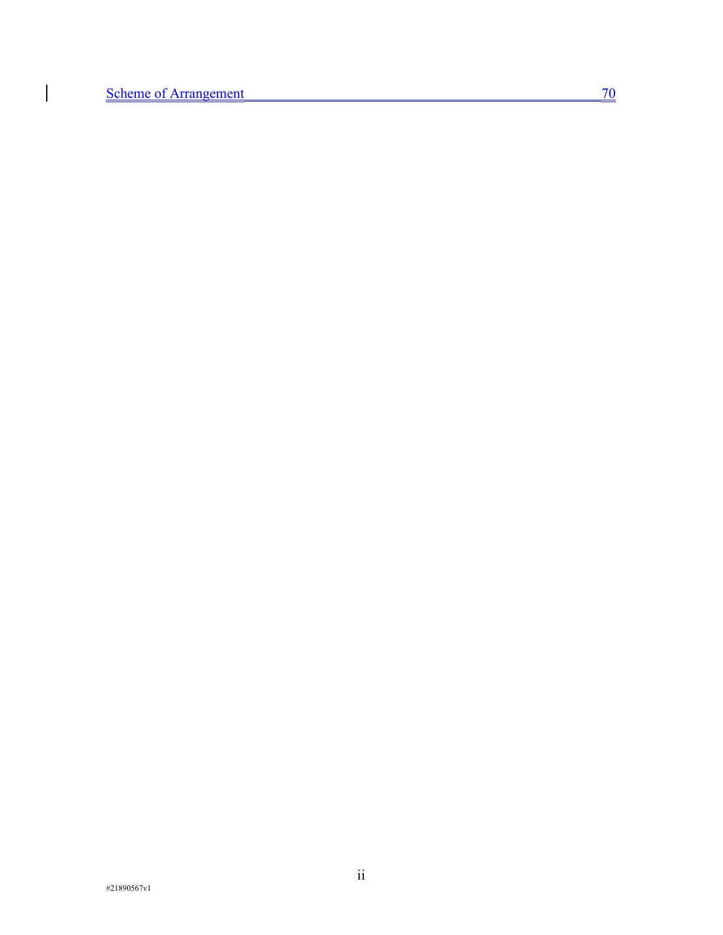$\bigg| \bigg|$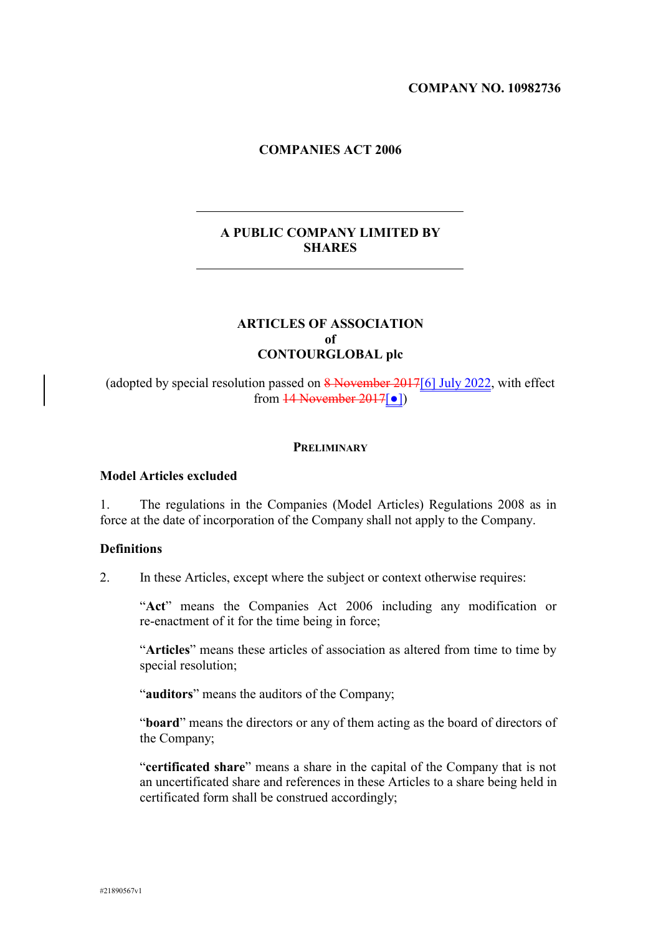#### **COMPANY NO. 10982736**

#### **COMPANIES ACT 2006**

# **A PUBLIC COMPANY LIMITED BY SHARES**

### **ARTICLES OF ASSOCIATION of CONTOURGLOBAL plc**

(adopted by special resolution passed on  $\frac{8 \text{ November } 2017[6]}{3 \text{ July } 2022}$ , with effect from  $14$  November  $2017$ [ $\bullet$ ])

#### **PRELIMINARY**

### **Model Articles excluded**

1. The regulations in the Companies (Model Articles) Regulations 2008 as in force at the date of incorporation of the Company shall not apply to the Company.

#### **Definitions**

2. In these Articles, except where the subject or context otherwise requires:

"**Act**" means the Companies Act 2006 including any modification or re-enactment of it for the time being in force;

"**Articles**" means these articles of association as altered from time to time by special resolution;

"**auditors**" means the auditors of the Company;

"**board**" means the directors or any of them acting as the board of directors of the Company;

"**certificated share**" means a share in the capital of the Company that is not an uncertificated share and references in these Articles to a share being held in certificated form shall be construed accordingly;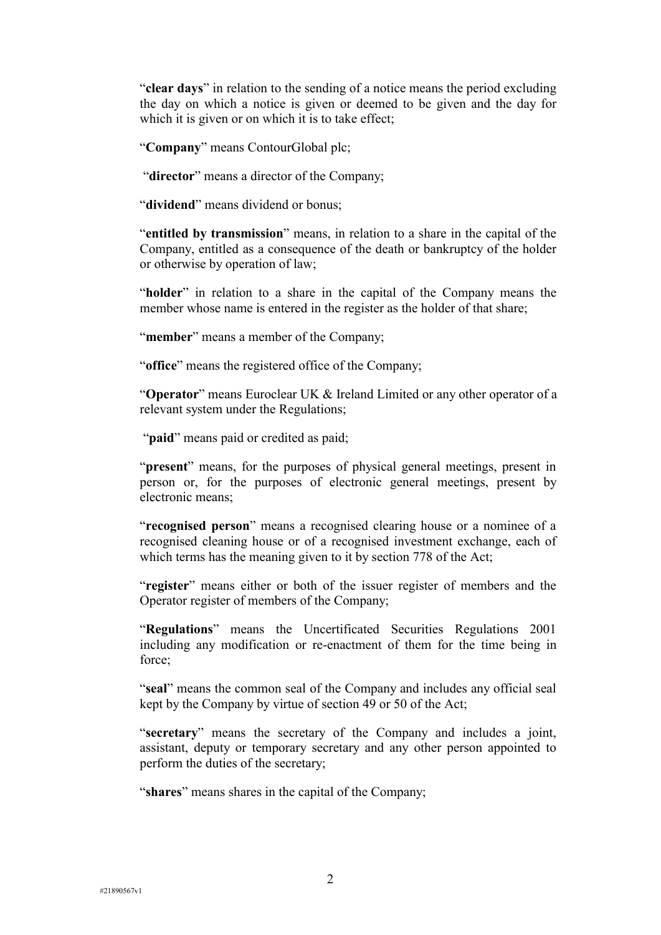"**clear days**" in relation to the sending of a notice means the period excluding the day on which a notice is given or deemed to be given and the day for which it is given or on which it is to take effect;

"**Company**" means ContourGlobal plc;

"**director**" means a director of the Company;

"**dividend**" means dividend or bonus;

"**entitled by transmission**" means, in relation to a share in the capital of the Company, entitled as a consequence of the death or bankruptcy of the holder or otherwise by operation of law;

"**holder**" in relation to a share in the capital of the Company means the member whose name is entered in the register as the holder of that share;

"member" means a member of the Company;

"**office**" means the registered office of the Company;

"**Operator**" means Euroclear UK & Ireland Limited or any other operator of a relevant system under the Regulations;

"**paid**" means paid or credited as paid;

"**present**" means, for the purposes of physical general meetings, present in person or, for the purposes of electronic general meetings, present by electronic means;

"**recognised person**" means a recognised clearing house or a nominee of a recognised cleaning house or of a recognised investment exchange, each of which terms has the meaning given to it by section 778 of the Act;

"**register**" means either or both of the issuer register of members and the Operator register of members of the Company;

"**Regulations**" means the Uncertificated Securities Regulations 2001 including any modification or re-enactment of them for the time being in force;

"**seal**" means the common seal of the Company and includes any official seal kept by the Company by virtue of section 49 or 50 of the Act;

"**secretary**" means the secretary of the Company and includes a joint, assistant, deputy or temporary secretary and any other person appointed to perform the duties of the secretary;

"**shares**" means shares in the capital of the Company;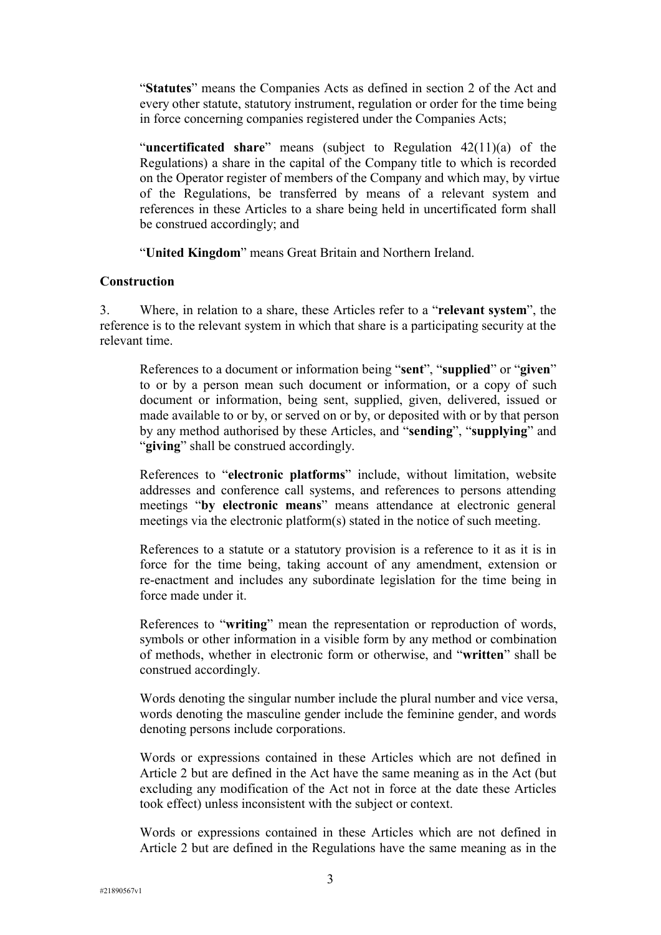"**Statutes**" means the Companies Acts as defined in section 2 of the Act and every other statute, statutory instrument, regulation or order for the time being in force concerning companies registered under the Companies Acts;

"**uncertificated share**" means (subject to Regulation 42(11)(a) of the Regulations) a share in the capital of the Company title to which is recorded on the Operator register of members of the Company and which may, by virtue of the Regulations, be transferred by means of a relevant system and references in these Articles to a share being held in uncertificated form shall be construed accordingly; and

"**United Kingdom**" means Great Britain and Northern Ireland.

#### **Construction**

3. Where, in relation to a share, these Articles refer to a "**relevant system**", the reference is to the relevant system in which that share is a participating security at the relevant time.

References to a document or information being "**sent**", "**supplied**" or "**given**" to or by a person mean such document or information, or a copy of such document or information, being sent, supplied, given, delivered, issued or made available to or by, or served on or by, or deposited with or by that person by any method authorised by these Articles, and "**sending**", "**supplying**" and "**giving**" shall be construed accordingly.

References to "**electronic platforms**" include, without limitation, website addresses and conference call systems, and references to persons attending meetings "**by electronic means**" means attendance at electronic general meetings via the electronic platform(s) stated in the notice of such meeting.

References to a statute or a statutory provision is a reference to it as it is in force for the time being, taking account of any amendment, extension or re-enactment and includes any subordinate legislation for the time being in force made under it.

References to "**writing**" mean the representation or reproduction of words, symbols or other information in a visible form by any method or combination of methods, whether in electronic form or otherwise, and "**written**" shall be construed accordingly.

Words denoting the singular number include the plural number and vice versa, words denoting the masculine gender include the feminine gender, and words denoting persons include corporations.

Words or expressions contained in these Articles which are not defined in Article 2 but are defined in the Act have the same meaning as in the Act (but excluding any modification of the Act not in force at the date these Articles took effect) unless inconsistent with the subject or context.

Words or expressions contained in these Articles which are not defined in Article 2 but are defined in the Regulations have the same meaning as in the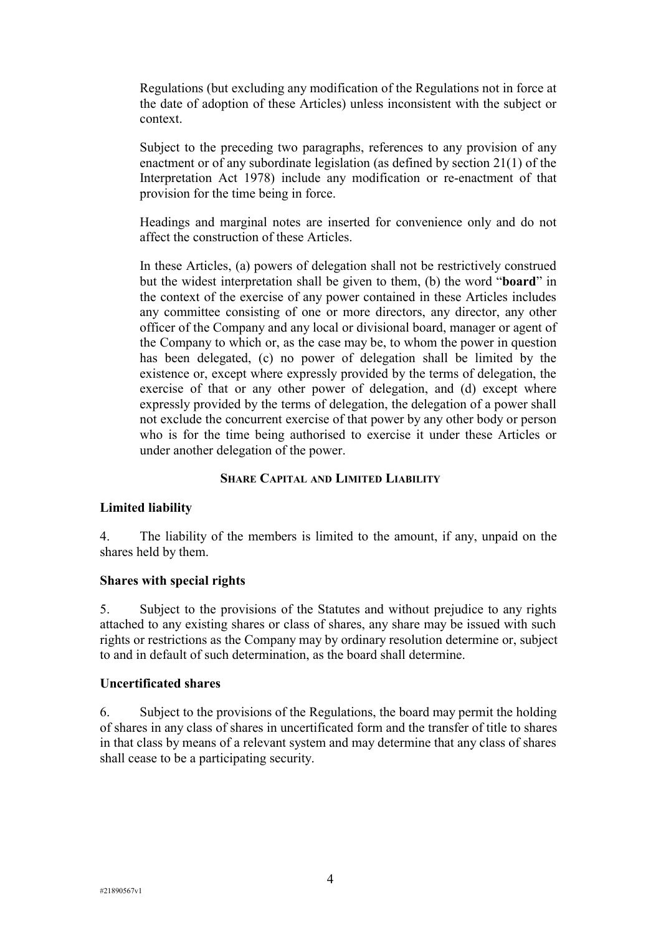Regulations (but excluding any modification of the Regulations not in force at the date of adoption of these Articles) unless inconsistent with the subject or context.

Subject to the preceding two paragraphs, references to any provision of any enactment or of any subordinate legislation (as defined by section 21(1) of the Interpretation Act 1978) include any modification or re-enactment of that provision for the time being in force.

Headings and marginal notes are inserted for convenience only and do not affect the construction of these Articles.

In these Articles, (a) powers of delegation shall not be restrictively construed but the widest interpretation shall be given to them, (b) the word "**board**" in the context of the exercise of any power contained in these Articles includes any committee consisting of one or more directors, any director, any other officer of the Company and any local or divisional board, manager or agent of the Company to which or, as the case may be, to whom the power in question has been delegated, (c) no power of delegation shall be limited by the existence or, except where expressly provided by the terms of delegation, the exercise of that or any other power of delegation, and (d) except where expressly provided by the terms of delegation, the delegation of a power shall not exclude the concurrent exercise of that power by any other body or person who is for the time being authorised to exercise it under these Articles or under another delegation of the power.

### **SHARE CAPITAL AND LIMITED LIABILITY**

#### **Limited liability**

4. The liability of the members is limited to the amount, if any, unpaid on the shares held by them.

#### **Shares with special rights**

5. Subject to the provisions of the Statutes and without prejudice to any rights attached to any existing shares or class of shares, any share may be issued with such rights or restrictions as the Company may by ordinary resolution determine or, subject to and in default of such determination, as the board shall determine.

#### **Uncertificated shares**

6. Subject to the provisions of the Regulations, the board may permit the holding of shares in any class of shares in uncertificated form and the transfer of title to shares in that class by means of a relevant system and may determine that any class of shares shall cease to be a participating security.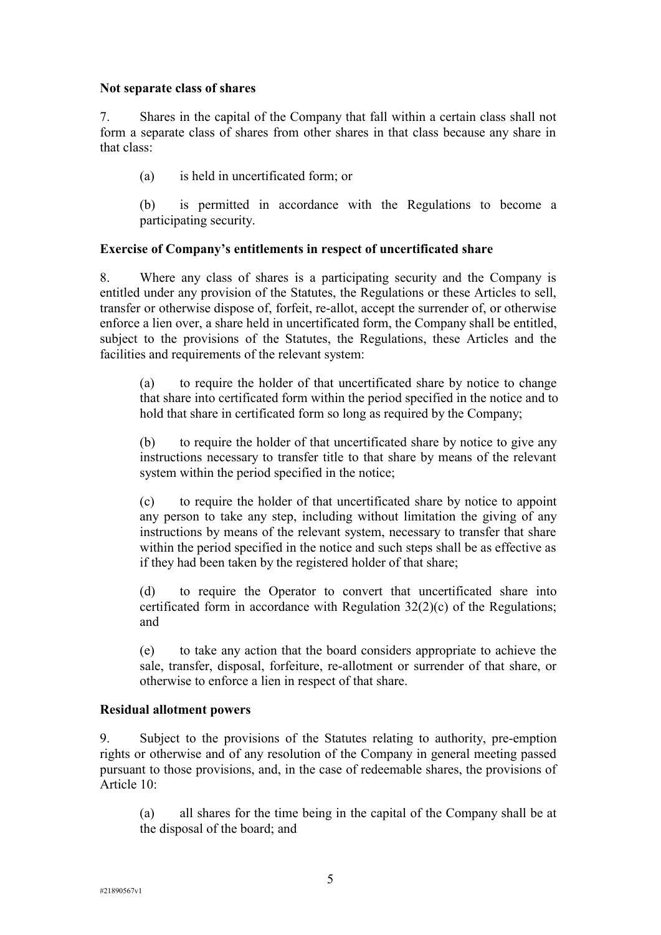#### **Not separate class of shares**

7. Shares in the capital of the Company that fall within a certain class shall not form a separate class of shares from other shares in that class because any share in that class:

(a) is held in uncertificated form; or

(b) is permitted in accordance with the Regulations to become a participating security.

# **Exercise of Company's entitlements in respect of uncertificated share**

8. Where any class of shares is a participating security and the Company is entitled under any provision of the Statutes, the Regulations or these Articles to sell, transfer or otherwise dispose of, forfeit, re-allot, accept the surrender of, or otherwise enforce a lien over, a share held in uncertificated form, the Company shall be entitled, subject to the provisions of the Statutes, the Regulations, these Articles and the facilities and requirements of the relevant system:

(a) to require the holder of that uncertificated share by notice to change that share into certificated form within the period specified in the notice and to hold that share in certificated form so long as required by the Company;

(b) to require the holder of that uncertificated share by notice to give any instructions necessary to transfer title to that share by means of the relevant system within the period specified in the notice;

(c) to require the holder of that uncertificated share by notice to appoint any person to take any step, including without limitation the giving of any instructions by means of the relevant system, necessary to transfer that share within the period specified in the notice and such steps shall be as effective as if they had been taken by the registered holder of that share;

(d) to require the Operator to convert that uncertificated share into certificated form in accordance with Regulation 32(2)(c) of the Regulations; and

(e) to take any action that the board considers appropriate to achieve the sale, transfer, disposal, forfeiture, re-allotment or surrender of that share, or otherwise to enforce a lien in respect of that share.

### **Residual allotment powers**

9. Subject to the provisions of the Statutes relating to authority, pre-emption rights or otherwise and of any resolution of the Company in general meeting passed pursuant to those provisions, and, in the case of redeemable shares, the provisions of Article 10:

(a) all shares for the time being in the capital of the Company shall be at the disposal of the board; and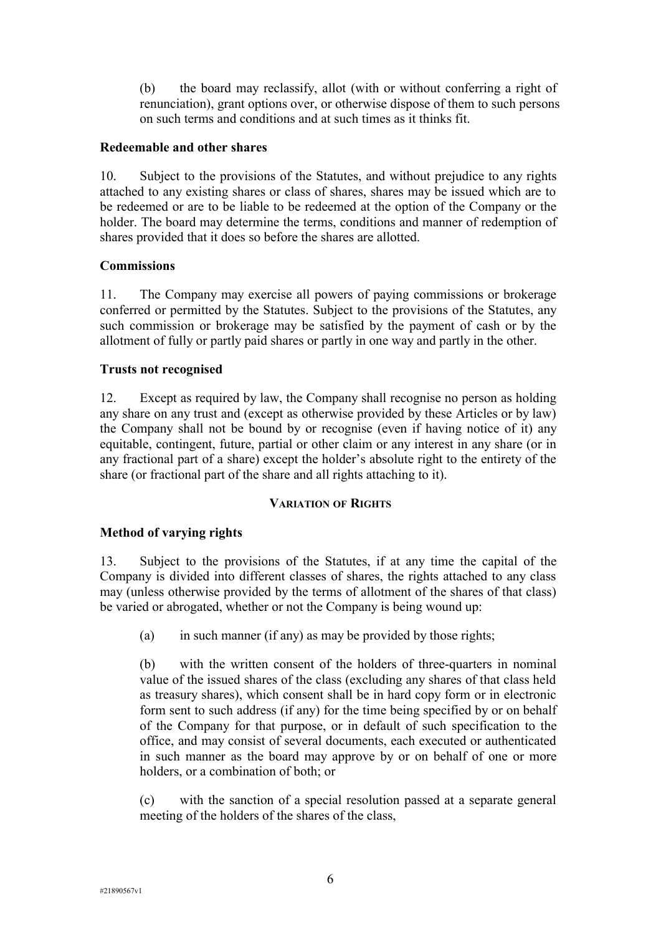(b) the board may reclassify, allot (with or without conferring a right of renunciation), grant options over, or otherwise dispose of them to such persons on such terms and conditions and at such times as it thinks fit.

#### **Redeemable and other shares**

10. Subject to the provisions of the Statutes, and without prejudice to any rights attached to any existing shares or class of shares, shares may be issued which are to be redeemed or are to be liable to be redeemed at the option of the Company or the holder. The board may determine the terms, conditions and manner of redemption of shares provided that it does so before the shares are allotted.

### **Commissions**

11. The Company may exercise all powers of paying commissions or brokerage conferred or permitted by the Statutes. Subject to the provisions of the Statutes, any such commission or brokerage may be satisfied by the payment of cash or by the allotment of fully or partly paid shares or partly in one way and partly in the other.

### **Trusts not recognised**

12. Except as required by law, the Company shall recognise no person as holding any share on any trust and (except as otherwise provided by these Articles or by law) the Company shall not be bound by or recognise (even if having notice of it) any equitable, contingent, future, partial or other claim or any interest in any share (or in any fractional part of a share) except the holder's absolute right to the entirety of the share (or fractional part of the share and all rights attaching to it).

### **VARIATION OF RIGHTS**

### **Method of varying rights**

13. Subject to the provisions of the Statutes, if at any time the capital of the Company is divided into different classes of shares, the rights attached to any class may (unless otherwise provided by the terms of allotment of the shares of that class) be varied or abrogated, whether or not the Company is being wound up:

(a) in such manner (if any) as may be provided by those rights;

(b) with the written consent of the holders of three-quarters in nominal value of the issued shares of the class (excluding any shares of that class held as treasury shares), which consent shall be in hard copy form or in electronic form sent to such address (if any) for the time being specified by or on behalf of the Company for that purpose, or in default of such specification to the office, and may consist of several documents, each executed or authenticated in such manner as the board may approve by or on behalf of one or more holders, or a combination of both; or

(c) with the sanction of a special resolution passed at a separate general meeting of the holders of the shares of the class,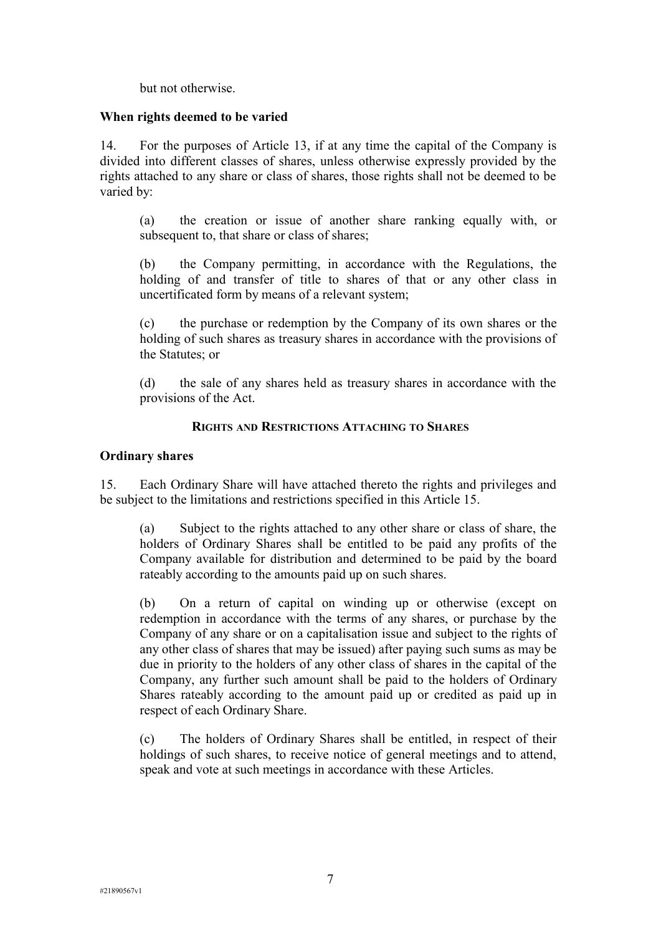but not otherwise.

## **When rights deemed to be varied**

14. For the purposes of Article 13, if at any time the capital of the Company is divided into different classes of shares, unless otherwise expressly provided by the rights attached to any share or class of shares, those rights shall not be deemed to be varied by:

(a) the creation or issue of another share ranking equally with, or subsequent to, that share or class of shares;

(b) the Company permitting, in accordance with the Regulations, the holding of and transfer of title to shares of that or any other class in uncertificated form by means of a relevant system;

(c) the purchase or redemption by the Company of its own shares or the holding of such shares as treasury shares in accordance with the provisions of the Statutes; or

(d) the sale of any shares held as treasury shares in accordance with the provisions of the Act.

### **RIGHTS AND RESTRICTIONS ATTACHING TO SHARES**

### **Ordinary shares**

15. Each Ordinary Share will have attached thereto the rights and privileges and be subject to the limitations and restrictions specified in this Article 15.

(a) Subject to the rights attached to any other share or class of share, the holders of Ordinary Shares shall be entitled to be paid any profits of the Company available for distribution and determined to be paid by the board rateably according to the amounts paid up on such shares.

(b) On a return of capital on winding up or otherwise (except on redemption in accordance with the terms of any shares, or purchase by the Company of any share or on a capitalisation issue and subject to the rights of any other class of shares that may be issued) after paying such sums as may be due in priority to the holders of any other class of shares in the capital of the Company, any further such amount shall be paid to the holders of Ordinary Shares rateably according to the amount paid up or credited as paid up in respect of each Ordinary Share.

(c) The holders of Ordinary Shares shall be entitled, in respect of their holdings of such shares, to receive notice of general meetings and to attend, speak and vote at such meetings in accordance with these Articles.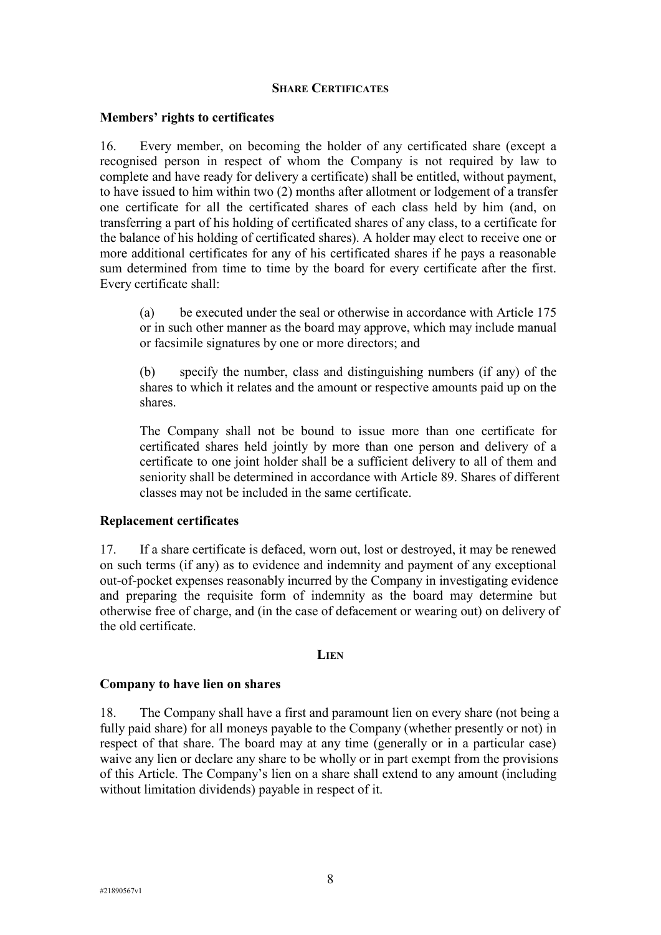#### **SHARE CERTIFICATES**

#### **Members' rights to certificates**

16. Every member, on becoming the holder of any certificated share (except a recognised person in respect of whom the Company is not required by law to complete and have ready for delivery a certificate) shall be entitled, without payment, to have issued to him within two (2) months after allotment or lodgement of a transfer one certificate for all the certificated shares of each class held by him (and, on transferring a part of his holding of certificated shares of any class, to a certificate for the balance of his holding of certificated shares). A holder may elect to receive one or more additional certificates for any of his certificated shares if he pays a reasonable sum determined from time to time by the board for every certificate after the first. Every certificate shall:

(a) be executed under the seal or otherwise in accordance with Article 175 or in such other manner as the board may approve, which may include manual or facsimile signatures by one or more directors; and

(b) specify the number, class and distinguishing numbers (if any) of the shares to which it relates and the amount or respective amounts paid up on the shares.

The Company shall not be bound to issue more than one certificate for certificated shares held jointly by more than one person and delivery of a certificate to one joint holder shall be a sufficient delivery to all of them and seniority shall be determined in accordance with Article 89. Shares of different classes may not be included in the same certificate.

### **Replacement certificates**

17. If a share certificate is defaced, worn out, lost or destroyed, it may be renewed on such terms (if any) as to evidence and indemnity and payment of any exceptional out-of-pocket expenses reasonably incurred by the Company in investigating evidence and preparing the requisite form of indemnity as the board may determine but otherwise free of charge, and (in the case of defacement or wearing out) on delivery of the old certificate.

#### **LIEN**

### **Company to have lien on shares**

18. The Company shall have a first and paramount lien on every share (not being a fully paid share) for all moneys payable to the Company (whether presently or not) in respect of that share. The board may at any time (generally or in a particular case) waive any lien or declare any share to be wholly or in part exempt from the provisions of this Article. The Company's lien on a share shall extend to any amount (including without limitation dividends) payable in respect of it.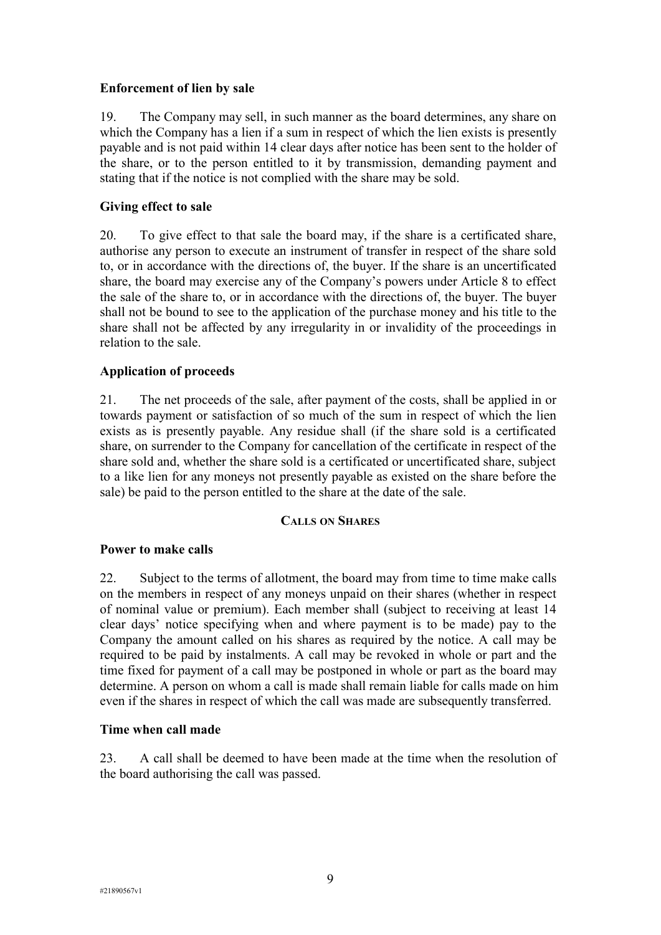# **Enforcement of lien by sale**

19. The Company may sell, in such manner as the board determines, any share on which the Company has a lien if a sum in respect of which the lien exists is presently payable and is not paid within 14 clear days after notice has been sent to the holder of the share, or to the person entitled to it by transmission, demanding payment and stating that if the notice is not complied with the share may be sold.

# **Giving effect to sale**

20. To give effect to that sale the board may, if the share is a certificated share, authorise any person to execute an instrument of transfer in respect of the share sold to, or in accordance with the directions of, the buyer. If the share is an uncertificated share, the board may exercise any of the Company's powers under Article 8 to effect the sale of the share to, or in accordance with the directions of, the buyer. The buyer shall not be bound to see to the application of the purchase money and his title to the share shall not be affected by any irregularity in or invalidity of the proceedings in relation to the sale.

# **Application of proceeds**

21. The net proceeds of the sale, after payment of the costs, shall be applied in or towards payment or satisfaction of so much of the sum in respect of which the lien exists as is presently payable. Any residue shall (if the share sold is a certificated share, on surrender to the Company for cancellation of the certificate in respect of the share sold and, whether the share sold is a certificated or uncertificated share, subject to a like lien for any moneys not presently payable as existed on the share before the sale) be paid to the person entitled to the share at the date of the sale.

# **CALLS ON SHARES**

# **Power to make calls**

22. Subject to the terms of allotment, the board may from time to time make calls on the members in respect of any moneys unpaid on their shares (whether in respect of nominal value or premium). Each member shall (subject to receiving at least 14 clear days' notice specifying when and where payment is to be made) pay to the Company the amount called on his shares as required by the notice. A call may be required to be paid by instalments. A call may be revoked in whole or part and the time fixed for payment of a call may be postponed in whole or part as the board may determine. A person on whom a call is made shall remain liable for calls made on him even if the shares in respect of which the call was made are subsequently transferred.

# **Time when call made**

23. A call shall be deemed to have been made at the time when the resolution of the board authorising the call was passed.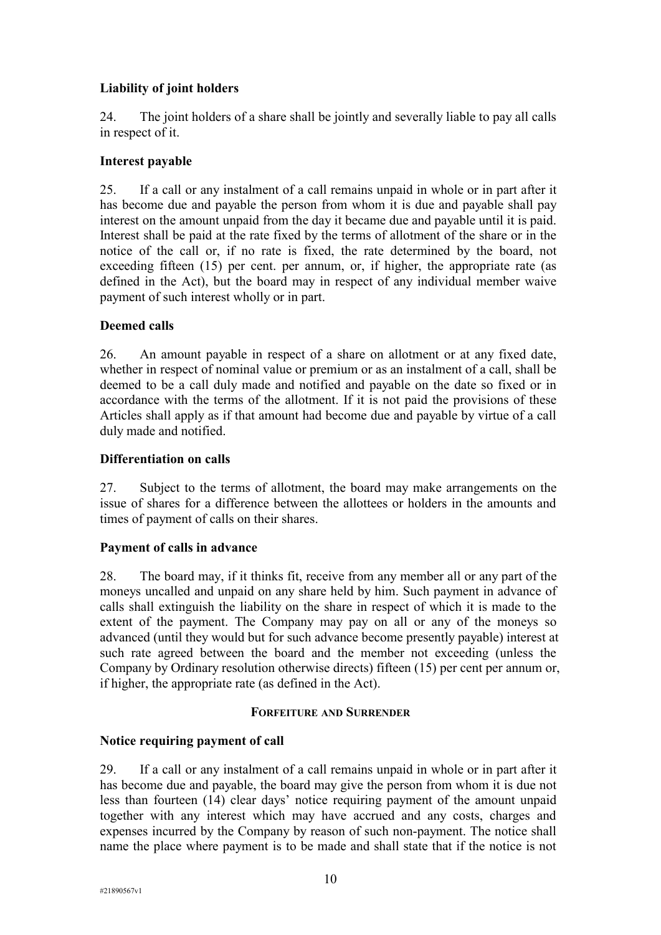# **Liability of joint holders**

24. The joint holders of a share shall be jointly and severally liable to pay all calls in respect of it.

# **Interest payable**

25. If a call or any instalment of a call remains unpaid in whole or in part after it has become due and payable the person from whom it is due and payable shall pay interest on the amount unpaid from the day it became due and payable until it is paid. Interest shall be paid at the rate fixed by the terms of allotment of the share or in the notice of the call or, if no rate is fixed, the rate determined by the board, not exceeding fifteen (15) per cent. per annum, or, if higher, the appropriate rate (as defined in the Act), but the board may in respect of any individual member waive payment of such interest wholly or in part.

# **Deemed calls**

26. An amount payable in respect of a share on allotment or at any fixed date, whether in respect of nominal value or premium or as an instalment of a call, shall be deemed to be a call duly made and notified and payable on the date so fixed or in accordance with the terms of the allotment. If it is not paid the provisions of these Articles shall apply as if that amount had become due and payable by virtue of a call duly made and notified.

# **Differentiation on calls**

27. Subject to the terms of allotment, the board may make arrangements on the issue of shares for a difference between the allottees or holders in the amounts and times of payment of calls on their shares.

### **Payment of calls in advance**

28. The board may, if it thinks fit, receive from any member all or any part of the moneys uncalled and unpaid on any share held by him. Such payment in advance of calls shall extinguish the liability on the share in respect of which it is made to the extent of the payment. The Company may pay on all or any of the moneys so advanced (until they would but for such advance become presently payable) interest at such rate agreed between the board and the member not exceeding (unless the Company by Ordinary resolution otherwise directs) fifteen (15) per cent per annum or, if higher, the appropriate rate (as defined in the Act).

### **FORFEITURE AND SURRENDER**

### **Notice requiring payment of call**

29. If a call or any instalment of a call remains unpaid in whole or in part after it has become due and payable, the board may give the person from whom it is due not less than fourteen (14) clear days' notice requiring payment of the amount unpaid together with any interest which may have accrued and any costs, charges and expenses incurred by the Company by reason of such non-payment. The notice shall name the place where payment is to be made and shall state that if the notice is not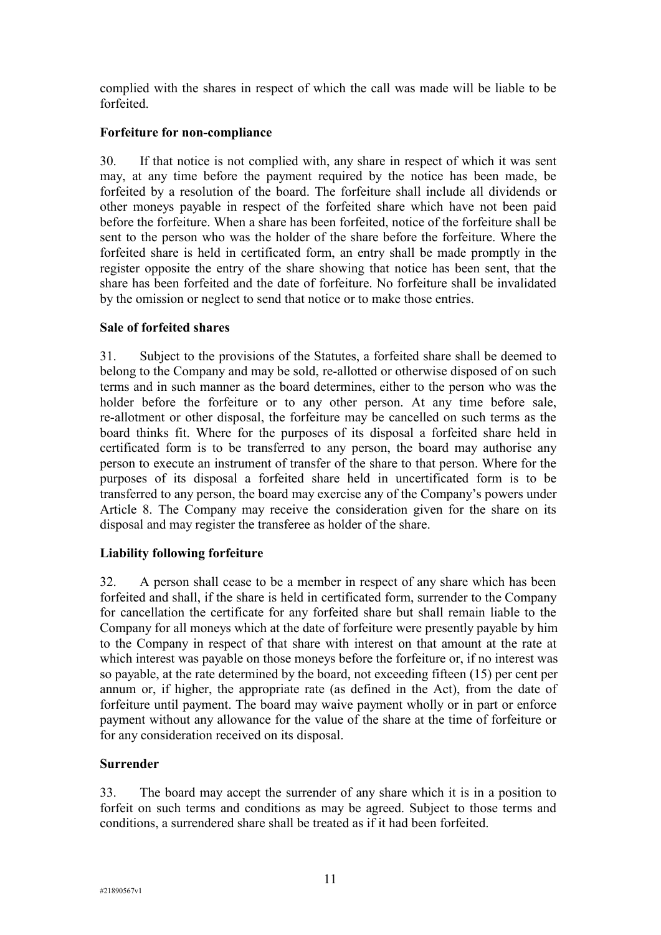complied with the shares in respect of which the call was made will be liable to be forfeited.

# **Forfeiture for non-compliance**

30. If that notice is not complied with, any share in respect of which it was sent may, at any time before the payment required by the notice has been made, be forfeited by a resolution of the board. The forfeiture shall include all dividends or other moneys payable in respect of the forfeited share which have not been paid before the forfeiture. When a share has been forfeited, notice of the forfeiture shall be sent to the person who was the holder of the share before the forfeiture. Where the forfeited share is held in certificated form, an entry shall be made promptly in the register opposite the entry of the share showing that notice has been sent, that the share has been forfeited and the date of forfeiture. No forfeiture shall be invalidated by the omission or neglect to send that notice or to make those entries.

# **Sale of forfeited shares**

31. Subject to the provisions of the Statutes, a forfeited share shall be deemed to belong to the Company and may be sold, re-allotted or otherwise disposed of on such terms and in such manner as the board determines, either to the person who was the holder before the forfeiture or to any other person. At any time before sale, re-allotment or other disposal, the forfeiture may be cancelled on such terms as the board thinks fit. Where for the purposes of its disposal a forfeited share held in certificated form is to be transferred to any person, the board may authorise any person to execute an instrument of transfer of the share to that person. Where for the purposes of its disposal a forfeited share held in uncertificated form is to be transferred to any person, the board may exercise any of the Company's powers under Article 8. The Company may receive the consideration given for the share on its disposal and may register the transferee as holder of the share.

### **Liability following forfeiture**

32. A person shall cease to be a member in respect of any share which has been forfeited and shall, if the share is held in certificated form, surrender to the Company for cancellation the certificate for any forfeited share but shall remain liable to the Company for all moneys which at the date of forfeiture were presently payable by him to the Company in respect of that share with interest on that amount at the rate at which interest was payable on those moneys before the forfeiture or, if no interest was so payable, at the rate determined by the board, not exceeding fifteen (15) per cent per annum or, if higher, the appropriate rate (as defined in the Act), from the date of forfeiture until payment. The board may waive payment wholly or in part or enforce payment without any allowance for the value of the share at the time of forfeiture or for any consideration received on its disposal.

### **Surrender**

33. The board may accept the surrender of any share which it is in a position to forfeit on such terms and conditions as may be agreed. Subject to those terms and conditions, a surrendered share shall be treated as if it had been forfeited.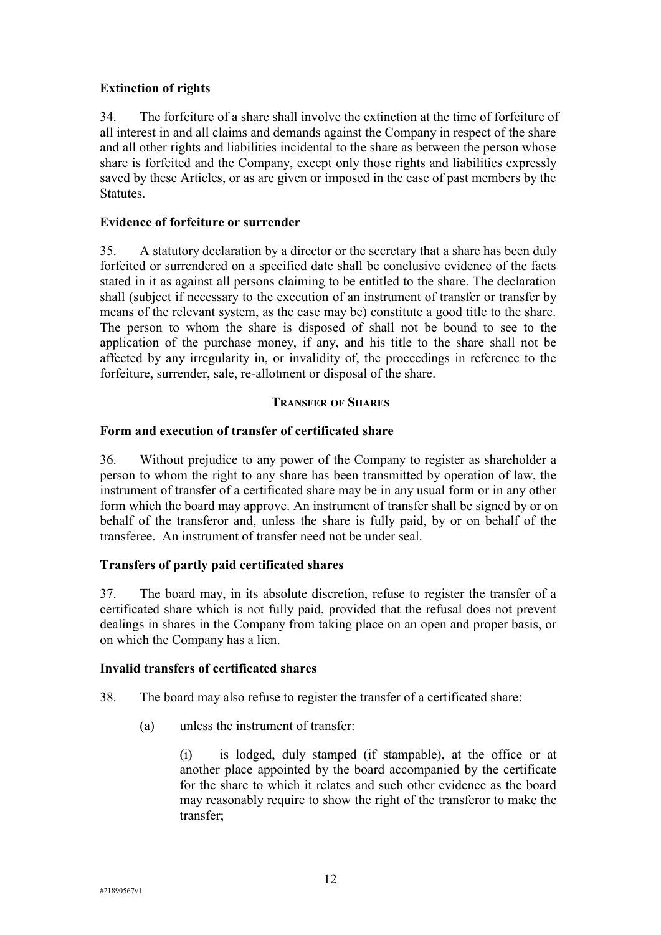# **Extinction of rights**

34. The forfeiture of a share shall involve the extinction at the time of forfeiture of all interest in and all claims and demands against the Company in respect of the share and all other rights and liabilities incidental to the share as between the person whose share is forfeited and the Company, except only those rights and liabilities expressly saved by these Articles, or as are given or imposed in the case of past members by the Statutes.

# **Evidence of forfeiture or surrender**

35. A statutory declaration by a director or the secretary that a share has been duly forfeited or surrendered on a specified date shall be conclusive evidence of the facts stated in it as against all persons claiming to be entitled to the share. The declaration shall (subject if necessary to the execution of an instrument of transfer or transfer by means of the relevant system, as the case may be) constitute a good title to the share. The person to whom the share is disposed of shall not be bound to see to the application of the purchase money, if any, and his title to the share shall not be affected by any irregularity in, or invalidity of, the proceedings in reference to the forfeiture, surrender, sale, re-allotment or disposal of the share.

# **TRANSFER OF SHARES**

# **Form and execution of transfer of certificated share**

36. Without prejudice to any power of the Company to register as shareholder a person to whom the right to any share has been transmitted by operation of law, the instrument of transfer of a certificated share may be in any usual form or in any other form which the board may approve. An instrument of transfer shall be signed by or on behalf of the transferor and, unless the share is fully paid, by or on behalf of the transferee. An instrument of transfer need not be under seal.

# **Transfers of partly paid certificated shares**

37. The board may, in its absolute discretion, refuse to register the transfer of a certificated share which is not fully paid, provided that the refusal does not prevent dealings in shares in the Company from taking place on an open and proper basis, or on which the Company has a lien.

# **Invalid transfers of certificated shares**

- 38. The board may also refuse to register the transfer of a certificated share:
	- (a) unless the instrument of transfer:

(i) is lodged, duly stamped (if stampable), at the office or at another place appointed by the board accompanied by the certificate for the share to which it relates and such other evidence as the board may reasonably require to show the right of the transferor to make the transfer;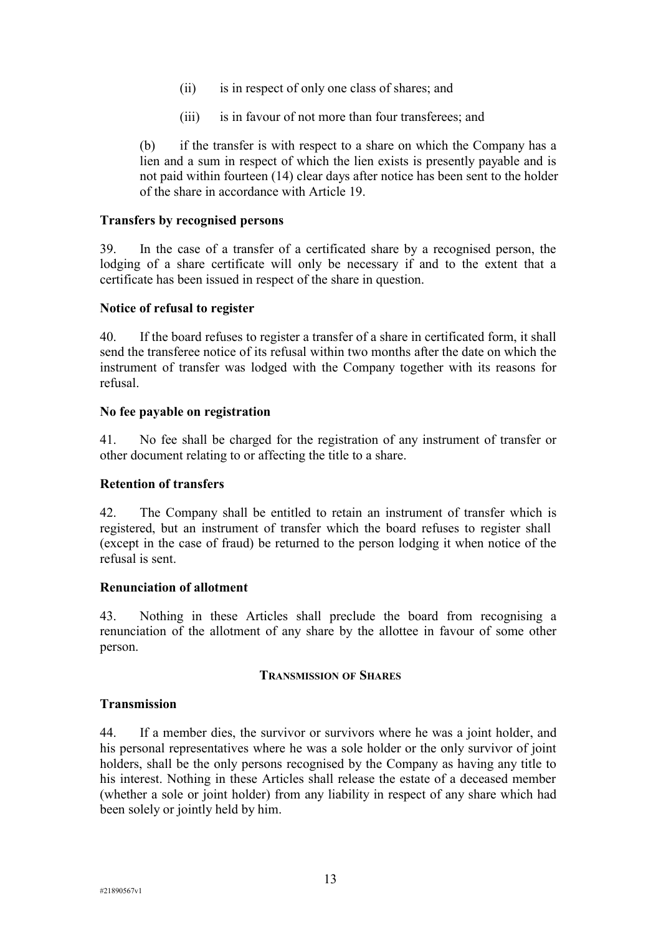- (ii) is in respect of only one class of shares; and
- (iii) is in favour of not more than four transferees; and

(b) if the transfer is with respect to a share on which the Company has a lien and a sum in respect of which the lien exists is presently payable and is not paid within fourteen (14) clear days after notice has been sent to the holder of the share in accordance with Article 19.

## **Transfers by recognised persons**

39. In the case of a transfer of a certificated share by a recognised person, the lodging of a share certificate will only be necessary if and to the extent that a certificate has been issued in respect of the share in question.

### **Notice of refusal to register**

40. If the board refuses to register a transfer of a share in certificated form, it shall send the transferee notice of its refusal within two months after the date on which the instrument of transfer was lodged with the Company together with its reasons for refusal.

### **No fee payable on registration**

41. No fee shall be charged for the registration of any instrument of transfer or other document relating to or affecting the title to a share.

### **Retention of transfers**

42. The Company shall be entitled to retain an instrument of transfer which is registered, but an instrument of transfer which the board refuses to register shall (except in the case of fraud) be returned to the person lodging it when notice of the refusal is sent.

### **Renunciation of allotment**

43. Nothing in these Articles shall preclude the board from recognising a renunciation of the allotment of any share by the allottee in favour of some other person.

### **TRANSMISSION OF SHARES**

### **Transmission**

44. If a member dies, the survivor or survivors where he was a joint holder, and his personal representatives where he was a sole holder or the only survivor of joint holders, shall be the only persons recognised by the Company as having any title to his interest. Nothing in these Articles shall release the estate of a deceased member (whether a sole or joint holder) from any liability in respect of any share which had been solely or jointly held by him.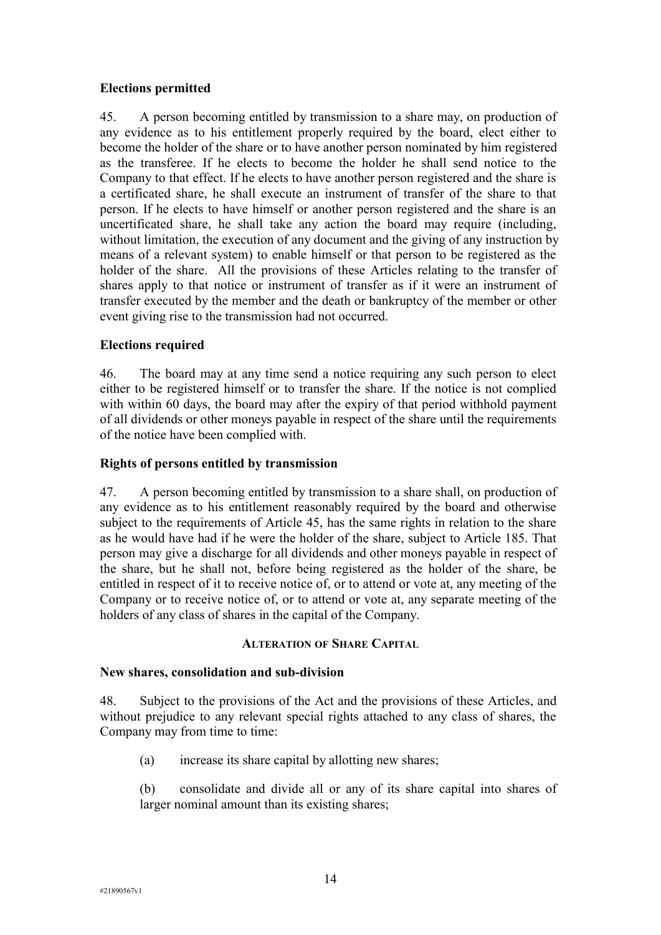# **Elections permitted**

45. A person becoming entitled by transmission to a share may, on production of any evidence as to his entitlement properly required by the board, elect either to become the holder of the share or to have another person nominated by him registered as the transferee. If he elects to become the holder he shall send notice to the Company to that effect. If he elects to have another person registered and the share is a certificated share, he shall execute an instrument of transfer of the share to that person. If he elects to have himself or another person registered and the share is an uncertificated share, he shall take any action the board may require (including, without limitation, the execution of any document and the giving of any instruction by means of a relevant system) to enable himself or that person to be registered as the holder of the share. All the provisions of these Articles relating to the transfer of shares apply to that notice or instrument of transfer as if it were an instrument of transfer executed by the member and the death or bankruptcy of the member or other event giving rise to the transmission had not occurred.

# **Elections required**

46. The board may at any time send a notice requiring any such person to elect either to be registered himself or to transfer the share. If the notice is not complied with within 60 days, the board may after the expiry of that period withhold payment of all dividends or other moneys payable in respect of the share until the requirements of the notice have been complied with.

# **Rights of persons entitled by transmission**

47. A person becoming entitled by transmission to a share shall, on production of any evidence as to his entitlement reasonably required by the board and otherwise subject to the requirements of Article 45, has the same rights in relation to the share as he would have had if he were the holder of the share, subject to Article 185. That person may give a discharge for all dividends and other moneys payable in respect of the share, but he shall not, before being registered as the holder of the share, be entitled in respect of it to receive notice of, or to attend or vote at, any meeting of the Company or to receive notice of, or to attend or vote at, any separate meeting of the holders of any class of shares in the capital of the Company.

### **ALTERATION OF SHARE CAPITAL**

### **New shares, consolidation and sub-division**

48. Subject to the provisions of the Act and the provisions of these Articles, and without prejudice to any relevant special rights attached to any class of shares, the Company may from time to time:

(a) increase its share capital by allotting new shares;

(b) consolidate and divide all or any of its share capital into shares of larger nominal amount than its existing shares;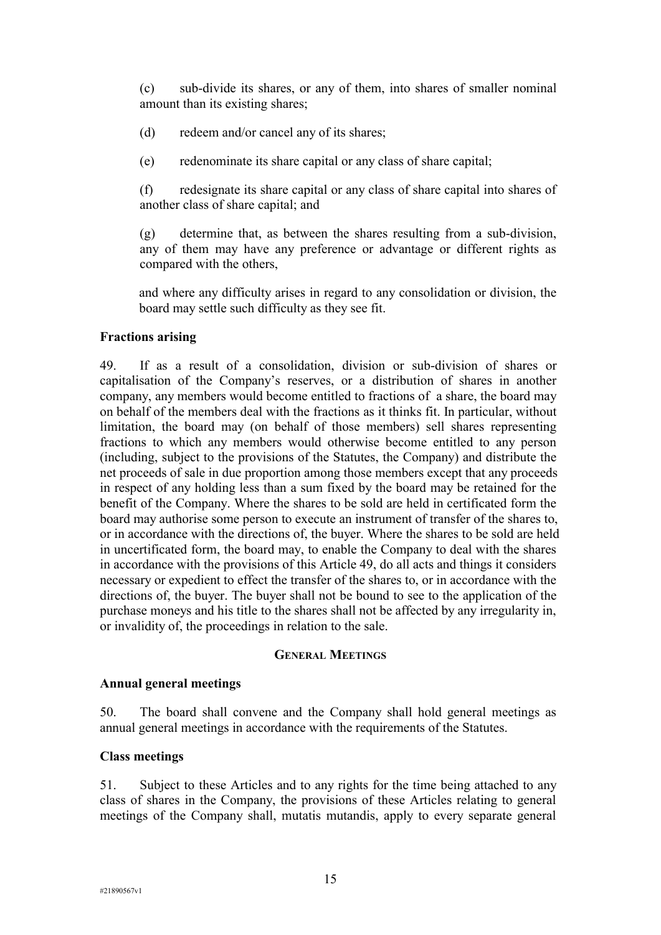(c) sub-divide its shares, or any of them, into shares of smaller nominal amount than its existing shares;

- (d) redeem and/or cancel any of its shares;
- (e) redenominate its share capital or any class of share capital;

(f) redesignate its share capital or any class of share capital into shares of another class of share capital; and

(g) determine that, as between the shares resulting from a sub-division, any of them may have any preference or advantage or different rights as compared with the others,

and where any difficulty arises in regard to any consolidation or division, the board may settle such difficulty as they see fit.

#### **Fractions arising**

49. If as a result of a consolidation, division or sub-division of shares or capitalisation of the Company's reserves, or a distribution of shares in another company, any members would become entitled to fractions of a share, the board may on behalf of the members deal with the fractions as it thinks fit. In particular, without limitation, the board may (on behalf of those members) sell shares representing fractions to which any members would otherwise become entitled to any person (including, subject to the provisions of the Statutes, the Company) and distribute the net proceeds of sale in due proportion among those members except that any proceeds in respect of any holding less than a sum fixed by the board may be retained for the benefit of the Company. Where the shares to be sold are held in certificated form the board may authorise some person to execute an instrument of transfer of the shares to, or in accordance with the directions of, the buyer. Where the shares to be sold are held in uncertificated form, the board may, to enable the Company to deal with the shares in accordance with the provisions of this Article 49, do all acts and things it considers necessary or expedient to effect the transfer of the shares to, or in accordance with the directions of, the buyer. The buyer shall not be bound to see to the application of the purchase moneys and his title to the shares shall not be affected by any irregularity in, or invalidity of, the proceedings in relation to the sale.

#### **GENERAL MEETINGS**

#### **Annual general meetings**

50. The board shall convene and the Company shall hold general meetings as annual general meetings in accordance with the requirements of the Statutes.

#### **Class meetings**

51. Subject to these Articles and to any rights for the time being attached to any class of shares in the Company, the provisions of these Articles relating to general meetings of the Company shall, mutatis mutandis, apply to every separate general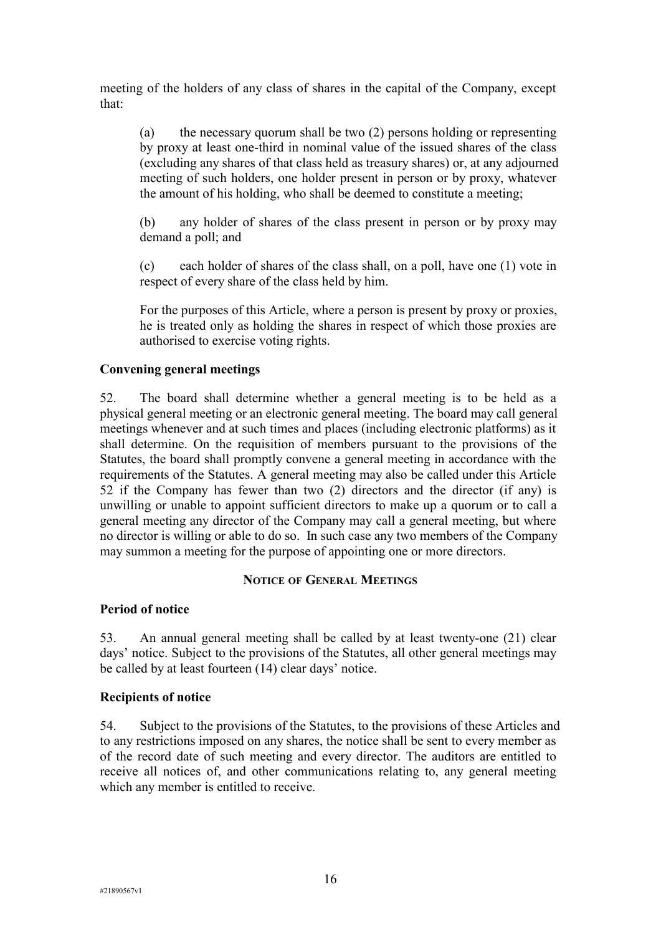meeting of the holders of any class of shares in the capital of the Company, except that:

(a) the necessary quorum shall be two (2) persons holding or representing by proxy at least one-third in nominal value of the issued shares of the class (excluding any shares of that class held as treasury shares) or, at any adjourned meeting of such holders, one holder present in person or by proxy, whatever the amount of his holding, who shall be deemed to constitute a meeting;

(b) any holder of shares of the class present in person or by proxy may demand a poll; and

(c) each holder of shares of the class shall, on a poll, have one (1) vote in respect of every share of the class held by him.

For the purposes of this Article, where a person is present by proxy or proxies, he is treated only as holding the shares in respect of which those proxies are authorised to exercise voting rights.

# **Convening general meetings**

52. The board shall determine whether a general meeting is to be held as a physical general meeting or an electronic general meeting. The board may call general meetings whenever and at such times and places (including electronic platforms) as it shall determine. On the requisition of members pursuant to the provisions of the Statutes, the board shall promptly convene a general meeting in accordance with the requirements of the Statutes. A general meeting may also be called under this Article 52 if the Company has fewer than two (2) directors and the director (if any) is unwilling or unable to appoint sufficient directors to make up a quorum or to call a general meeting any director of the Company may call a general meeting, but where no director is willing or able to do so. In such case any two members of the Company may summon a meeting for the purpose of appointing one or more directors.

### **NOTICE OF GENERAL MEETINGS**

### **Period of notice**

53. An annual general meeting shall be called by at least twenty-one (21) clear days' notice. Subject to the provisions of the Statutes, all other general meetings may be called by at least fourteen (14) clear days' notice.

### **Recipients of notice**

54. Subject to the provisions of the Statutes, to the provisions of these Articles and to any restrictions imposed on any shares, the notice shall be sent to every member as of the record date of such meeting and every director. The auditors are entitled to receive all notices of, and other communications relating to, any general meeting which any member is entitled to receive.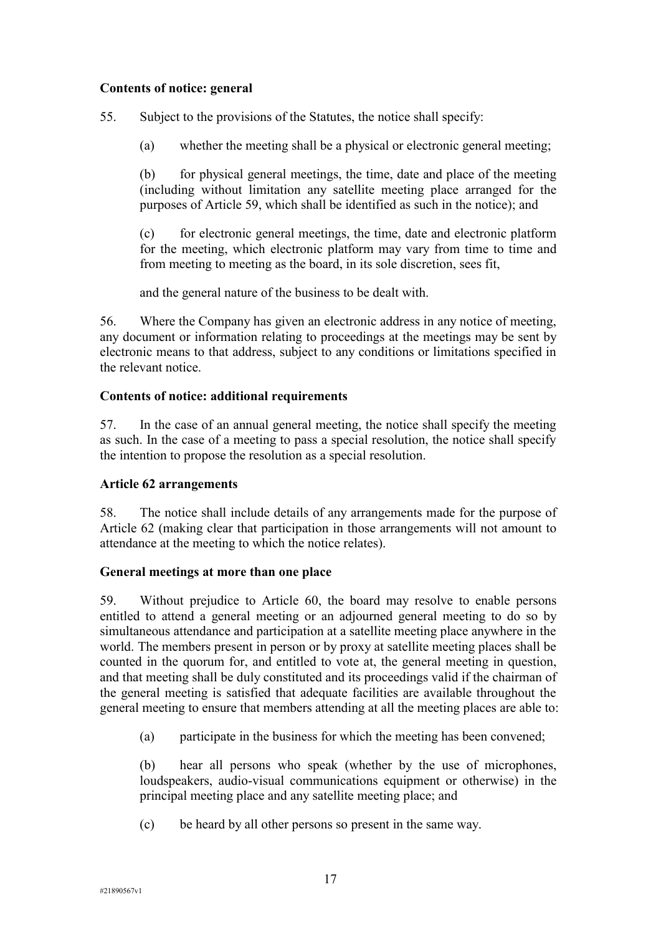# **Contents of notice: general**

55. Subject to the provisions of the Statutes, the notice shall specify:

(a) whether the meeting shall be a physical or electronic general meeting;

(b) for physical general meetings, the time, date and place of the meeting (including without limitation any satellite meeting place arranged for the purposes of Article 59, which shall be identified as such in the notice); and

(c) for electronic general meetings, the time, date and electronic platform for the meeting, which electronic platform may vary from time to time and from meeting to meeting as the board, in its sole discretion, sees fit,

and the general nature of the business to be dealt with.

56. Where the Company has given an electronic address in any notice of meeting, any document or information relating to proceedings at the meetings may be sent by electronic means to that address, subject to any conditions or limitations specified in the relevant notice.

# **Contents of notice: additional requirements**

57. In the case of an annual general meeting, the notice shall specify the meeting as such. In the case of a meeting to pass a special resolution, the notice shall specify the intention to propose the resolution as a special resolution.

# **Article 62 arrangements**

58. The notice shall include details of any arrangements made for the purpose of Article 62 (making clear that participation in those arrangements will not amount to attendance at the meeting to which the notice relates).

# **General meetings at more than one place**

59. Without prejudice to Article 60, the board may resolve to enable persons entitled to attend a general meeting or an adjourned general meeting to do so by simultaneous attendance and participation at a satellite meeting place anywhere in the world. The members present in person or by proxy at satellite meeting places shall be counted in the quorum for, and entitled to vote at, the general meeting in question, and that meeting shall be duly constituted and its proceedings valid if the chairman of the general meeting is satisfied that adequate facilities are available throughout the general meeting to ensure that members attending at all the meeting places are able to:

(a) participate in the business for which the meeting has been convened;

(b) hear all persons who speak (whether by the use of microphones, loudspeakers, audio-visual communications equipment or otherwise) in the principal meeting place and any satellite meeting place; and

(c) be heard by all other persons so present in the same way.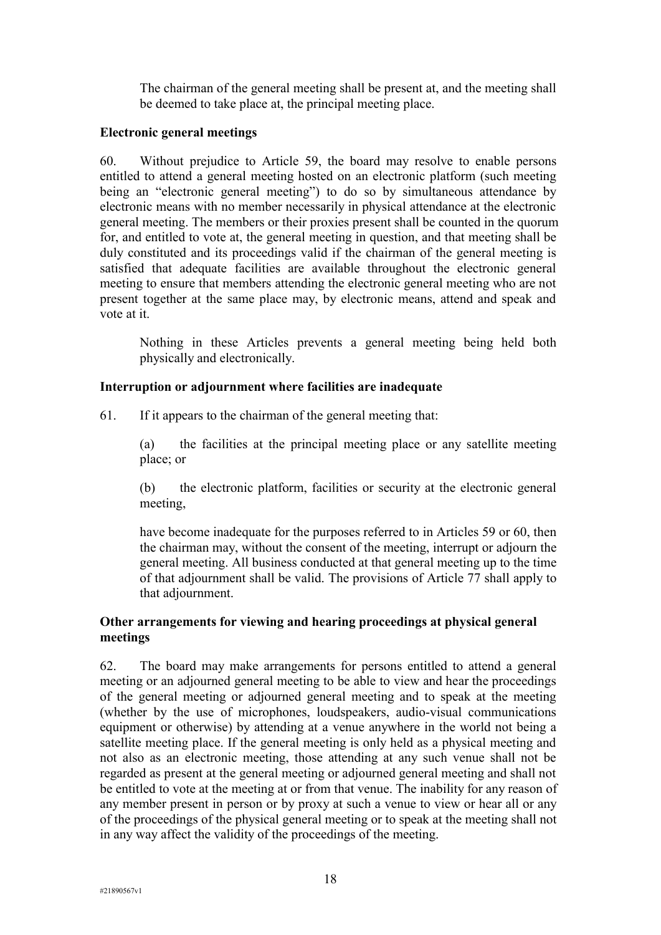The chairman of the general meeting shall be present at, and the meeting shall be deemed to take place at, the principal meeting place.

# **Electronic general meetings**

60. Without prejudice to Article 59, the board may resolve to enable persons entitled to attend a general meeting hosted on an electronic platform (such meeting being an "electronic general meeting") to do so by simultaneous attendance by electronic means with no member necessarily in physical attendance at the electronic general meeting. The members or their proxies present shall be counted in the quorum for, and entitled to vote at, the general meeting in question, and that meeting shall be duly constituted and its proceedings valid if the chairman of the general meeting is satisfied that adequate facilities are available throughout the electronic general meeting to ensure that members attending the electronic general meeting who are not present together at the same place may, by electronic means, attend and speak and vote at it.

Nothing in these Articles prevents a general meeting being held both physically and electronically.

# **Interruption or adjournment where facilities are inadequate**

61. If it appears to the chairman of the general meeting that:

(a) the facilities at the principal meeting place or any satellite meeting place; or

(b) the electronic platform, facilities or security at the electronic general meeting,

have become inadequate for the purposes referred to in Articles 59 or 60, then the chairman may, without the consent of the meeting, interrupt or adjourn the general meeting. All business conducted at that general meeting up to the time of that adjournment shall be valid. The provisions of Article 77 shall apply to that adjournment.

# **Other arrangements for viewing and hearing proceedings at physical general meetings**

62. The board may make arrangements for persons entitled to attend a general meeting or an adjourned general meeting to be able to view and hear the proceedings of the general meeting or adjourned general meeting and to speak at the meeting (whether by the use of microphones, loudspeakers, audio-visual communications equipment or otherwise) by attending at a venue anywhere in the world not being a satellite meeting place. If the general meeting is only held as a physical meeting and not also as an electronic meeting, those attending at any such venue shall not be regarded as present at the general meeting or adjourned general meeting and shall not be entitled to vote at the meeting at or from that venue. The inability for any reason of any member present in person or by proxy at such a venue to view or hear all or any of the proceedings of the physical general meeting or to speak at the meeting shall not in any way affect the validity of the proceedings of the meeting.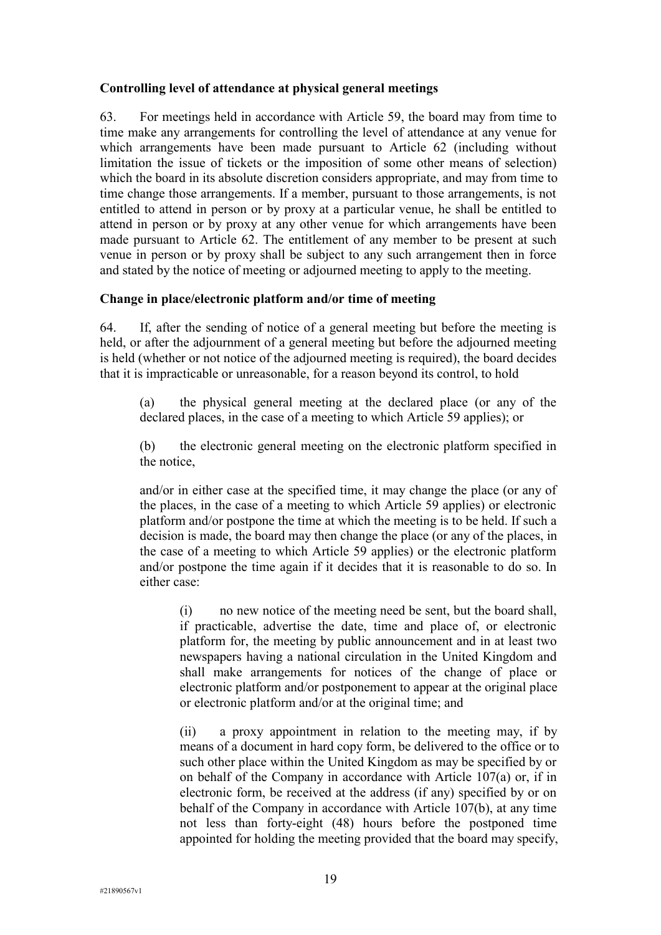# **Controlling level of attendance at physical general meetings**

63. For meetings held in accordance with Article 59, the board may from time to time make any arrangements for controlling the level of attendance at any venue for which arrangements have been made pursuant to Article 62 (including without limitation the issue of tickets or the imposition of some other means of selection) which the board in its absolute discretion considers appropriate, and may from time to time change those arrangements. If a member, pursuant to those arrangements, is not entitled to attend in person or by proxy at a particular venue, he shall be entitled to attend in person or by proxy at any other venue for which arrangements have been made pursuant to Article 62. The entitlement of any member to be present at such venue in person or by proxy shall be subject to any such arrangement then in force and stated by the notice of meeting or adjourned meeting to apply to the meeting.

# **Change in place/electronic platform and/or time of meeting**

64. If, after the sending of notice of a general meeting but before the meeting is held, or after the adjournment of a general meeting but before the adjourned meeting is held (whether or not notice of the adjourned meeting is required), the board decides that it is impracticable or unreasonable, for a reason beyond its control, to hold

(a) the physical general meeting at the declared place (or any of the declared places, in the case of a meeting to which Article 59 applies); or

(b) the electronic general meeting on the electronic platform specified in the notice,

and/or in either case at the specified time, it may change the place (or any of the places, in the case of a meeting to which Article 59 applies) or electronic platform and/or postpone the time at which the meeting is to be held. If such a decision is made, the board may then change the place (or any of the places, in the case of a meeting to which Article 59 applies) or the electronic platform and/or postpone the time again if it decides that it is reasonable to do so. In either case:

(i) no new notice of the meeting need be sent, but the board shall, if practicable, advertise the date, time and place of, or electronic platform for, the meeting by public announcement and in at least two newspapers having a national circulation in the United Kingdom and shall make arrangements for notices of the change of place or electronic platform and/or postponement to appear at the original place or electronic platform and/or at the original time; and

(ii) a proxy appointment in relation to the meeting may, if by means of a document in hard copy form, be delivered to the office or to such other place within the United Kingdom as may be specified by or on behalf of the Company in accordance with Article 107(a) or, if in electronic form, be received at the address (if any) specified by or on behalf of the Company in accordance with Article 107(b), at any time not less than forty-eight (48) hours before the postponed time appointed for holding the meeting provided that the board may specify,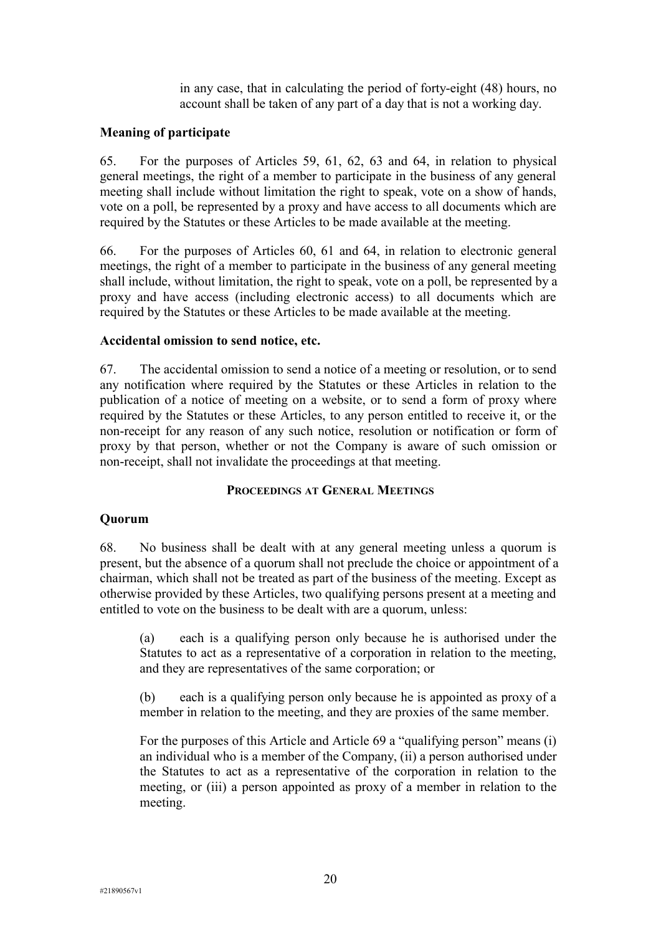in any case, that in calculating the period of forty-eight (48) hours, no account shall be taken of any part of a day that is not a working day.

#### **Meaning of participate**

65. For the purposes of Articles 59, 61, 62, 63 and 64, in relation to physical general meetings, the right of a member to participate in the business of any general meeting shall include without limitation the right to speak, vote on a show of hands, vote on a poll, be represented by a proxy and have access to all documents which are required by the Statutes or these Articles to be made available at the meeting.

66. For the purposes of Articles 60, 61 and 64, in relation to electronic general meetings, the right of a member to participate in the business of any general meeting shall include, without limitation, the right to speak, vote on a poll, be represented by a proxy and have access (including electronic access) to all documents which are required by the Statutes or these Articles to be made available at the meeting.

#### **Accidental omission to send notice, etc.**

67. The accidental omission to send a notice of a meeting or resolution, or to send any notification where required by the Statutes or these Articles in relation to the publication of a notice of meeting on a website, or to send a form of proxy where required by the Statutes or these Articles, to any person entitled to receive it, or the non-receipt for any reason of any such notice, resolution or notification or form of proxy by that person, whether or not the Company is aware of such omission or non-receipt, shall not invalidate the proceedings at that meeting.

#### **PROCEEDINGS AT GENERAL MEETINGS**

#### **Quorum**

68. No business shall be dealt with at any general meeting unless a quorum is present, but the absence of a quorum shall not preclude the choice or appointment of a chairman, which shall not be treated as part of the business of the meeting. Except as otherwise provided by these Articles, two qualifying persons present at a meeting and entitled to vote on the business to be dealt with are a quorum, unless:

(a) each is a qualifying person only because he is authorised under the Statutes to act as a representative of a corporation in relation to the meeting, and they are representatives of the same corporation; or

(b) each is a qualifying person only because he is appointed as proxy of a member in relation to the meeting, and they are proxies of the same member.

For the purposes of this Article and Article 69 a "qualifying person" means (i) an individual who is a member of the Company, (ii) a person authorised under the Statutes to act as a representative of the corporation in relation to the meeting, or (iii) a person appointed as proxy of a member in relation to the meeting.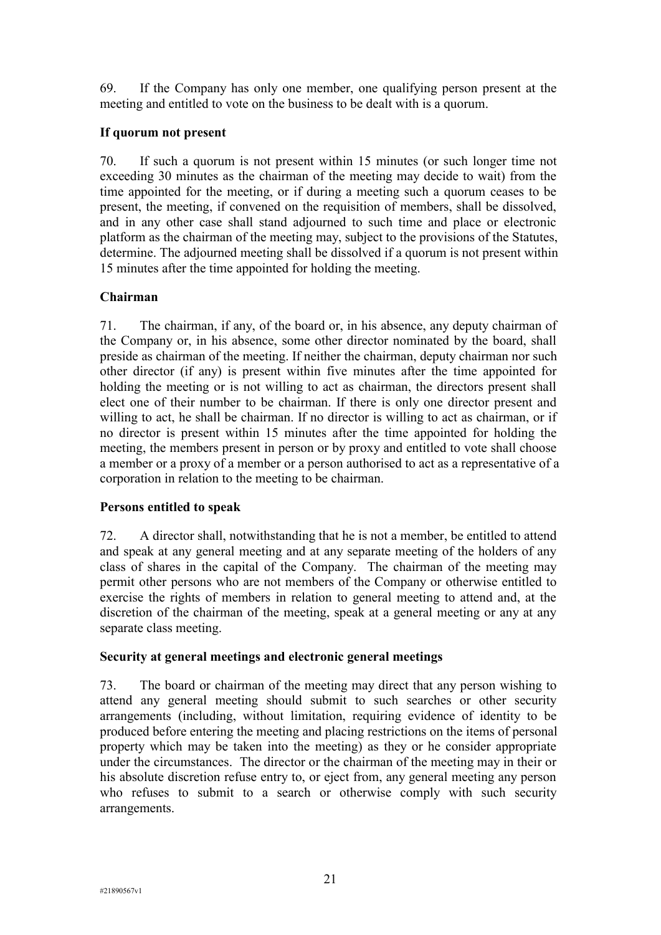69. If the Company has only one member, one qualifying person present at the meeting and entitled to vote on the business to be dealt with is a quorum.

# **If quorum not present**

70. If such a quorum is not present within 15 minutes (or such longer time not exceeding 30 minutes as the chairman of the meeting may decide to wait) from the time appointed for the meeting, or if during a meeting such a quorum ceases to be present, the meeting, if convened on the requisition of members, shall be dissolved, and in any other case shall stand adjourned to such time and place or electronic platform as the chairman of the meeting may, subject to the provisions of the Statutes, determine. The adjourned meeting shall be dissolved if a quorum is not present within 15 minutes after the time appointed for holding the meeting.

# **Chairman**

71. The chairman, if any, of the board or, in his absence, any deputy chairman of the Company or, in his absence, some other director nominated by the board, shall preside as chairman of the meeting. If neither the chairman, deputy chairman nor such other director (if any) is present within five minutes after the time appointed for holding the meeting or is not willing to act as chairman, the directors present shall elect one of their number to be chairman. If there is only one director present and willing to act, he shall be chairman. If no director is willing to act as chairman, or if no director is present within 15 minutes after the time appointed for holding the meeting, the members present in person or by proxy and entitled to vote shall choose a member or a proxy of a member or a person authorised to act as a representative of a corporation in relation to the meeting to be chairman.

# **Persons entitled to speak**

72. A director shall, notwithstanding that he is not a member, be entitled to attend and speak at any general meeting and at any separate meeting of the holders of any class of shares in the capital of the Company. The chairman of the meeting may permit other persons who are not members of the Company or otherwise entitled to exercise the rights of members in relation to general meeting to attend and, at the discretion of the chairman of the meeting, speak at a general meeting or any at any separate class meeting.

### **Security at general meetings and electronic general meetings**

73. The board or chairman of the meeting may direct that any person wishing to attend any general meeting should submit to such searches or other security arrangements (including, without limitation, requiring evidence of identity to be produced before entering the meeting and placing restrictions on the items of personal property which may be taken into the meeting) as they or he consider appropriate under the circumstances. The director or the chairman of the meeting may in their or his absolute discretion refuse entry to, or eject from, any general meeting any person who refuses to submit to a search or otherwise comply with such security arrangements.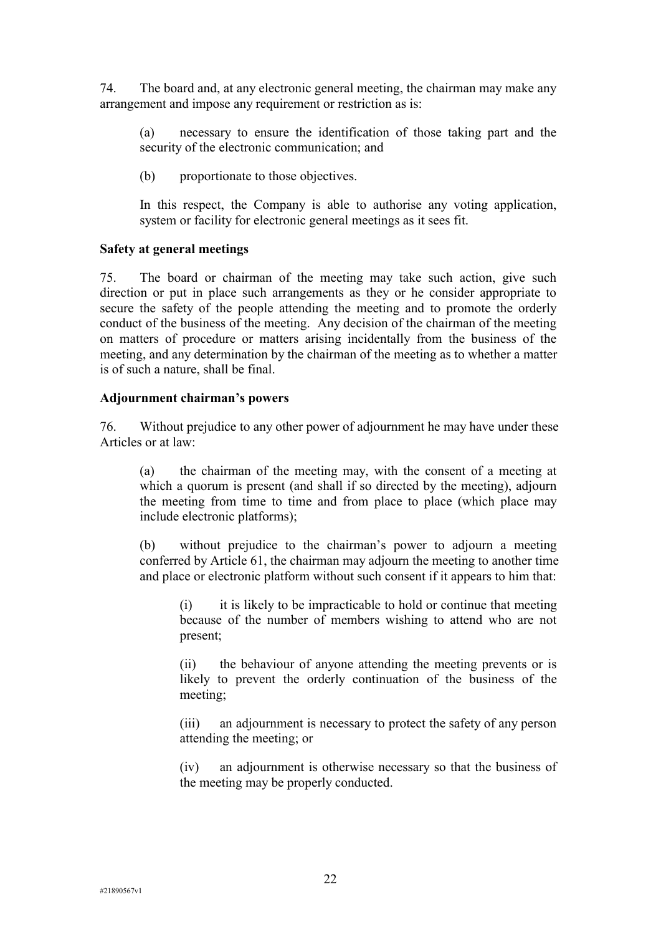74. The board and, at any electronic general meeting, the chairman may make any arrangement and impose any requirement or restriction as is:

(a) necessary to ensure the identification of those taking part and the security of the electronic communication; and

(b) proportionate to those objectives.

In this respect, the Company is able to authorise any voting application, system or facility for electronic general meetings as it sees fit.

### **Safety at general meetings**

75. The board or chairman of the meeting may take such action, give such direction or put in place such arrangements as they or he consider appropriate to secure the safety of the people attending the meeting and to promote the orderly conduct of the business of the meeting. Any decision of the chairman of the meeting on matters of procedure or matters arising incidentally from the business of the meeting, and any determination by the chairman of the meeting as to whether a matter is of such a nature, shall be final.

# **Adjournment chairman's powers**

76. Without prejudice to any other power of adjournment he may have under these Articles or at law:

(a) the chairman of the meeting may, with the consent of a meeting at which a quorum is present (and shall if so directed by the meeting), adjourn the meeting from time to time and from place to place (which place may include electronic platforms);

(b) without prejudice to the chairman's power to adjourn a meeting conferred by Article 61, the chairman may adjourn the meeting to another time and place or electronic platform without such consent if it appears to him that:

(i) it is likely to be impracticable to hold or continue that meeting because of the number of members wishing to attend who are not present;

(ii) the behaviour of anyone attending the meeting prevents or is likely to prevent the orderly continuation of the business of the meeting;

(iii) an adjournment is necessary to protect the safety of any person attending the meeting; or

(iv) an adjournment is otherwise necessary so that the business of the meeting may be properly conducted.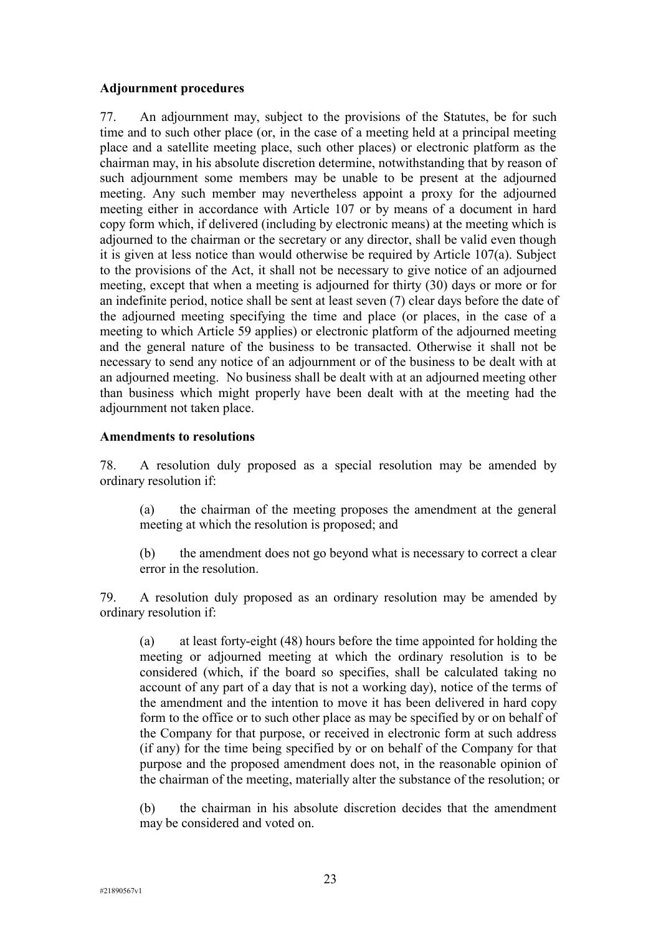# **Adjournment procedures**

77. An adjournment may, subject to the provisions of the Statutes, be for such time and to such other place (or, in the case of a meeting held at a principal meeting place and a satellite meeting place, such other places) or electronic platform as the chairman may, in his absolute discretion determine, notwithstanding that by reason of such adjournment some members may be unable to be present at the adjourned meeting. Any such member may nevertheless appoint a proxy for the adjourned meeting either in accordance with Article 107 or by means of a document in hard copy form which, if delivered (including by electronic means) at the meeting which is adjourned to the chairman or the secretary or any director, shall be valid even though it is given at less notice than would otherwise be required by Article 107(a). Subject to the provisions of the Act, it shall not be necessary to give notice of an adjourned meeting, except that when a meeting is adjourned for thirty (30) days or more or for an indefinite period, notice shall be sent at least seven (7) clear days before the date of the adjourned meeting specifying the time and place (or places, in the case of a meeting to which Article 59 applies) or electronic platform of the adjourned meeting and the general nature of the business to be transacted. Otherwise it shall not be necessary to send any notice of an adjournment or of the business to be dealt with at an adjourned meeting. No business shall be dealt with at an adjourned meeting other than business which might properly have been dealt with at the meeting had the adjournment not taken place.

### **Amendments to resolutions**

78. A resolution duly proposed as a special resolution may be amended by ordinary resolution if:

(a) the chairman of the meeting proposes the amendment at the general meeting at which the resolution is proposed; and

(b) the amendment does not go beyond what is necessary to correct a clear error in the resolution.

79. A resolution duly proposed as an ordinary resolution may be amended by ordinary resolution if:

(a) at least forty-eight (48) hours before the time appointed for holding the meeting or adjourned meeting at which the ordinary resolution is to be considered (which, if the board so specifies, shall be calculated taking no account of any part of a day that is not a working day), notice of the terms of the amendment and the intention to move it has been delivered in hard copy form to the office or to such other place as may be specified by or on behalf of the Company for that purpose, or received in electronic form at such address (if any) for the time being specified by or on behalf of the Company for that purpose and the proposed amendment does not, in the reasonable opinion of the chairman of the meeting, materially alter the substance of the resolution; or

(b) the chairman in his absolute discretion decides that the amendment may be considered and voted on.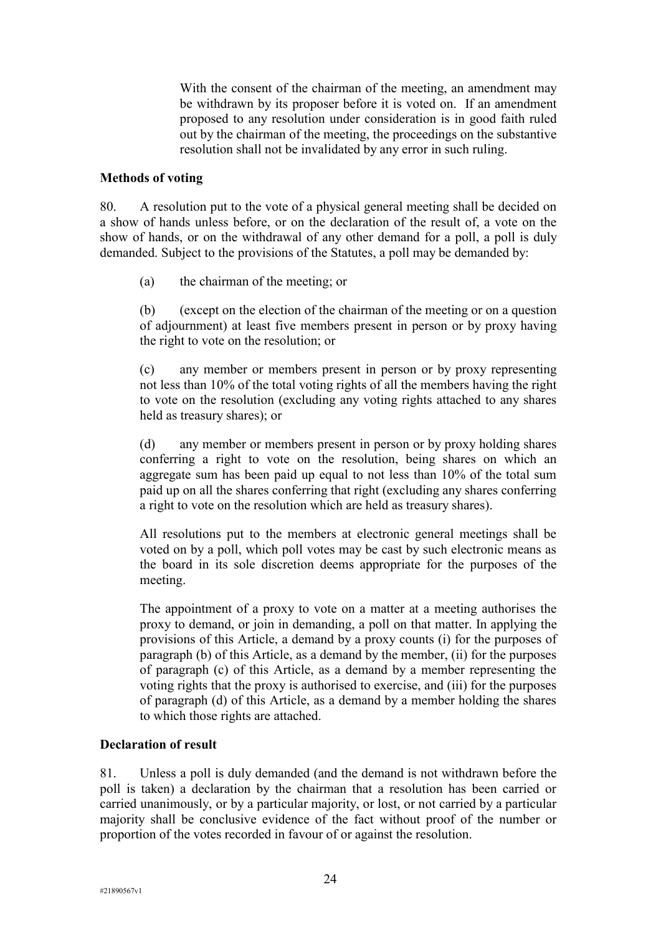With the consent of the chairman of the meeting, an amendment may be withdrawn by its proposer before it is voted on. If an amendment proposed to any resolution under consideration is in good faith ruled out by the chairman of the meeting, the proceedings on the substantive resolution shall not be invalidated by any error in such ruling.

#### **Methods of voting**

80. A resolution put to the vote of a physical general meeting shall be decided on a show of hands unless before, or on the declaration of the result of, a vote on the show of hands, or on the withdrawal of any other demand for a poll, a poll is duly demanded. Subject to the provisions of the Statutes, a poll may be demanded by:

(a) the chairman of the meeting; or

(b) (except on the election of the chairman of the meeting or on a question of adjournment) at least five members present in person or by proxy having the right to vote on the resolution; or

(c) any member or members present in person or by proxy representing not less than 10% of the total voting rights of all the members having the right to vote on the resolution (excluding any voting rights attached to any shares held as treasury shares); or

(d) any member or members present in person or by proxy holding shares conferring a right to vote on the resolution, being shares on which an aggregate sum has been paid up equal to not less than 10% of the total sum paid up on all the shares conferring that right (excluding any shares conferring a right to vote on the resolution which are held as treasury shares).

All resolutions put to the members at electronic general meetings shall be voted on by a poll, which poll votes may be cast by such electronic means as the board in its sole discretion deems appropriate for the purposes of the meeting.

The appointment of a proxy to vote on a matter at a meeting authorises the proxy to demand, or join in demanding, a poll on that matter. In applying the provisions of this Article, a demand by a proxy counts (i) for the purposes of paragraph (b) of this Article, as a demand by the member, (ii) for the purposes of paragraph (c) of this Article, as a demand by a member representing the voting rights that the proxy is authorised to exercise, and (iii) for the purposes of paragraph (d) of this Article, as a demand by a member holding the shares to which those rights are attached.

### **Declaration of result**

81. Unless a poll is duly demanded (and the demand is not withdrawn before the poll is taken) a declaration by the chairman that a resolution has been carried or carried unanimously, or by a particular majority, or lost, or not carried by a particular majority shall be conclusive evidence of the fact without proof of the number or proportion of the votes recorded in favour of or against the resolution.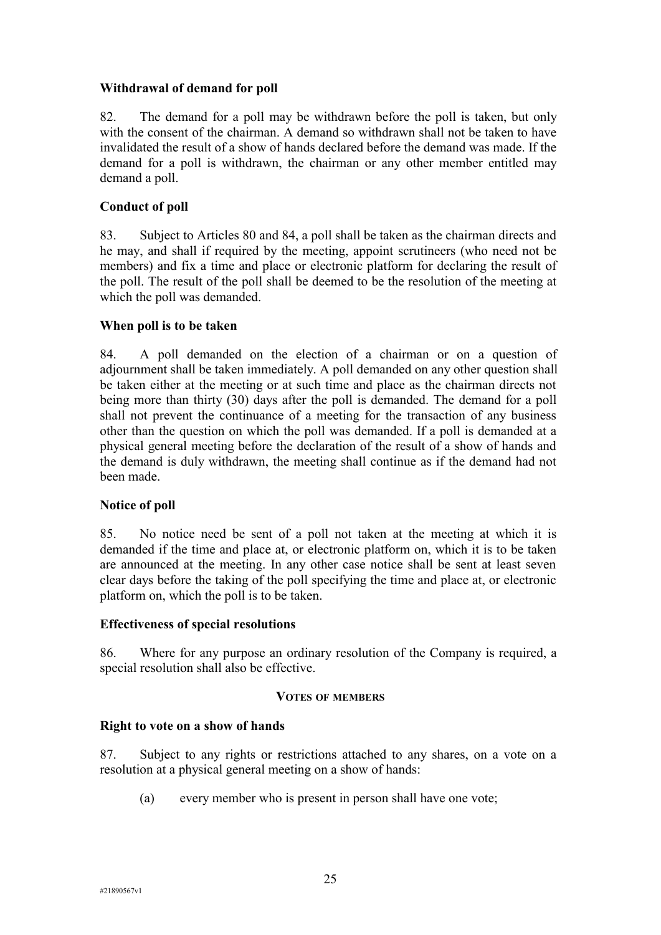# **Withdrawal of demand for poll**

82. The demand for a poll may be withdrawn before the poll is taken, but only with the consent of the chairman. A demand so withdrawn shall not be taken to have invalidated the result of a show of hands declared before the demand was made. If the demand for a poll is withdrawn, the chairman or any other member entitled may demand a poll.

# **Conduct of poll**

83. Subject to Articles 80 and 84, a poll shall be taken as the chairman directs and he may, and shall if required by the meeting, appoint scrutineers (who need not be members) and fix a time and place or electronic platform for declaring the result of the poll. The result of the poll shall be deemed to be the resolution of the meeting at which the poll was demanded.

# **When poll is to be taken**

84. A poll demanded on the election of a chairman or on a question of adjournment shall be taken immediately. A poll demanded on any other question shall be taken either at the meeting or at such time and place as the chairman directs not being more than thirty (30) days after the poll is demanded. The demand for a poll shall not prevent the continuance of a meeting for the transaction of any business other than the question on which the poll was demanded. If a poll is demanded at a physical general meeting before the declaration of the result of a show of hands and the demand is duly withdrawn, the meeting shall continue as if the demand had not been made.

### **Notice of poll**

85. No notice need be sent of a poll not taken at the meeting at which it is demanded if the time and place at, or electronic platform on, which it is to be taken are announced at the meeting. In any other case notice shall be sent at least seven clear days before the taking of the poll specifying the time and place at, or electronic platform on, which the poll is to be taken.

### **Effectiveness of special resolutions**

86. Where for any purpose an ordinary resolution of the Company is required, a special resolution shall also be effective.

#### **VOTES OF MEMBERS**

### **Right to vote on a show of hands**

87. Subject to any rights or restrictions attached to any shares, on a vote on a resolution at a physical general meeting on a show of hands:

(a) every member who is present in person shall have one vote;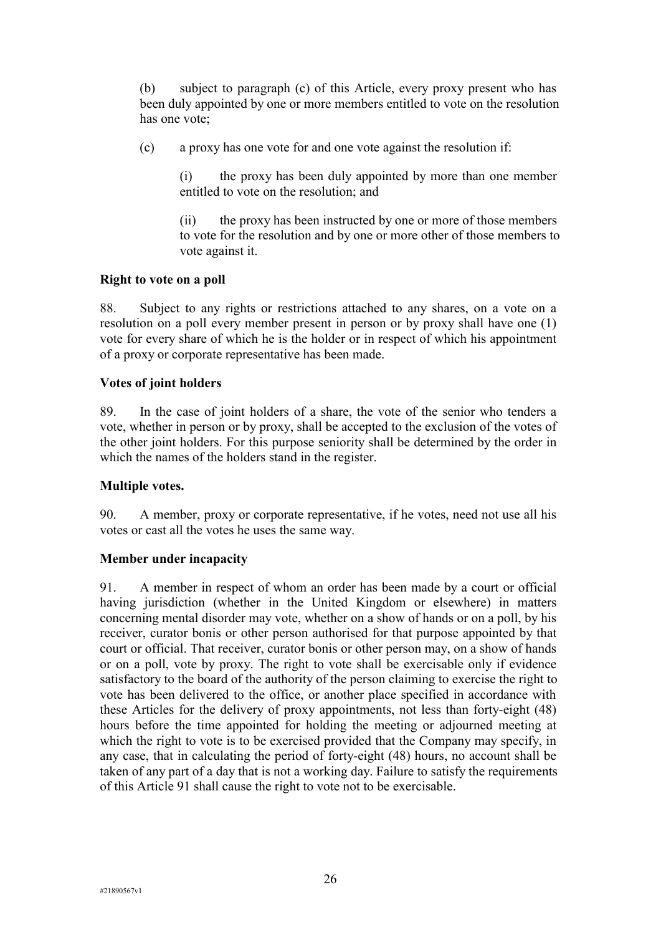(b) subject to paragraph (c) of this Article, every proxy present who has been duly appointed by one or more members entitled to vote on the resolution has one vote;

(c) a proxy has one vote for and one vote against the resolution if:

(i) the proxy has been duly appointed by more than one member entitled to vote on the resolution; and

(ii) the proxy has been instructed by one or more of those members to vote for the resolution and by one or more other of those members to vote against it.

#### **Right to vote on a poll**

88. Subject to any rights or restrictions attached to any shares, on a vote on a resolution on a poll every member present in person or by proxy shall have one (1) vote for every share of which he is the holder or in respect of which his appointment of a proxy or corporate representative has been made.

#### **Votes of joint holders**

89. In the case of joint holders of a share, the vote of the senior who tenders a vote, whether in person or by proxy, shall be accepted to the exclusion of the votes of the other joint holders. For this purpose seniority shall be determined by the order in which the names of the holders stand in the register.

### **Multiple votes.**

90. A member, proxy or corporate representative, if he votes, need not use all his votes or cast all the votes he uses the same way.

#### **Member under incapacity**

91. A member in respect of whom an order has been made by a court or official having jurisdiction (whether in the United Kingdom or elsewhere) in matters concerning mental disorder may vote, whether on a show of hands or on a poll, by his receiver, curator bonis or other person authorised for that purpose appointed by that court or official. That receiver, curator bonis or other person may, on a show of hands or on a poll, vote by proxy. The right to vote shall be exercisable only if evidence satisfactory to the board of the authority of the person claiming to exercise the right to vote has been delivered to the office, or another place specified in accordance with these Articles for the delivery of proxy appointments, not less than forty-eight (48) hours before the time appointed for holding the meeting or adjourned meeting at which the right to vote is to be exercised provided that the Company may specify, in any case, that in calculating the period of forty-eight (48) hours, no account shall be taken of any part of a day that is not a working day. Failure to satisfy the requirements of this Article 91 shall cause the right to vote not to be exercisable.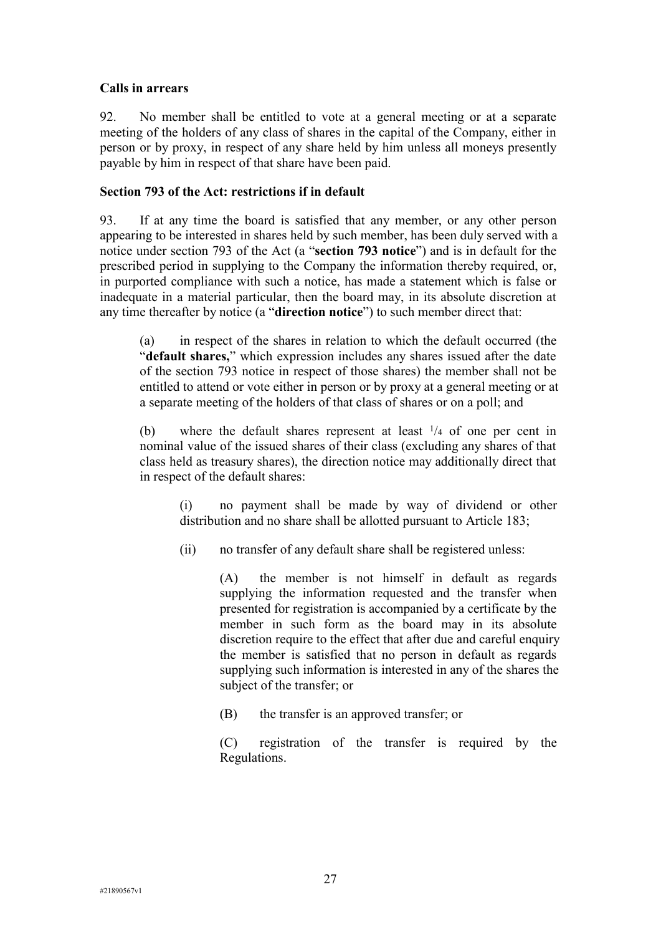# **Calls in arrears**

92. No member shall be entitled to vote at a general meeting or at a separate meeting of the holders of any class of shares in the capital of the Company, either in person or by proxy, in respect of any share held by him unless all moneys presently payable by him in respect of that share have been paid.

# **Section 793 of the Act: restrictions if in default**

93. If at any time the board is satisfied that any member, or any other person appearing to be interested in shares held by such member, has been duly served with a notice under section 793 of the Act (a "**section 793 notice**") and is in default for the prescribed period in supplying to the Company the information thereby required, or, in purported compliance with such a notice, has made a statement which is false or inadequate in a material particular, then the board may, in its absolute discretion at any time thereafter by notice (a "**direction notice**") to such member direct that:

(a) in respect of the shares in relation to which the default occurred (the "**default shares,**" which expression includes any shares issued after the date of the section 793 notice in respect of those shares) the member shall not be entitled to attend or vote either in person or by proxy at a general meeting or at a separate meeting of the holders of that class of shares or on a poll; and

(b) where the default shares represent at least <sup>1</sup>/4 of one per cent in nominal value of the issued shares of their class (excluding any shares of that class held as treasury shares), the direction notice may additionally direct that in respect of the default shares:

(i) no payment shall be made by way of dividend or other distribution and no share shall be allotted pursuant to Article 183;

(ii) no transfer of any default share shall be registered unless:

(A) the member is not himself in default as regards supplying the information requested and the transfer when presented for registration is accompanied by a certificate by the member in such form as the board may in its absolute discretion require to the effect that after due and careful enquiry the member is satisfied that no person in default as regards supplying such information is interested in any of the shares the subject of the transfer; or

(B) the transfer is an approved transfer; or

(C) registration of the transfer is required by the Regulations.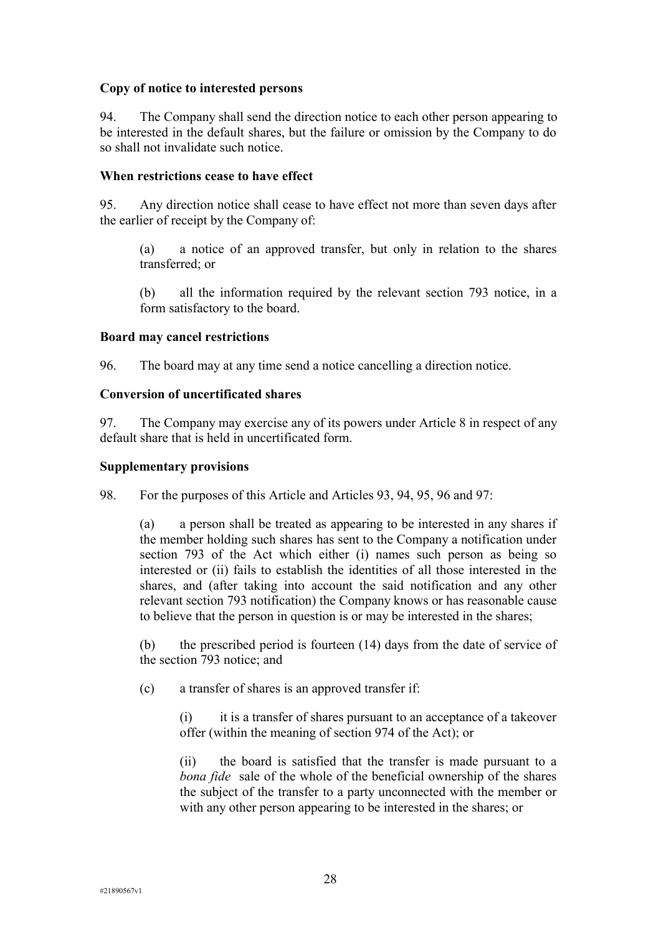# **Copy of notice to interested persons**

94. The Company shall send the direction notice to each other person appearing to be interested in the default shares, but the failure or omission by the Company to do so shall not invalidate such notice.

## **When restrictions cease to have effect**

95. Any direction notice shall cease to have effect not more than seven days after the earlier of receipt by the Company of:

(a) a notice of an approved transfer, but only in relation to the shares transferred; or

(b) all the information required by the relevant section 793 notice, in a form satisfactory to the board.

### **Board may cancel restrictions**

96. The board may at any time send a notice cancelling a direction notice.

# **Conversion of uncertificated shares**

97. The Company may exercise any of its powers under Article 8 in respect of any default share that is held in uncertificated form.

# **Supplementary provisions**

98. For the purposes of this Article and Articles 93, 94, 95, 96 and 97:

(a) a person shall be treated as appearing to be interested in any shares if the member holding such shares has sent to the Company a notification under section 793 of the Act which either (i) names such person as being so interested or (ii) fails to establish the identities of all those interested in the shares, and (after taking into account the said notification and any other relevant section 793 notification) the Company knows or has reasonable cause to believe that the person in question is or may be interested in the shares;

(b) the prescribed period is fourteen (14) days from the date of service of the section 793 notice; and

(c) a transfer of shares is an approved transfer if:

(i) it is a transfer of shares pursuant to an acceptance of a takeover offer (within the meaning of section 974 of the Act); or

(ii) the board is satisfied that the transfer is made pursuant to a *bona fide* sale of the whole of the beneficial ownership of the shares the subject of the transfer to a party unconnected with the member or with any other person appearing to be interested in the shares; or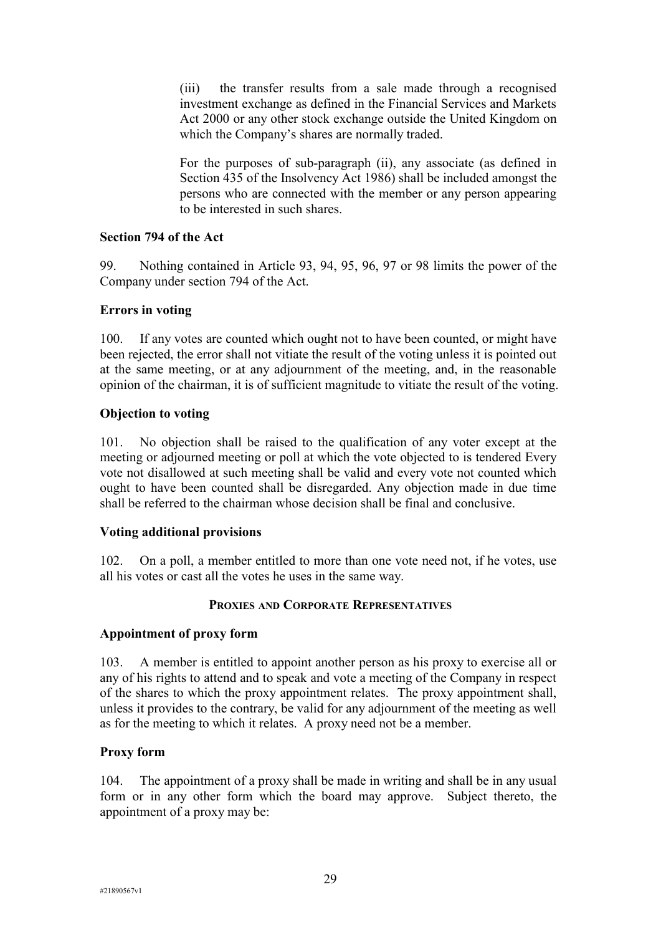(iii) the transfer results from a sale made through a recognised investment exchange as defined in the Financial Services and Markets Act 2000 or any other stock exchange outside the United Kingdom on which the Company's shares are normally traded.

For the purposes of sub-paragraph (ii), any associate (as defined in Section 435 of the Insolvency Act 1986) shall be included amongst the persons who are connected with the member or any person appearing to be interested in such shares.

# **Section 794 of the Act**

99. Nothing contained in Article 93, 94, 95, 96, 97 or 98 limits the power of the Company under section 794 of the Act.

#### **Errors in voting**

100. If any votes are counted which ought not to have been counted, or might have been rejected, the error shall not vitiate the result of the voting unless it is pointed out at the same meeting, or at any adjournment of the meeting, and, in the reasonable opinion of the chairman, it is of sufficient magnitude to vitiate the result of the voting.

#### **Objection to voting**

101. No objection shall be raised to the qualification of any voter except at the meeting or adjourned meeting or poll at which the vote objected to is tendered Every vote not disallowed at such meeting shall be valid and every vote not counted which ought to have been counted shall be disregarded. Any objection made in due time shall be referred to the chairman whose decision shall be final and conclusive.

### **Voting additional provisions**

102. On a poll, a member entitled to more than one vote need not, if he votes, use all his votes or cast all the votes he uses in the same way.

#### **PROXIES AND CORPORATE REPRESENTATIVES**

#### **Appointment of proxy form**

103. A member is entitled to appoint another person as his proxy to exercise all or any of his rights to attend and to speak and vote a meeting of the Company in respect of the shares to which the proxy appointment relates. The proxy appointment shall, unless it provides to the contrary, be valid for any adjournment of the meeting as well as for the meeting to which it relates. A proxy need not be a member.

### **Proxy form**

104. The appointment of a proxy shall be made in writing and shall be in any usual form or in any other form which the board may approve. Subject thereto, the appointment of a proxy may be: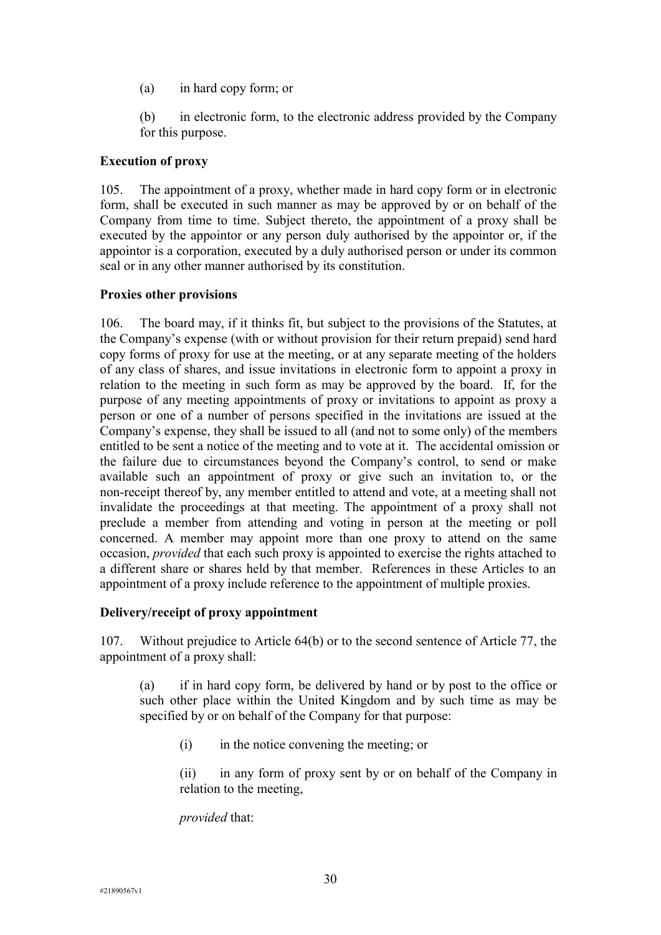- (a) in hard copy form; or
- (b) in electronic form, to the electronic address provided by the Company for this purpose.

# **Execution of proxy**

105. The appointment of a proxy, whether made in hard copy form or in electronic form, shall be executed in such manner as may be approved by or on behalf of the Company from time to time. Subject thereto, the appointment of a proxy shall be executed by the appointor or any person duly authorised by the appointor or, if the appointor is a corporation, executed by a duly authorised person or under its common seal or in any other manner authorised by its constitution.

# **Proxies other provisions**

106. The board may, if it thinks fit, but subject to the provisions of the Statutes, at the Company's expense (with or without provision for their return prepaid) send hard copy forms of proxy for use at the meeting, or at any separate meeting of the holders of any class of shares, and issue invitations in electronic form to appoint a proxy in relation to the meeting in such form as may be approved by the board. If, for the purpose of any meeting appointments of proxy or invitations to appoint as proxy a person or one of a number of persons specified in the invitations are issued at the Company's expense, they shall be issued to all (and not to some only) of the members entitled to be sent a notice of the meeting and to vote at it. The accidental omission or the failure due to circumstances beyond the Company's control, to send or make available such an appointment of proxy or give such an invitation to, or the non-receipt thereof by, any member entitled to attend and vote, at a meeting shall not invalidate the proceedings at that meeting. The appointment of a proxy shall not preclude a member from attending and voting in person at the meeting or poll concerned. A member may appoint more than one proxy to attend on the same occasion, *provided* that each such proxy is appointed to exercise the rights attached to a different share or shares held by that member. References in these Articles to an appointment of a proxy include reference to the appointment of multiple proxies.

### **Delivery/receipt of proxy appointment**

107. Without prejudice to Article 64(b) or to the second sentence of Article 77, the appointment of a proxy shall:

(a) if in hard copy form, be delivered by hand or by post to the office or such other place within the United Kingdom and by such time as may be specified by or on behalf of the Company for that purpose:

(i) in the notice convening the meeting; or

(ii) in any form of proxy sent by or on behalf of the Company in relation to the meeting,

*provided* that: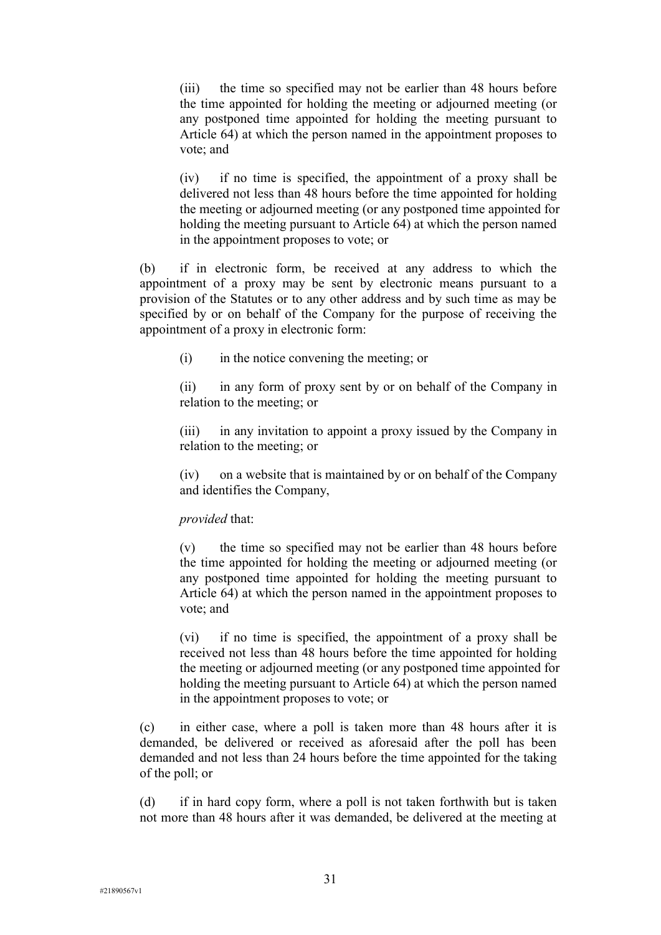(iii) the time so specified may not be earlier than 48 hours before the time appointed for holding the meeting or adjourned meeting (or any postponed time appointed for holding the meeting pursuant to Article 64) at which the person named in the appointment proposes to vote; and

(iv) if no time is specified, the appointment of a proxy shall be delivered not less than 48 hours before the time appointed for holding the meeting or adjourned meeting (or any postponed time appointed for holding the meeting pursuant to Article 64) at which the person named in the appointment proposes to vote; or

(b) if in electronic form, be received at any address to which the appointment of a proxy may be sent by electronic means pursuant to a provision of the Statutes or to any other address and by such time as may be specified by or on behalf of the Company for the purpose of receiving the appointment of a proxy in electronic form:

(i) in the notice convening the meeting; or

(ii) in any form of proxy sent by or on behalf of the Company in relation to the meeting; or

(iii) in any invitation to appoint a proxy issued by the Company in relation to the meeting; or

(iv) on a website that is maintained by or on behalf of the Company and identifies the Company,

### *provided* that:

(v) the time so specified may not be earlier than 48 hours before the time appointed for holding the meeting or adjourned meeting (or any postponed time appointed for holding the meeting pursuant to Article 64) at which the person named in the appointment proposes to vote; and

(vi) if no time is specified, the appointment of a proxy shall be received not less than 48 hours before the time appointed for holding the meeting or adjourned meeting (or any postponed time appointed for holding the meeting pursuant to Article 64) at which the person named in the appointment proposes to vote; or

(c) in either case, where a poll is taken more than 48 hours after it is demanded, be delivered or received as aforesaid after the poll has been demanded and not less than 24 hours before the time appointed for the taking of the poll; or

(d) if in hard copy form, where a poll is not taken forthwith but is taken not more than 48 hours after it was demanded, be delivered at the meeting at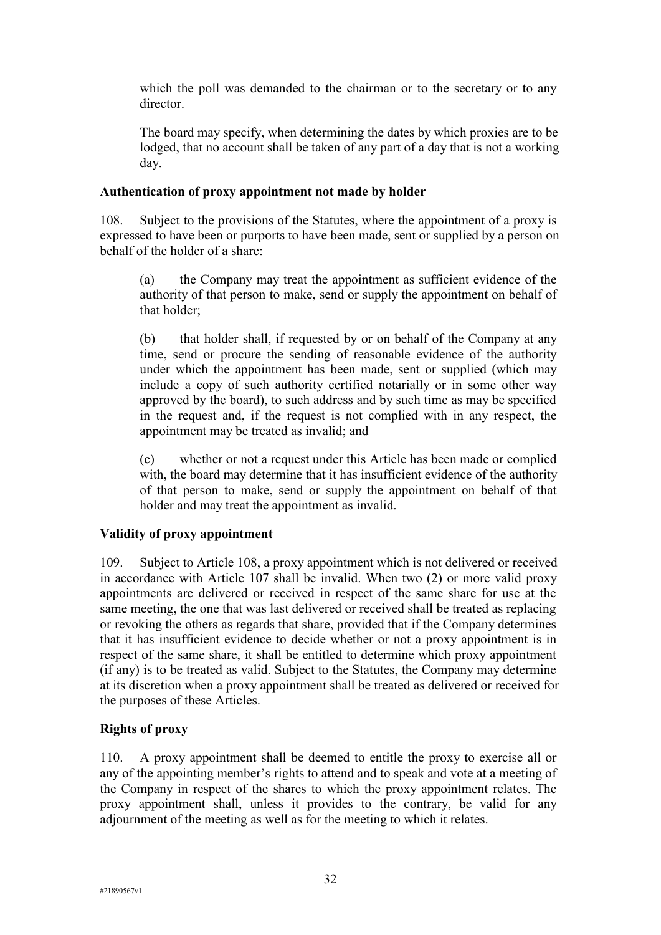which the poll was demanded to the chairman or to the secretary or to any director.

The board may specify, when determining the dates by which proxies are to be lodged, that no account shall be taken of any part of a day that is not a working day.

## **Authentication of proxy appointment not made by holder**

108. Subject to the provisions of the Statutes, where the appointment of a proxy is expressed to have been or purports to have been made, sent or supplied by a person on behalf of the holder of a share:

(a) the Company may treat the appointment as sufficient evidence of the authority of that person to make, send or supply the appointment on behalf of that holder;

(b) that holder shall, if requested by or on behalf of the Company at any time, send or procure the sending of reasonable evidence of the authority under which the appointment has been made, sent or supplied (which may include a copy of such authority certified notarially or in some other way approved by the board), to such address and by such time as may be specified in the request and, if the request is not complied with in any respect, the appointment may be treated as invalid; and

(c) whether or not a request under this Article has been made or complied with, the board may determine that it has insufficient evidence of the authority of that person to make, send or supply the appointment on behalf of that holder and may treat the appointment as invalid.

# **Validity of proxy appointment**

109. Subject to Article 108, a proxy appointment which is not delivered or received in accordance with Article 107 shall be invalid. When two (2) or more valid proxy appointments are delivered or received in respect of the same share for use at the same meeting, the one that was last delivered or received shall be treated as replacing or revoking the others as regards that share, provided that if the Company determines that it has insufficient evidence to decide whether or not a proxy appointment is in respect of the same share, it shall be entitled to determine which proxy appointment (if any) is to be treated as valid. Subject to the Statutes, the Company may determine at its discretion when a proxy appointment shall be treated as delivered or received for the purposes of these Articles.

# **Rights of proxy**

110. A proxy appointment shall be deemed to entitle the proxy to exercise all or any of the appointing member's rights to attend and to speak and vote at a meeting of the Company in respect of the shares to which the proxy appointment relates. The proxy appointment shall, unless it provides to the contrary, be valid for any adjournment of the meeting as well as for the meeting to which it relates.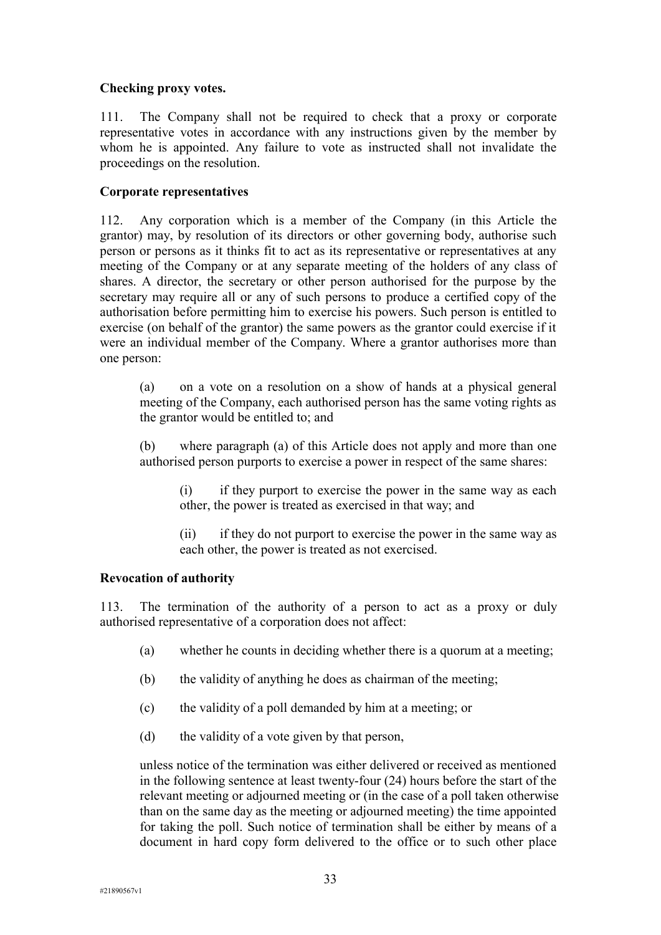# **Checking proxy votes.**

111. The Company shall not be required to check that a proxy or corporate representative votes in accordance with any instructions given by the member by whom he is appointed. Any failure to vote as instructed shall not invalidate the proceedings on the resolution.

# **Corporate representatives**

112. Any corporation which is a member of the Company (in this Article the grantor) may, by resolution of its directors or other governing body, authorise such person or persons as it thinks fit to act as its representative or representatives at any meeting of the Company or at any separate meeting of the holders of any class of shares. A director, the secretary or other person authorised for the purpose by the secretary may require all or any of such persons to produce a certified copy of the authorisation before permitting him to exercise his powers. Such person is entitled to exercise (on behalf of the grantor) the same powers as the grantor could exercise if it were an individual member of the Company. Where a grantor authorises more than one person:

(a) on a vote on a resolution on a show of hands at a physical general meeting of the Company, each authorised person has the same voting rights as the grantor would be entitled to; and

(b) where paragraph (a) of this Article does not apply and more than one authorised person purports to exercise a power in respect of the same shares:

(i) if they purport to exercise the power in the same way as each other, the power is treated as exercised in that way; and

(ii) if they do not purport to exercise the power in the same way as each other, the power is treated as not exercised.

### **Revocation of authority**

113. The termination of the authority of a person to act as a proxy or duly authorised representative of a corporation does not affect:

- (a) whether he counts in deciding whether there is a quorum at a meeting;
- (b) the validity of anything he does as chairman of the meeting;
- (c) the validity of a poll demanded by him at a meeting; or
- (d) the validity of a vote given by that person,

unless notice of the termination was either delivered or received as mentioned in the following sentence at least twenty-four (24) hours before the start of the relevant meeting or adjourned meeting or (in the case of a poll taken otherwise than on the same day as the meeting or adjourned meeting) the time appointed for taking the poll. Such notice of termination shall be either by means of a document in hard copy form delivered to the office or to such other place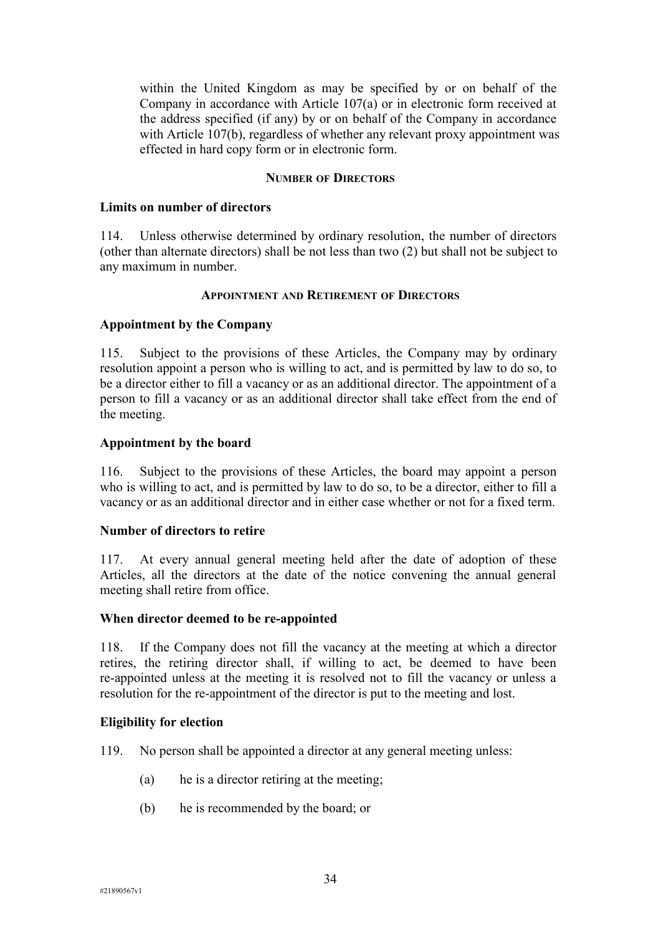within the United Kingdom as may be specified by or on behalf of the Company in accordance with Article 107(a) or in electronic form received at the address specified (if any) by or on behalf of the Company in accordance with Article 107(b), regardless of whether any relevant proxy appointment was effected in hard copy form or in electronic form.

#### **NUMBER OF DIRECTORS**

### **Limits on number of directors**

114. Unless otherwise determined by ordinary resolution, the number of directors (other than alternate directors) shall be not less than two (2) but shall not be subject to any maximum in number.

#### **APPOINTMENT AND RETIREMENT OF DIRECTORS**

### **Appointment by the Company**

115. Subject to the provisions of these Articles, the Company may by ordinary resolution appoint a person who is willing to act, and is permitted by law to do so, to be a director either to fill a vacancy or as an additional director. The appointment of a person to fill a vacancy or as an additional director shall take effect from the end of the meeting.

### **Appointment by the board**

116. Subject to the provisions of these Articles, the board may appoint a person who is willing to act, and is permitted by law to do so, to be a director, either to fill a vacancy or as an additional director and in either case whether or not for a fixed term.

### **Number of directors to retire**

117. At every annual general meeting held after the date of adoption of these Articles, all the directors at the date of the notice convening the annual general meeting shall retire from office.

#### **When director deemed to be re-appointed**

118. If the Company does not fill the vacancy at the meeting at which a director retires, the retiring director shall, if willing to act, be deemed to have been re-appointed unless at the meeting it is resolved not to fill the vacancy or unless a resolution for the re-appointment of the director is put to the meeting and lost.

#### **Eligibility for election**

- 119. No person shall be appointed a director at any general meeting unless:
	- (a) he is a director retiring at the meeting;
	- (b) he is recommended by the board; or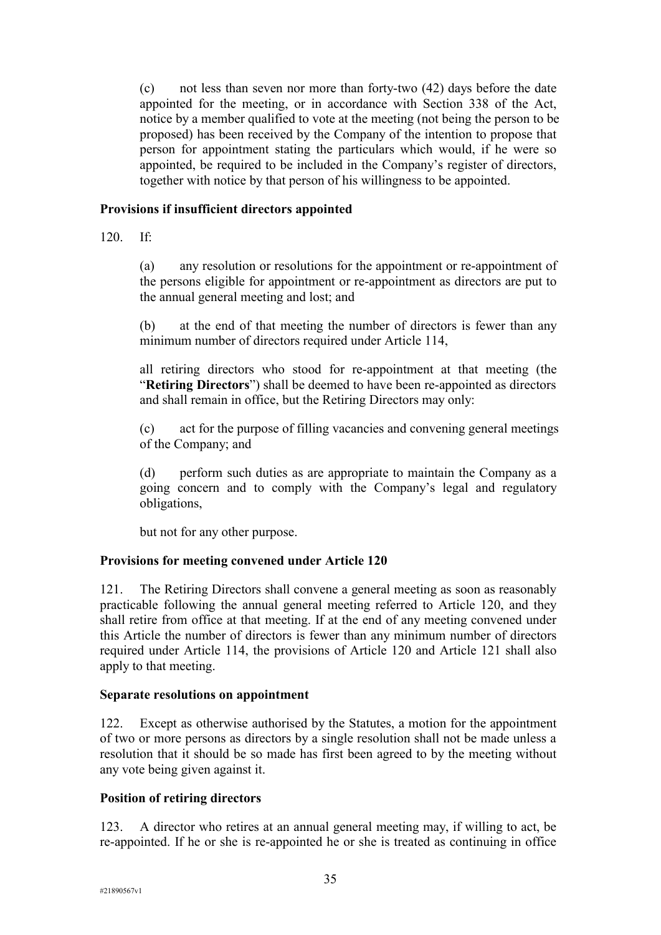(c) not less than seven nor more than forty-two (42) days before the date appointed for the meeting, or in accordance with Section 338 of the Act, notice by a member qualified to vote at the meeting (not being the person to be proposed) has been received by the Company of the intention to propose that person for appointment stating the particulars which would, if he were so appointed, be required to be included in the Company's register of directors, together with notice by that person of his willingness to be appointed.

# **Provisions if insufficient directors appointed**

120. If:

(a) any resolution or resolutions for the appointment or re-appointment of the persons eligible for appointment or re-appointment as directors are put to the annual general meeting and lost; and

(b) at the end of that meeting the number of directors is fewer than any minimum number of directors required under Article 114,

all retiring directors who stood for re-appointment at that meeting (the "**Retiring Directors**") shall be deemed to have been re-appointed as directors and shall remain in office, but the Retiring Directors may only:

(c) act for the purpose of filling vacancies and convening general meetings of the Company; and

(d) perform such duties as are appropriate to maintain the Company as a going concern and to comply with the Company's legal and regulatory obligations,

but not for any other purpose.

# **Provisions for meeting convened under Article 120**

121. The Retiring Directors shall convene a general meeting as soon as reasonably practicable following the annual general meeting referred to Article 120, and they shall retire from office at that meeting. If at the end of any meeting convened under this Article the number of directors is fewer than any minimum number of directors required under Article 114, the provisions of Article 120 and Article 121 shall also apply to that meeting.

### **Separate resolutions on appointment**

122. Except as otherwise authorised by the Statutes, a motion for the appointment of two or more persons as directors by a single resolution shall not be made unless a resolution that it should be so made has first been agreed to by the meeting without any vote being given against it.

### **Position of retiring directors**

123. A director who retires at an annual general meeting may, if willing to act, be re-appointed. If he or she is re-appointed he or she is treated as continuing in office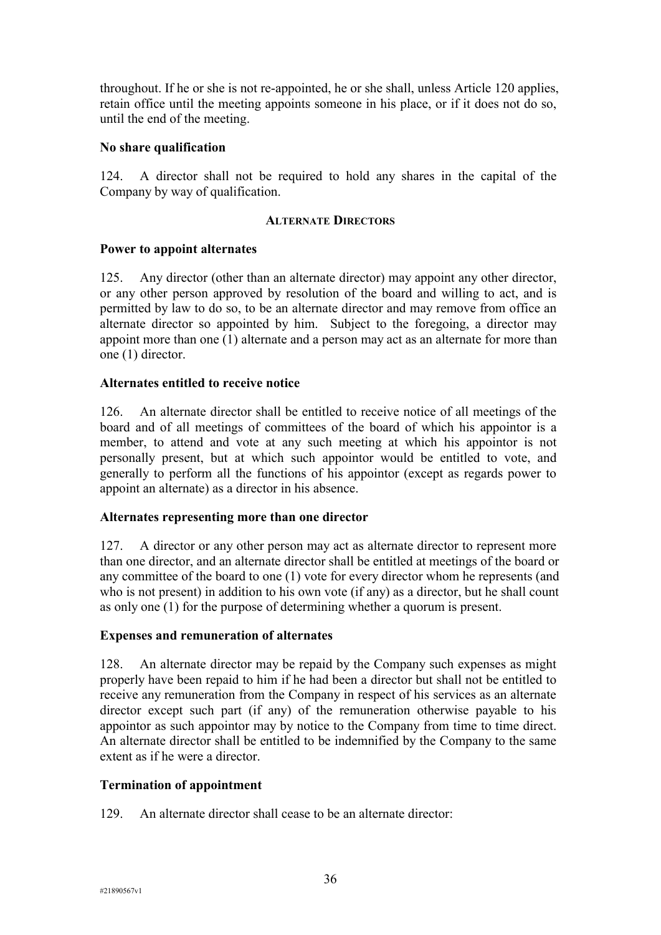throughout. If he or she is not re-appointed, he or she shall, unless Article 120 applies, retain office until the meeting appoints someone in his place, or if it does not do so, until the end of the meeting.

## **No share qualification**

124. A director shall not be required to hold any shares in the capital of the Company by way of qualification.

### **ALTERNATE DIRECTORS**

# **Power to appoint alternates**

125. Any director (other than an alternate director) may appoint any other director, or any other person approved by resolution of the board and willing to act, and is permitted by law to do so, to be an alternate director and may remove from office an alternate director so appointed by him. Subject to the foregoing, a director may appoint more than one (1) alternate and a person may act as an alternate for more than one (1) director.

# **Alternates entitled to receive notice**

126. An alternate director shall be entitled to receive notice of all meetings of the board and of all meetings of committees of the board of which his appointor is a member, to attend and vote at any such meeting at which his appointor is not personally present, but at which such appointor would be entitled to vote, and generally to perform all the functions of his appointor (except as regards power to appoint an alternate) as a director in his absence.

### **Alternates representing more than one director**

127. A director or any other person may act as alternate director to represent more than one director, and an alternate director shall be entitled at meetings of the board or any committee of the board to one (1) vote for every director whom he represents (and who is not present) in addition to his own vote (if any) as a director, but he shall count as only one (1) for the purpose of determining whether a quorum is present.

### **Expenses and remuneration of alternates**

128. An alternate director may be repaid by the Company such expenses as might properly have been repaid to him if he had been a director but shall not be entitled to receive any remuneration from the Company in respect of his services as an alternate director except such part (if any) of the remuneration otherwise payable to his appointor as such appointor may by notice to the Company from time to time direct. An alternate director shall be entitled to be indemnified by the Company to the same extent as if he were a director.

### **Termination of appointment**

129. An alternate director shall cease to be an alternate director: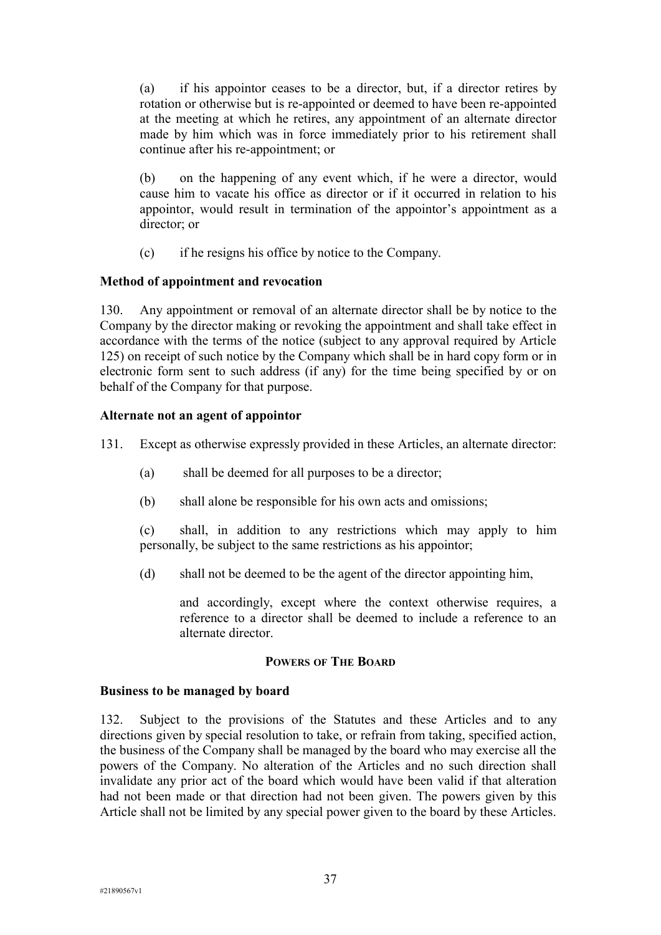(a) if his appointor ceases to be a director, but, if a director retires by rotation or otherwise but is re-appointed or deemed to have been re-appointed at the meeting at which he retires, any appointment of an alternate director made by him which was in force immediately prior to his retirement shall continue after his re-appointment; or

(b) on the happening of any event which, if he were a director, would cause him to vacate his office as director or if it occurred in relation to his appointor, would result in termination of the appointor's appointment as a director; or

(c) if he resigns his office by notice to the Company.

# **Method of appointment and revocation**

130. Any appointment or removal of an alternate director shall be by notice to the Company by the director making or revoking the appointment and shall take effect in accordance with the terms of the notice (subject to any approval required by Article 125) on receipt of such notice by the Company which shall be in hard copy form or in electronic form sent to such address (if any) for the time being specified by or on behalf of the Company for that purpose.

# **Alternate not an agent of appointor**

131. Except as otherwise expressly provided in these Articles, an alternate director:

- (a) shall be deemed for all purposes to be a director;
- (b) shall alone be responsible for his own acts and omissions;

(c) shall, in addition to any restrictions which may apply to him personally, be subject to the same restrictions as his appointor;

(d) shall not be deemed to be the agent of the director appointing him,

and accordingly, except where the context otherwise requires, a reference to a director shall be deemed to include a reference to an alternate director.

### **POWERS OF THE BOARD**

### **Business to be managed by board**

132. Subject to the provisions of the Statutes and these Articles and to any directions given by special resolution to take, or refrain from taking, specified action, the business of the Company shall be managed by the board who may exercise all the powers of the Company. No alteration of the Articles and no such direction shall invalidate any prior act of the board which would have been valid if that alteration had not been made or that direction had not been given. The powers given by this Article shall not be limited by any special power given to the board by these Articles.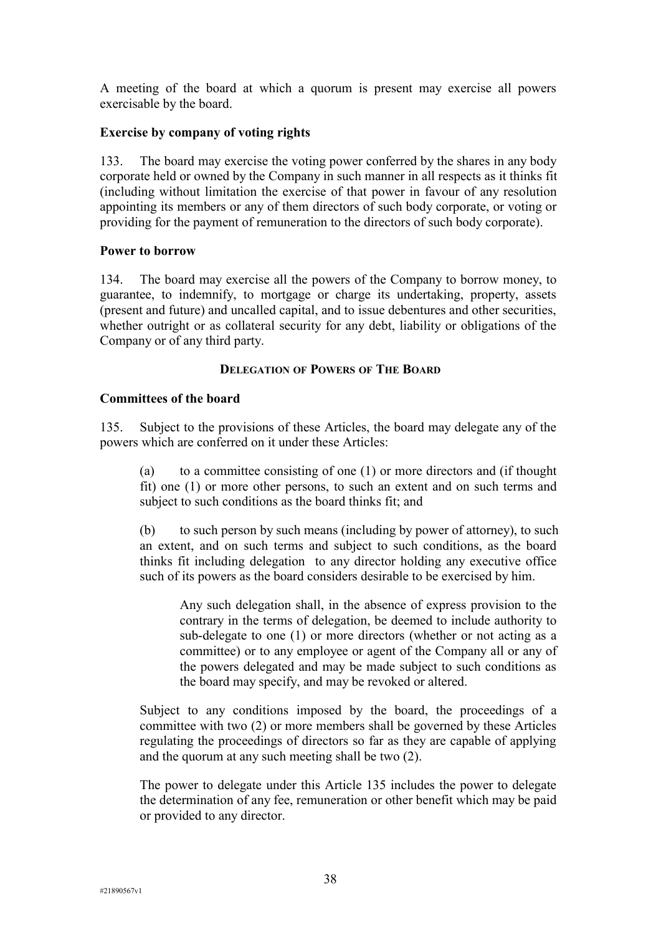A meeting of the board at which a quorum is present may exercise all powers exercisable by the board.

## **Exercise by company of voting rights**

133. The board may exercise the voting power conferred by the shares in any body corporate held or owned by the Company in such manner in all respects as it thinks fit (including without limitation the exercise of that power in favour of any resolution appointing its members or any of them directors of such body corporate, or voting or providing for the payment of remuneration to the directors of such body corporate).

### **Power to borrow**

134. The board may exercise all the powers of the Company to borrow money, to guarantee, to indemnify, to mortgage or charge its undertaking, property, assets (present and future) and uncalled capital, and to issue debentures and other securities, whether outright or as collateral security for any debt, liability or obligations of the Company or of any third party.

### **DELEGATION OF POWERS OF THE BOARD**

### **Committees of the board**

135. Subject to the provisions of these Articles, the board may delegate any of the powers which are conferred on it under these Articles:

(a) to a committee consisting of one (1) or more directors and (if thought fit) one (1) or more other persons, to such an extent and on such terms and subject to such conditions as the board thinks fit; and

(b) to such person by such means (including by power of attorney), to such an extent, and on such terms and subject to such conditions, as the board thinks fit including delegation to any director holding any executive office such of its powers as the board considers desirable to be exercised by him.

Any such delegation shall, in the absence of express provision to the contrary in the terms of delegation, be deemed to include authority to sub-delegate to one (1) or more directors (whether or not acting as a committee) or to any employee or agent of the Company all or any of the powers delegated and may be made subject to such conditions as the board may specify, and may be revoked or altered.

Subject to any conditions imposed by the board, the proceedings of a committee with two (2) or more members shall be governed by these Articles regulating the proceedings of directors so far as they are capable of applying and the quorum at any such meeting shall be two (2).

The power to delegate under this Article 135 includes the power to delegate the determination of any fee, remuneration or other benefit which may be paid or provided to any director.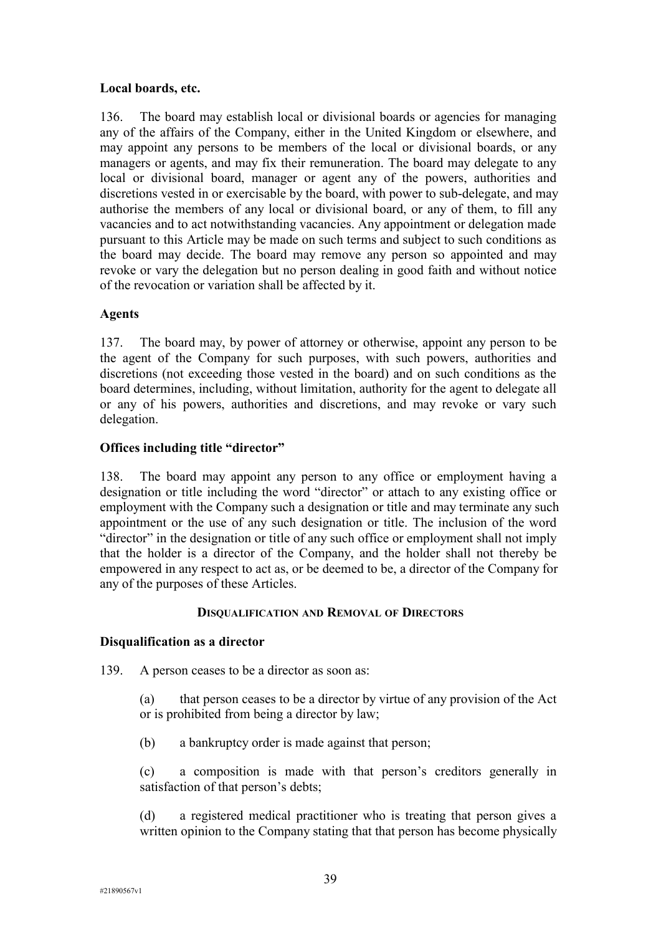# **Local boards, etc.**

136. The board may establish local or divisional boards or agencies for managing any of the affairs of the Company, either in the United Kingdom or elsewhere, and may appoint any persons to be members of the local or divisional boards, or any managers or agents, and may fix their remuneration. The board may delegate to any local or divisional board, manager or agent any of the powers, authorities and discretions vested in or exercisable by the board, with power to sub-delegate, and may authorise the members of any local or divisional board, or any of them, to fill any vacancies and to act notwithstanding vacancies. Any appointment or delegation made pursuant to this Article may be made on such terms and subject to such conditions as the board may decide. The board may remove any person so appointed and may revoke or vary the delegation but no person dealing in good faith and without notice of the revocation or variation shall be affected by it.

# **Agents**

137. The board may, by power of attorney or otherwise, appoint any person to be the agent of the Company for such purposes, with such powers, authorities and discretions (not exceeding those vested in the board) and on such conditions as the board determines, including, without limitation, authority for the agent to delegate all or any of his powers, authorities and discretions, and may revoke or vary such delegation.

# **Offices including title "director"**

138. The board may appoint any person to any office or employment having a designation or title including the word "director" or attach to any existing office or employment with the Company such a designation or title and may terminate any such appointment or the use of any such designation or title. The inclusion of the word "director" in the designation or title of any such office or employment shall not imply that the holder is a director of the Company, and the holder shall not thereby be empowered in any respect to act as, or be deemed to be, a director of the Company for any of the purposes of these Articles.

### **DISQUALIFICATION AND REMOVAL OF DIRECTORS**

# **Disqualification as a director**

139. A person ceases to be a director as soon as:

(a) that person ceases to be a director by virtue of any provision of the Act or is prohibited from being a director by law;

(b) a bankruptcy order is made against that person;

(c) a composition is made with that person's creditors generally in satisfaction of that person's debts;

(d) a registered medical practitioner who is treating that person gives a written opinion to the Company stating that that person has become physically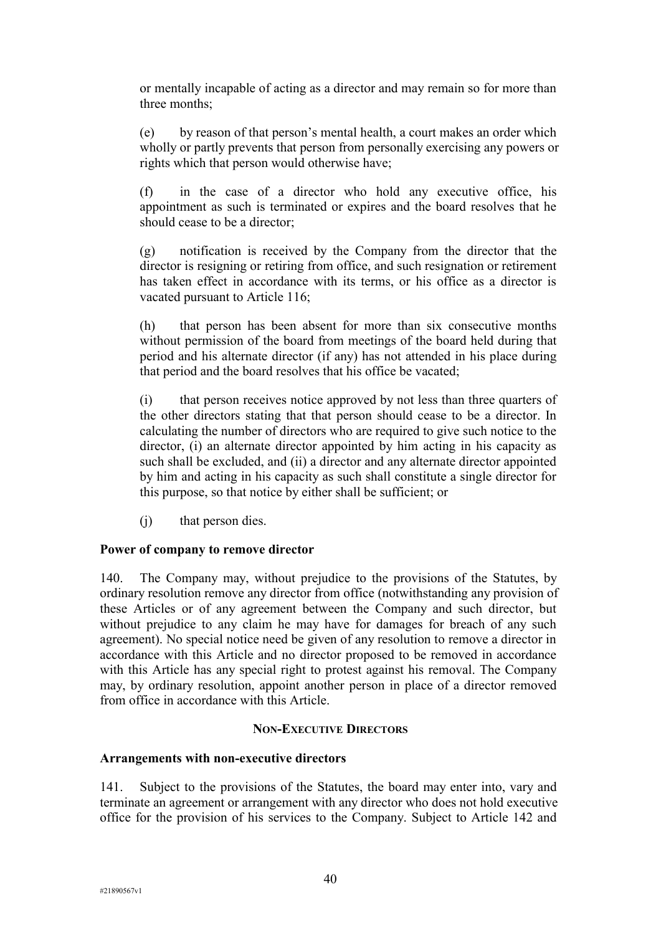or mentally incapable of acting as a director and may remain so for more than three months;

(e) by reason of that person's mental health, a court makes an order which wholly or partly prevents that person from personally exercising any powers or rights which that person would otherwise have;

(f) in the case of a director who hold any executive office, his appointment as such is terminated or expires and the board resolves that he should cease to be a director;

(g) notification is received by the Company from the director that the director is resigning or retiring from office, and such resignation or retirement has taken effect in accordance with its terms, or his office as a director is vacated pursuant to Article 116;

(h) that person has been absent for more than six consecutive months without permission of the board from meetings of the board held during that period and his alternate director (if any) has not attended in his place during that period and the board resolves that his office be vacated;

(i) that person receives notice approved by not less than three quarters of the other directors stating that that person should cease to be a director. In calculating the number of directors who are required to give such notice to the director, (i) an alternate director appointed by him acting in his capacity as such shall be excluded, and (ii) a director and any alternate director appointed by him and acting in his capacity as such shall constitute a single director for this purpose, so that notice by either shall be sufficient; or

(j) that person dies.

### **Power of company to remove director**

140. The Company may, without prejudice to the provisions of the Statutes, by ordinary resolution remove any director from office (notwithstanding any provision of these Articles or of any agreement between the Company and such director, but without prejudice to any claim he may have for damages for breach of any such agreement). No special notice need be given of any resolution to remove a director in accordance with this Article and no director proposed to be removed in accordance with this Article has any special right to protest against his removal. The Company may, by ordinary resolution, appoint another person in place of a director removed from office in accordance with this Article.

### **NON-EXECUTIVE DIRECTORS**

### **Arrangements with non-executive directors**

141. Subject to the provisions of the Statutes, the board may enter into, vary and terminate an agreement or arrangement with any director who does not hold executive office for the provision of his services to the Company. Subject to Article 142 and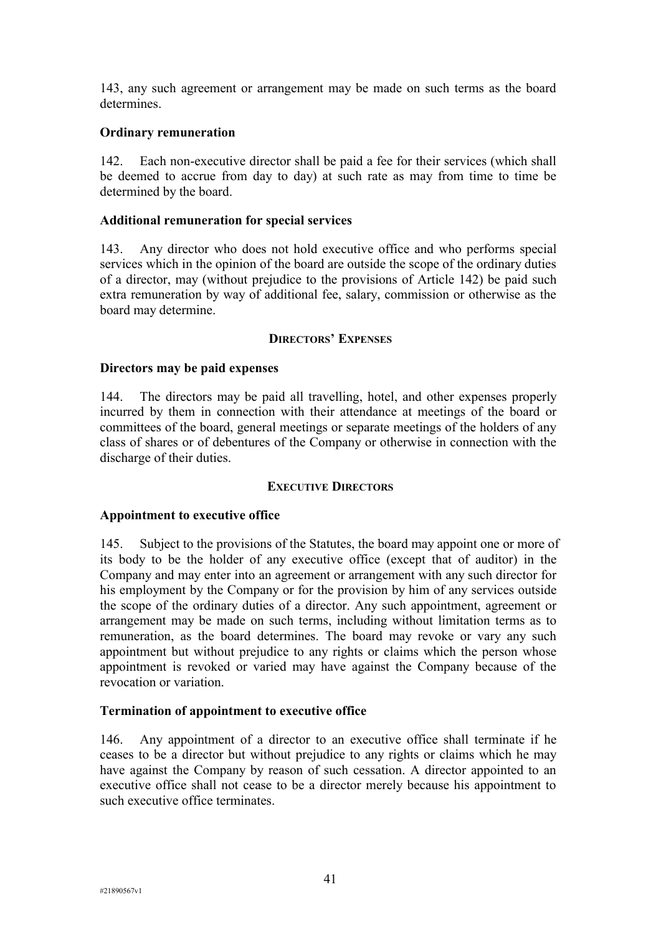143, any such agreement or arrangement may be made on such terms as the board determines.

## **Ordinary remuneration**

142. Each non-executive director shall be paid a fee for their services (which shall be deemed to accrue from day to day) at such rate as may from time to time be determined by the board.

# **Additional remuneration for special services**

143. Any director who does not hold executive office and who performs special services which in the opinion of the board are outside the scope of the ordinary duties of a director, may (without prejudice to the provisions of Article 142) be paid such extra remuneration by way of additional fee, salary, commission or otherwise as the board may determine.

# **DIRECTORS' EXPENSES**

# **Directors may be paid expenses**

144. The directors may be paid all travelling, hotel, and other expenses properly incurred by them in connection with their attendance at meetings of the board or committees of the board, general meetings or separate meetings of the holders of any class of shares or of debentures of the Company or otherwise in connection with the discharge of their duties.

### **EXECUTIVE DIRECTORS**

### **Appointment to executive office**

145. Subject to the provisions of the Statutes, the board may appoint one or more of its body to be the holder of any executive office (except that of auditor) in the Company and may enter into an agreement or arrangement with any such director for his employment by the Company or for the provision by him of any services outside the scope of the ordinary duties of a director. Any such appointment, agreement or arrangement may be made on such terms, including without limitation terms as to remuneration, as the board determines. The board may revoke or vary any such appointment but without prejudice to any rights or claims which the person whose appointment is revoked or varied may have against the Company because of the revocation or variation.

### **Termination of appointment to executive office**

146. Any appointment of a director to an executive office shall terminate if he ceases to be a director but without prejudice to any rights or claims which he may have against the Company by reason of such cessation. A director appointed to an executive office shall not cease to be a director merely because his appointment to such executive office terminates.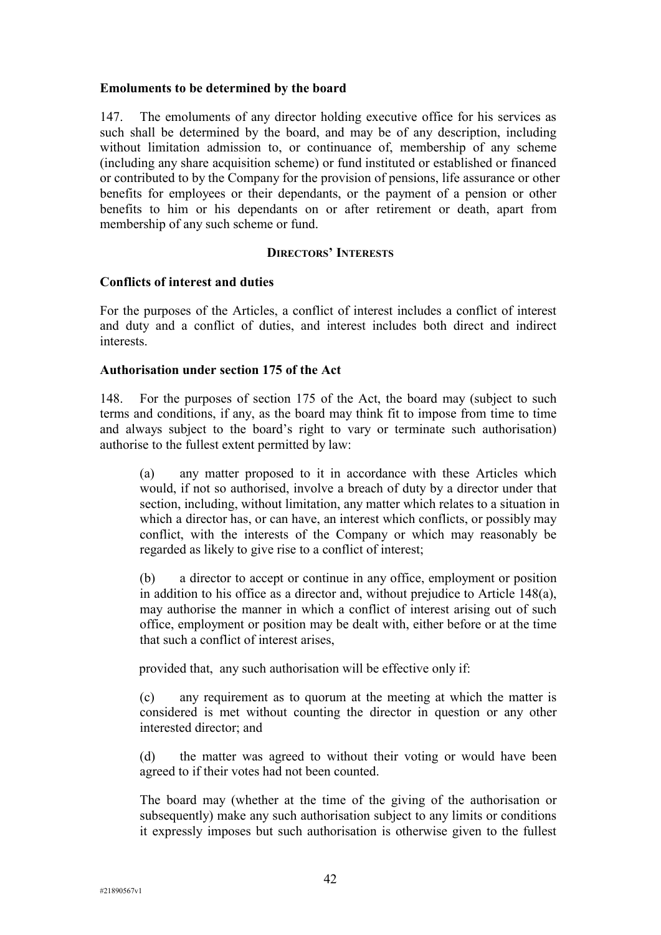### **Emoluments to be determined by the board**

147. The emoluments of any director holding executive office for his services as such shall be determined by the board, and may be of any description, including without limitation admission to, or continuance of, membership of any scheme (including any share acquisition scheme) or fund instituted or established or financed or contributed to by the Company for the provision of pensions, life assurance or other benefits for employees or their dependants, or the payment of a pension or other benefits to him or his dependants on or after retirement or death, apart from membership of any such scheme or fund.

### **DIRECTORS' INTERESTS**

### **Conflicts of interest and duties**

For the purposes of the Articles, a conflict of interest includes a conflict of interest and duty and a conflict of duties, and interest includes both direct and indirect interests.

### **Authorisation under section 175 of the Act**

148. For the purposes of section 175 of the Act, the board may (subject to such terms and conditions, if any, as the board may think fit to impose from time to time and always subject to the board's right to vary or terminate such authorisation) authorise to the fullest extent permitted by law:

(a) any matter proposed to it in accordance with these Articles which would, if not so authorised, involve a breach of duty by a director under that section, including, without limitation, any matter which relates to a situation in which a director has, or can have, an interest which conflicts, or possibly may conflict, with the interests of the Company or which may reasonably be regarded as likely to give rise to a conflict of interest;

(b) a director to accept or continue in any office, employment or position in addition to his office as a director and, without prejudice to Article 148(a), may authorise the manner in which a conflict of interest arising out of such office, employment or position may be dealt with, either before or at the time that such a conflict of interest arises,

provided that, any such authorisation will be effective only if:

(c) any requirement as to quorum at the meeting at which the matter is considered is met without counting the director in question or any other interested director; and

(d) the matter was agreed to without their voting or would have been agreed to if their votes had not been counted.

The board may (whether at the time of the giving of the authorisation or subsequently) make any such authorisation subject to any limits or conditions it expressly imposes but such authorisation is otherwise given to the fullest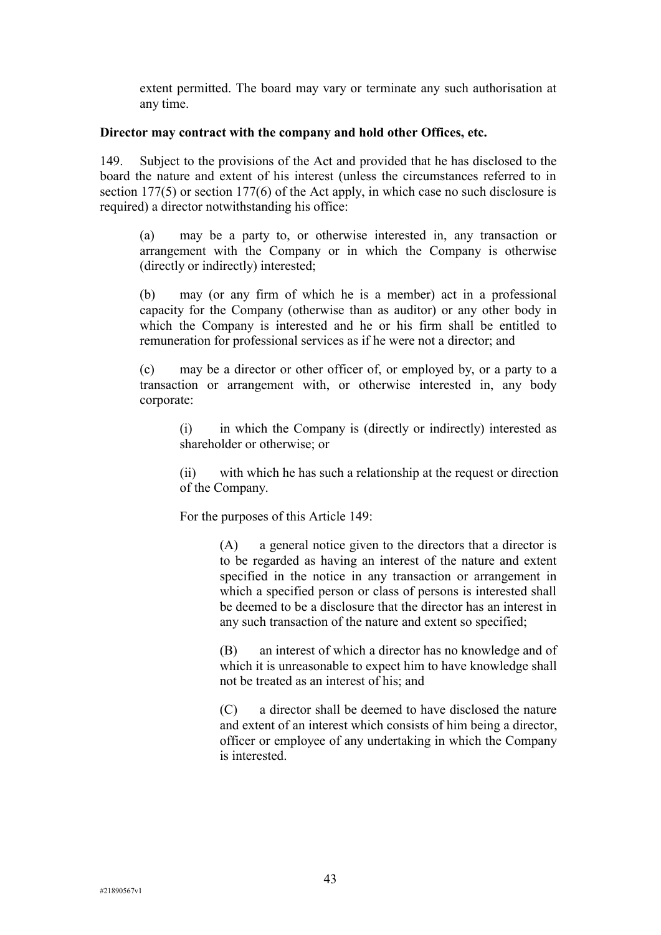extent permitted. The board may vary or terminate any such authorisation at any time.

### **Director may contract with the company and hold other Offices, etc.**

149. Subject to the provisions of the Act and provided that he has disclosed to the board the nature and extent of his interest (unless the circumstances referred to in section 177(5) or section 177(6) of the Act apply, in which case no such disclosure is required) a director notwithstanding his office:

(a) may be a party to, or otherwise interested in, any transaction or arrangement with the Company or in which the Company is otherwise (directly or indirectly) interested;

(b) may (or any firm of which he is a member) act in a professional capacity for the Company (otherwise than as auditor) or any other body in which the Company is interested and he or his firm shall be entitled to remuneration for professional services as if he were not a director; and

(c) may be a director or other officer of, or employed by, or a party to a transaction or arrangement with, or otherwise interested in, any body corporate:

(i) in which the Company is (directly or indirectly) interested as shareholder or otherwise; or

(ii) with which he has such a relationship at the request or direction of the Company.

For the purposes of this Article 149:

(A) a general notice given to the directors that a director is to be regarded as having an interest of the nature and extent specified in the notice in any transaction or arrangement in which a specified person or class of persons is interested shall be deemed to be a disclosure that the director has an interest in any such transaction of the nature and extent so specified;

(B) an interest of which a director has no knowledge and of which it is unreasonable to expect him to have knowledge shall not be treated as an interest of his; and

(C) a director shall be deemed to have disclosed the nature and extent of an interest which consists of him being a director, officer or employee of any undertaking in which the Company is interested.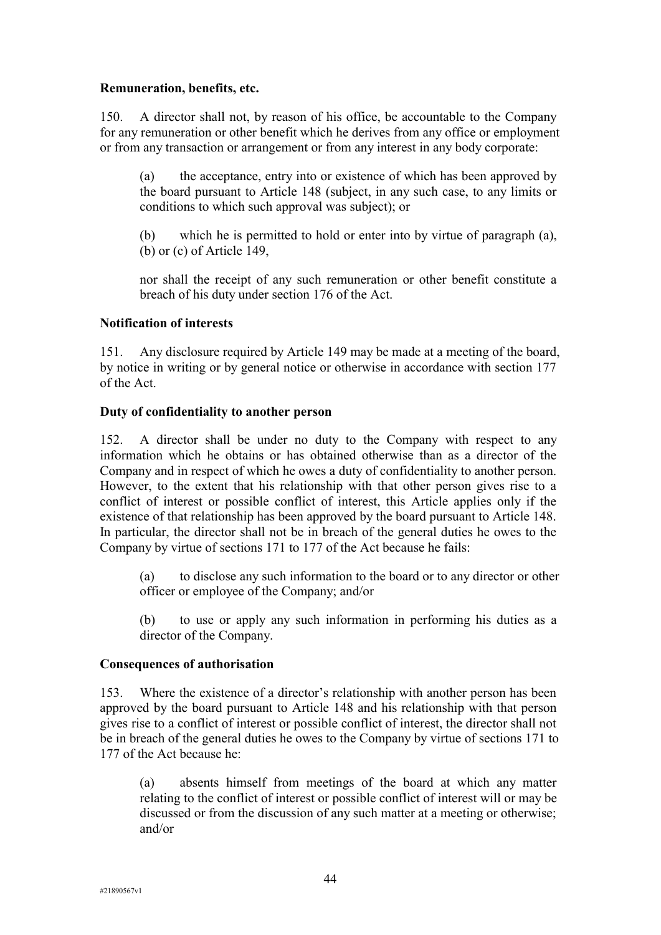# **Remuneration, benefits, etc.**

150. A director shall not, by reason of his office, be accountable to the Company for any remuneration or other benefit which he derives from any office or employment or from any transaction or arrangement or from any interest in any body corporate:

(a) the acceptance, entry into or existence of which has been approved by the board pursuant to Article 148 (subject, in any such case, to any limits or conditions to which such approval was subject); or

(b) which he is permitted to hold or enter into by virtue of paragraph (a), (b) or (c) of Article 149,

nor shall the receipt of any such remuneration or other benefit constitute a breach of his duty under section 176 of the Act.

# **Notification of interests**

151. Any disclosure required by Article 149 may be made at a meeting of the board, by notice in writing or by general notice or otherwise in accordance with section 177 of the Act.

### **Duty of confidentiality to another person**

152. A director shall be under no duty to the Company with respect to any information which he obtains or has obtained otherwise than as a director of the Company and in respect of which he owes a duty of confidentiality to another person. However, to the extent that his relationship with that other person gives rise to a conflict of interest or possible conflict of interest, this Article applies only if the existence of that relationship has been approved by the board pursuant to Article 148. In particular, the director shall not be in breach of the general duties he owes to the Company by virtue of sections 171 to 177 of the Act because he fails:

(a) to disclose any such information to the board or to any director or other officer or employee of the Company; and/or

(b) to use or apply any such information in performing his duties as a director of the Company.

### **Consequences of authorisation**

153. Where the existence of a director's relationship with another person has been approved by the board pursuant to Article 148 and his relationship with that person gives rise to a conflict of interest or possible conflict of interest, the director shall not be in breach of the general duties he owes to the Company by virtue of sections 171 to 177 of the Act because he:

(a) absents himself from meetings of the board at which any matter relating to the conflict of interest or possible conflict of interest will or may be discussed or from the discussion of any such matter at a meeting or otherwise; and/or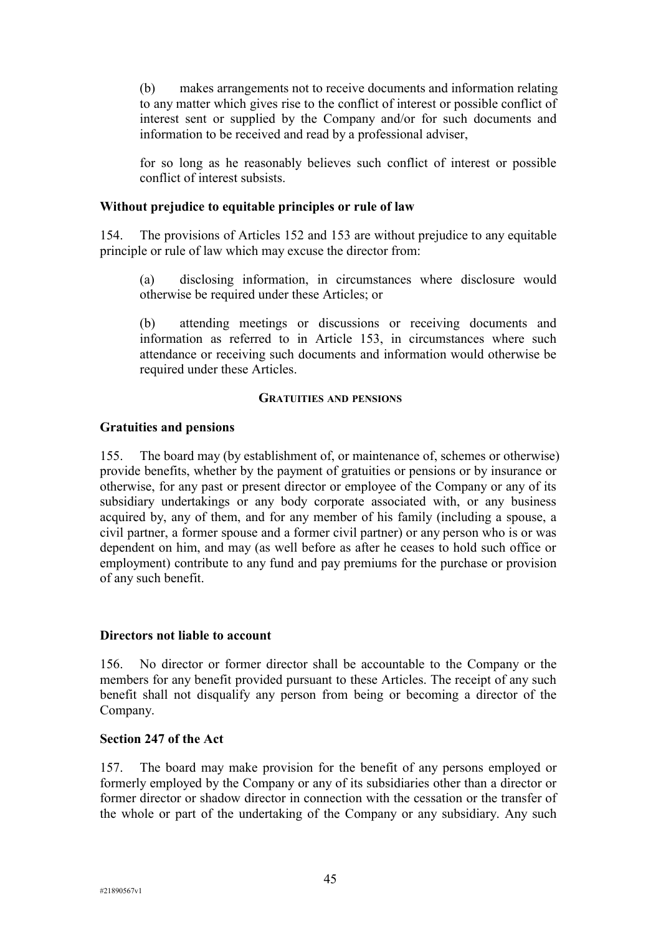(b) makes arrangements not to receive documents and information relating to any matter which gives rise to the conflict of interest or possible conflict of interest sent or supplied by the Company and/or for such documents and information to be received and read by a professional adviser,

for so long as he reasonably believes such conflict of interest or possible conflict of interest subsists.

### **Without prejudice to equitable principles or rule of law**

154. The provisions of Articles 152 and 153 are without prejudice to any equitable principle or rule of law which may excuse the director from:

(a) disclosing information, in circumstances where disclosure would otherwise be required under these Articles; or

(b) attending meetings or discussions or receiving documents and information as referred to in Article 153, in circumstances where such attendance or receiving such documents and information would otherwise be required under these Articles.

#### **GRATUITIES AND PENSIONS**

#### **Gratuities and pensions**

155. The board may (by establishment of, or maintenance of, schemes or otherwise) provide benefits, whether by the payment of gratuities or pensions or by insurance or otherwise, for any past or present director or employee of the Company or any of its subsidiary undertakings or any body corporate associated with, or any business acquired by, any of them, and for any member of his family (including a spouse, a civil partner, a former spouse and a former civil partner) or any person who is or was dependent on him, and may (as well before as after he ceases to hold such office or employment) contribute to any fund and pay premiums for the purchase or provision of any such benefit.

#### **Directors not liable to account**

156. No director or former director shall be accountable to the Company or the members for any benefit provided pursuant to these Articles. The receipt of any such benefit shall not disqualify any person from being or becoming a director of the Company.

#### **Section 247 of the Act**

157. The board may make provision for the benefit of any persons employed or formerly employed by the Company or any of its subsidiaries other than a director or former director or shadow director in connection with the cessation or the transfer of the whole or part of the undertaking of the Company or any subsidiary. Any such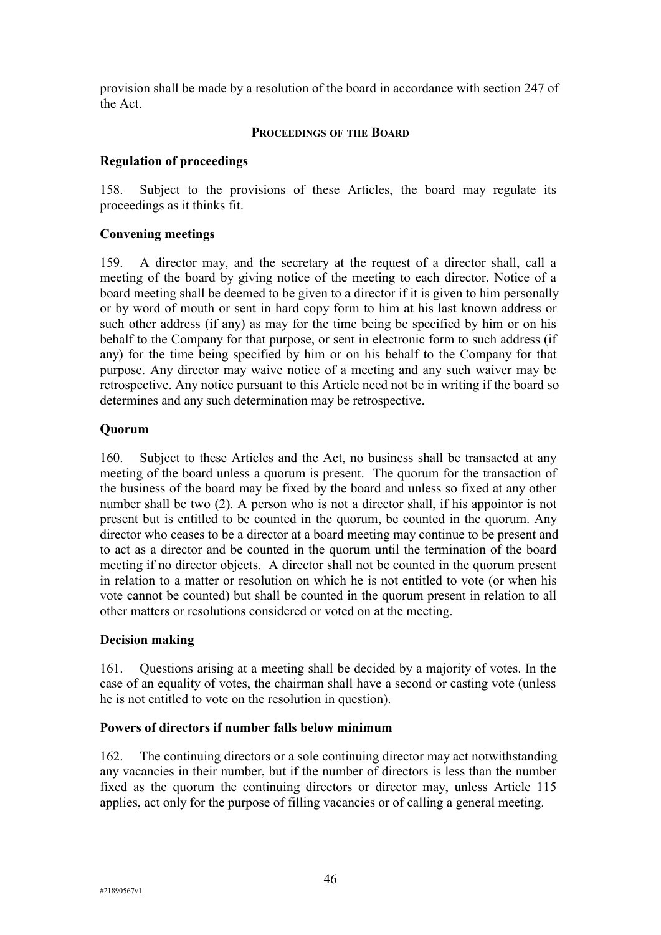provision shall be made by a resolution of the board in accordance with section 247 of the Act.

### **PROCEEDINGS OF THE BOARD**

# **Regulation of proceedings**

158. Subject to the provisions of these Articles, the board may regulate its proceedings as it thinks fit.

# **Convening meetings**

159. A director may, and the secretary at the request of a director shall, call a meeting of the board by giving notice of the meeting to each director. Notice of a board meeting shall be deemed to be given to a director if it is given to him personally or by word of mouth or sent in hard copy form to him at his last known address or such other address (if any) as may for the time being be specified by him or on his behalf to the Company for that purpose, or sent in electronic form to such address (if any) for the time being specified by him or on his behalf to the Company for that purpose. Any director may waive notice of a meeting and any such waiver may be retrospective. Any notice pursuant to this Article need not be in writing if the board so determines and any such determination may be retrospective.

# **Quorum**

160. Subject to these Articles and the Act, no business shall be transacted at any meeting of the board unless a quorum is present. The quorum for the transaction of the business of the board may be fixed by the board and unless so fixed at any other number shall be two (2). A person who is not a director shall, if his appointor is not present but is entitled to be counted in the quorum, be counted in the quorum. Any director who ceases to be a director at a board meeting may continue to be present and to act as a director and be counted in the quorum until the termination of the board meeting if no director objects. A director shall not be counted in the quorum present in relation to a matter or resolution on which he is not entitled to vote (or when his vote cannot be counted) but shall be counted in the quorum present in relation to all other matters or resolutions considered or voted on at the meeting.

### **Decision making**

161. Questions arising at a meeting shall be decided by a majority of votes. In the case of an equality of votes, the chairman shall have a second or casting vote (unless he is not entitled to vote on the resolution in question).

# **Powers of directors if number falls below minimum**

162. The continuing directors or a sole continuing director may act notwithstanding any vacancies in their number, but if the number of directors is less than the number fixed as the quorum the continuing directors or director may, unless Article 115 applies, act only for the purpose of filling vacancies or of calling a general meeting.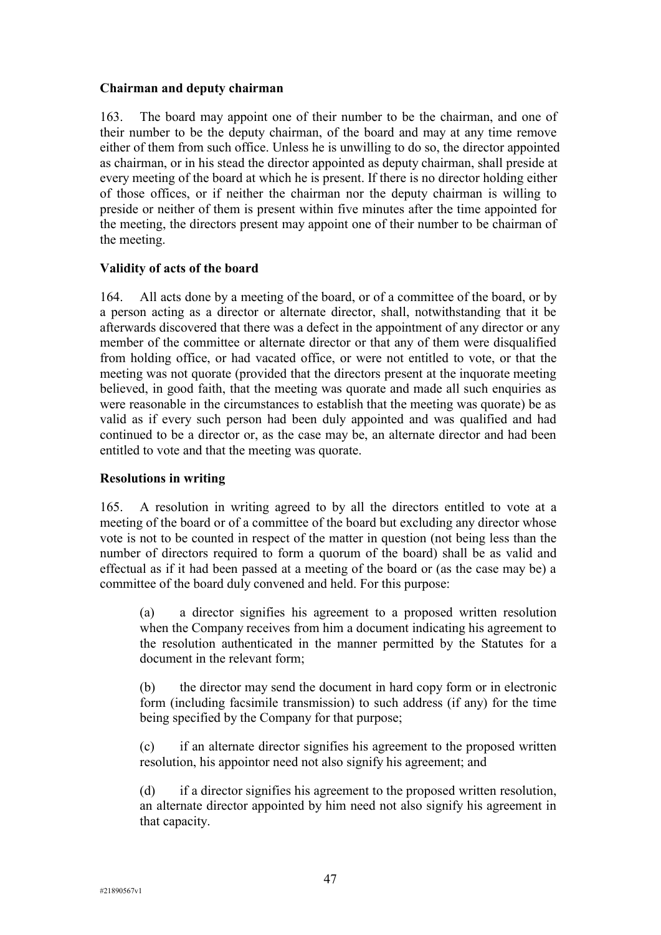# **Chairman and deputy chairman**

163. The board may appoint one of their number to be the chairman, and one of their number to be the deputy chairman, of the board and may at any time remove either of them from such office. Unless he is unwilling to do so, the director appointed as chairman, or in his stead the director appointed as deputy chairman, shall preside at every meeting of the board at which he is present. If there is no director holding either of those offices, or if neither the chairman nor the deputy chairman is willing to preside or neither of them is present within five minutes after the time appointed for the meeting, the directors present may appoint one of their number to be chairman of the meeting.

# **Validity of acts of the board**

164. All acts done by a meeting of the board, or of a committee of the board, or by a person acting as a director or alternate director, shall, notwithstanding that it be afterwards discovered that there was a defect in the appointment of any director or any member of the committee or alternate director or that any of them were disqualified from holding office, or had vacated office, or were not entitled to vote, or that the meeting was not quorate (provided that the directors present at the inquorate meeting believed, in good faith, that the meeting was quorate and made all such enquiries as were reasonable in the circumstances to establish that the meeting was quorate) be as valid as if every such person had been duly appointed and was qualified and had continued to be a director or, as the case may be, an alternate director and had been entitled to vote and that the meeting was quorate.

# **Resolutions in writing**

165. A resolution in writing agreed to by all the directors entitled to vote at a meeting of the board or of a committee of the board but excluding any director whose vote is not to be counted in respect of the matter in question (not being less than the number of directors required to form a quorum of the board) shall be as valid and effectual as if it had been passed at a meeting of the board or (as the case may be) a committee of the board duly convened and held. For this purpose:

(a) a director signifies his agreement to a proposed written resolution when the Company receives from him a document indicating his agreement to the resolution authenticated in the manner permitted by the Statutes for a document in the relevant form;

(b) the director may send the document in hard copy form or in electronic form (including facsimile transmission) to such address (if any) for the time being specified by the Company for that purpose;

(c) if an alternate director signifies his agreement to the proposed written resolution, his appointor need not also signify his agreement; and

(d) if a director signifies his agreement to the proposed written resolution, an alternate director appointed by him need not also signify his agreement in that capacity.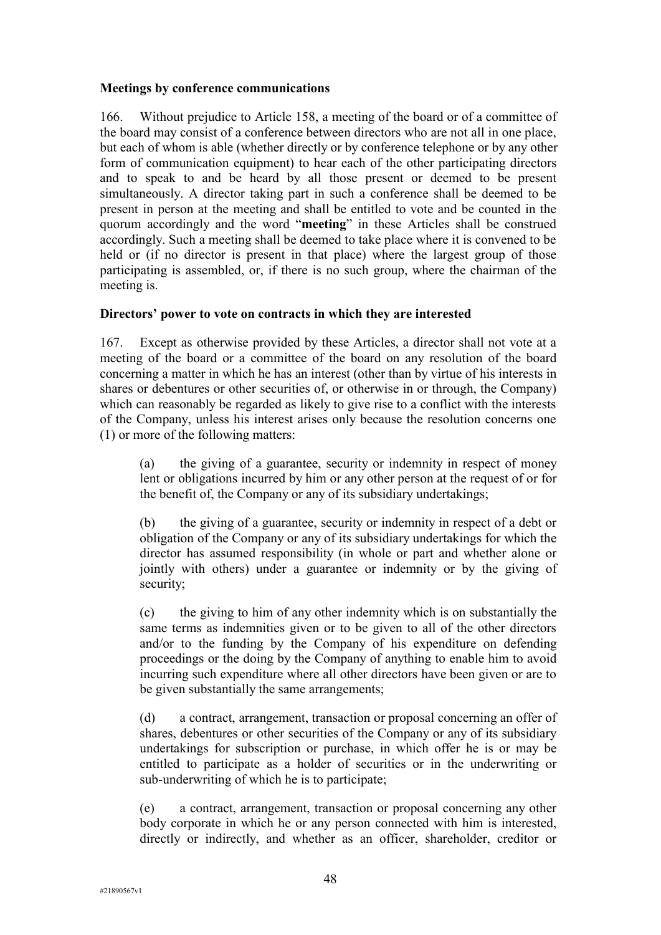### **Meetings by conference communications**

166. Without prejudice to Article 158, a meeting of the board or of a committee of the board may consist of a conference between directors who are not all in one place, but each of whom is able (whether directly or by conference telephone or by any other form of communication equipment) to hear each of the other participating directors and to speak to and be heard by all those present or deemed to be present simultaneously. A director taking part in such a conference shall be deemed to be present in person at the meeting and shall be entitled to vote and be counted in the quorum accordingly and the word "**meeting**" in these Articles shall be construed accordingly. Such a meeting shall be deemed to take place where it is convened to be held or (if no director is present in that place) where the largest group of those participating is assembled, or, if there is no such group, where the chairman of the meeting is.

### **Directors' power to vote on contracts in which they are interested**

167. Except as otherwise provided by these Articles, a director shall not vote at a meeting of the board or a committee of the board on any resolution of the board concerning a matter in which he has an interest (other than by virtue of his interests in shares or debentures or other securities of, or otherwise in or through, the Company) which can reasonably be regarded as likely to give rise to a conflict with the interests of the Company, unless his interest arises only because the resolution concerns one (1) or more of the following matters:

(a) the giving of a guarantee, security or indemnity in respect of money lent or obligations incurred by him or any other person at the request of or for the benefit of, the Company or any of its subsidiary undertakings;

(b) the giving of a guarantee, security or indemnity in respect of a debt or obligation of the Company or any of its subsidiary undertakings for which the director has assumed responsibility (in whole or part and whether alone or jointly with others) under a guarantee or indemnity or by the giving of security;

(c) the giving to him of any other indemnity which is on substantially the same terms as indemnities given or to be given to all of the other directors and/or to the funding by the Company of his expenditure on defending proceedings or the doing by the Company of anything to enable him to avoid incurring such expenditure where all other directors have been given or are to be given substantially the same arrangements;

(d) a contract, arrangement, transaction or proposal concerning an offer of shares, debentures or other securities of the Company or any of its subsidiary undertakings for subscription or purchase, in which offer he is or may be entitled to participate as a holder of securities or in the underwriting or sub-underwriting of which he is to participate;

(e) a contract, arrangement, transaction or proposal concerning any other body corporate in which he or any person connected with him is interested, directly or indirectly, and whether as an officer, shareholder, creditor or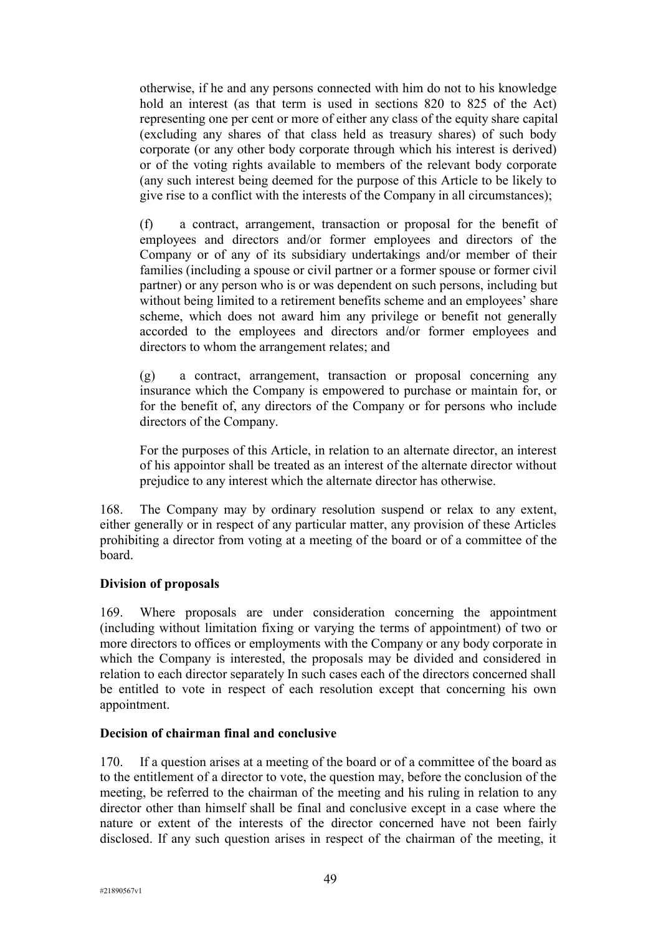otherwise, if he and any persons connected with him do not to his knowledge hold an interest (as that term is used in sections 820 to 825 of the Act) representing one per cent or more of either any class of the equity share capital (excluding any shares of that class held as treasury shares) of such body corporate (or any other body corporate through which his interest is derived) or of the voting rights available to members of the relevant body corporate (any such interest being deemed for the purpose of this Article to be likely to give rise to a conflict with the interests of the Company in all circumstances);

(f) a contract, arrangement, transaction or proposal for the benefit of employees and directors and/or former employees and directors of the Company or of any of its subsidiary undertakings and/or member of their families (including a spouse or civil partner or a former spouse or former civil partner) or any person who is or was dependent on such persons, including but without being limited to a retirement benefits scheme and an employees' share scheme, which does not award him any privilege or benefit not generally accorded to the employees and directors and/or former employees and directors to whom the arrangement relates; and

(g) a contract, arrangement, transaction or proposal concerning any insurance which the Company is empowered to purchase or maintain for, or for the benefit of, any directors of the Company or for persons who include directors of the Company.

For the purposes of this Article, in relation to an alternate director, an interest of his appointor shall be treated as an interest of the alternate director without prejudice to any interest which the alternate director has otherwise.

168. The Company may by ordinary resolution suspend or relax to any extent, either generally or in respect of any particular matter, any provision of these Articles prohibiting a director from voting at a meeting of the board or of a committee of the board.

### **Division of proposals**

169. Where proposals are under consideration concerning the appointment (including without limitation fixing or varying the terms of appointment) of two or more directors to offices or employments with the Company or any body corporate in which the Company is interested, the proposals may be divided and considered in relation to each director separately In such cases each of the directors concerned shall be entitled to vote in respect of each resolution except that concerning his own appointment.

### **Decision of chairman final and conclusive**

170. If a question arises at a meeting of the board or of a committee of the board as to the entitlement of a director to vote, the question may, before the conclusion of the meeting, be referred to the chairman of the meeting and his ruling in relation to any director other than himself shall be final and conclusive except in a case where the nature or extent of the interests of the director concerned have not been fairly disclosed. If any such question arises in respect of the chairman of the meeting, it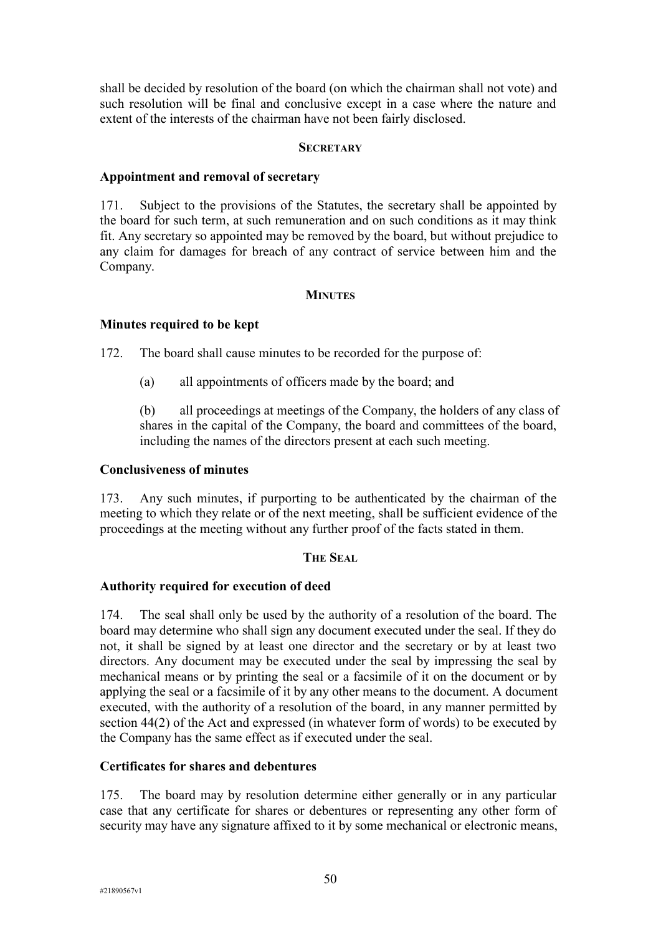shall be decided by resolution of the board (on which the chairman shall not vote) and such resolution will be final and conclusive except in a case where the nature and extent of the interests of the chairman have not been fairly disclosed.

#### **SECRETARY**

#### **Appointment and removal of secretary**

171. Subject to the provisions of the Statutes, the secretary shall be appointed by the board for such term, at such remuneration and on such conditions as it may think fit. Any secretary so appointed may be removed by the board, but without prejudice to any claim for damages for breach of any contract of service between him and the Company.

#### **MINUTES**

#### **Minutes required to be kept**

172. The board shall cause minutes to be recorded for the purpose of:

(a) all appointments of officers made by the board; and

(b) all proceedings at meetings of the Company, the holders of any class of shares in the capital of the Company, the board and committees of the board, including the names of the directors present at each such meeting.

### **Conclusiveness of minutes**

173. Any such minutes, if purporting to be authenticated by the chairman of the meeting to which they relate or of the next meeting, shall be sufficient evidence of the proceedings at the meeting without any further proof of the facts stated in them.

### **THE SEAL**

#### **Authority required for execution of deed**

174. The seal shall only be used by the authority of a resolution of the board. The board may determine who shall sign any document executed under the seal. If they do not, it shall be signed by at least one director and the secretary or by at least two directors. Any document may be executed under the seal by impressing the seal by mechanical means or by printing the seal or a facsimile of it on the document or by applying the seal or a facsimile of it by any other means to the document. A document executed, with the authority of a resolution of the board, in any manner permitted by section 44(2) of the Act and expressed (in whatever form of words) to be executed by the Company has the same effect as if executed under the seal.

#### **Certificates for shares and debentures**

175. The board may by resolution determine either generally or in any particular case that any certificate for shares or debentures or representing any other form of security may have any signature affixed to it by some mechanical or electronic means,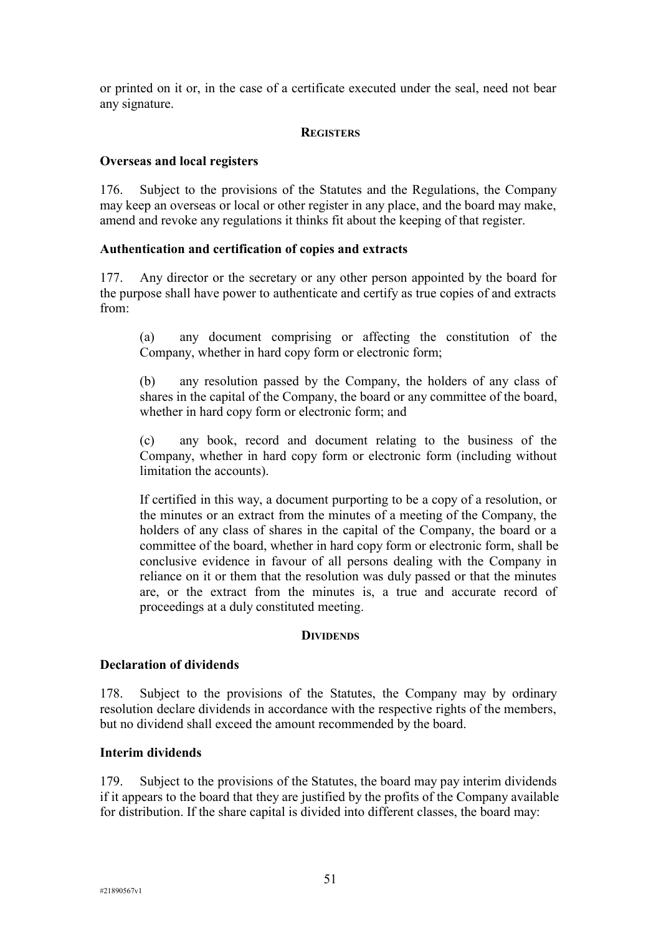or printed on it or, in the case of a certificate executed under the seal, need not bear any signature.

### **REGISTERS**

# **Overseas and local registers**

176. Subject to the provisions of the Statutes and the Regulations, the Company may keep an overseas or local or other register in any place, and the board may make, amend and revoke any regulations it thinks fit about the keeping of that register.

# **Authentication and certification of copies and extracts**

177. Any director or the secretary or any other person appointed by the board for the purpose shall have power to authenticate and certify as true copies of and extracts from:

(a) any document comprising or affecting the constitution of the Company, whether in hard copy form or electronic form;

(b) any resolution passed by the Company, the holders of any class of shares in the capital of the Company, the board or any committee of the board, whether in hard copy form or electronic form; and

(c) any book, record and document relating to the business of the Company, whether in hard copy form or electronic form (including without limitation the accounts).

If certified in this way, a document purporting to be a copy of a resolution, or the minutes or an extract from the minutes of a meeting of the Company, the holders of any class of shares in the capital of the Company, the board or a committee of the board, whether in hard copy form or electronic form, shall be conclusive evidence in favour of all persons dealing with the Company in reliance on it or them that the resolution was duly passed or that the minutes are, or the extract from the minutes is, a true and accurate record of proceedings at a duly constituted meeting.

### **DIVIDENDS**

### **Declaration of dividends**

178. Subject to the provisions of the Statutes, the Company may by ordinary resolution declare dividends in accordance with the respective rights of the members, but no dividend shall exceed the amount recommended by the board.

# **Interim dividends**

179. Subject to the provisions of the Statutes, the board may pay interim dividends if it appears to the board that they are justified by the profits of the Company available for distribution. If the share capital is divided into different classes, the board may: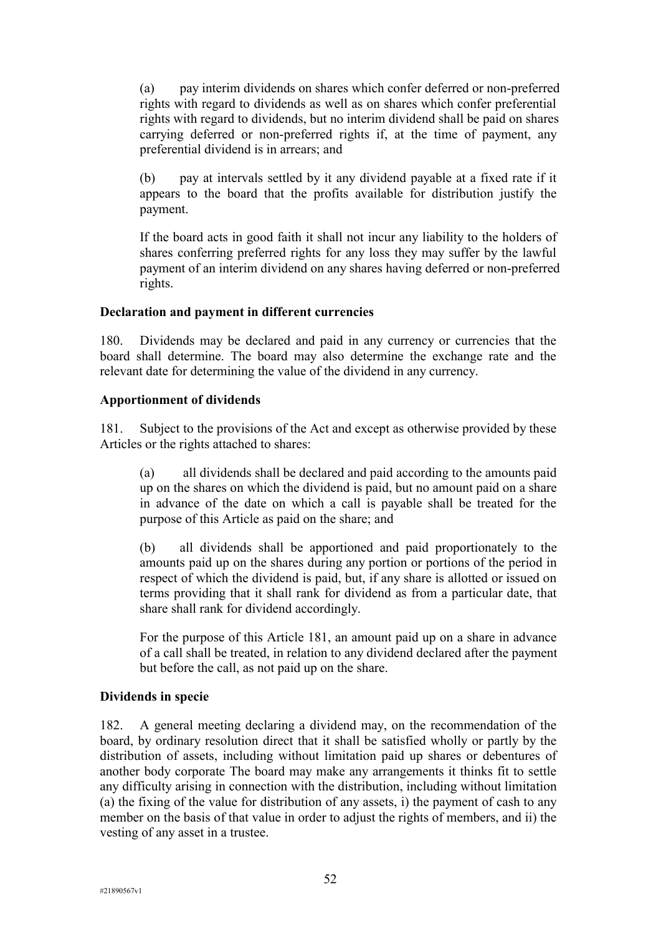(a) pay interim dividends on shares which confer deferred or non-preferred rights with regard to dividends as well as on shares which confer preferential rights with regard to dividends, but no interim dividend shall be paid on shares carrying deferred or non-preferred rights if, at the time of payment, any preferential dividend is in arrears; and

(b) pay at intervals settled by it any dividend payable at a fixed rate if it appears to the board that the profits available for distribution justify the payment.

If the board acts in good faith it shall not incur any liability to the holders of shares conferring preferred rights for any loss they may suffer by the lawful payment of an interim dividend on any shares having deferred or non-preferred rights.

### **Declaration and payment in different currencies**

180. Dividends may be declared and paid in any currency or currencies that the board shall determine. The board may also determine the exchange rate and the relevant date for determining the value of the dividend in any currency.

# **Apportionment of dividends**

181. Subject to the provisions of the Act and except as otherwise provided by these Articles or the rights attached to shares:

(a) all dividends shall be declared and paid according to the amounts paid up on the shares on which the dividend is paid, but no amount paid on a share in advance of the date on which a call is payable shall be treated for the purpose of this Article as paid on the share; and

(b) all dividends shall be apportioned and paid proportionately to the amounts paid up on the shares during any portion or portions of the period in respect of which the dividend is paid, but, if any share is allotted or issued on terms providing that it shall rank for dividend as from a particular date, that share shall rank for dividend accordingly.

For the purpose of this Article 181, an amount paid up on a share in advance of a call shall be treated, in relation to any dividend declared after the payment but before the call, as not paid up on the share.

# **Dividends in specie**

182. A general meeting declaring a dividend may, on the recommendation of the board, by ordinary resolution direct that it shall be satisfied wholly or partly by the distribution of assets, including without limitation paid up shares or debentures of another body corporate The board may make any arrangements it thinks fit to settle any difficulty arising in connection with the distribution, including without limitation (a) the fixing of the value for distribution of any assets, i) the payment of cash to any member on the basis of that value in order to adjust the rights of members, and ii) the vesting of any asset in a trustee.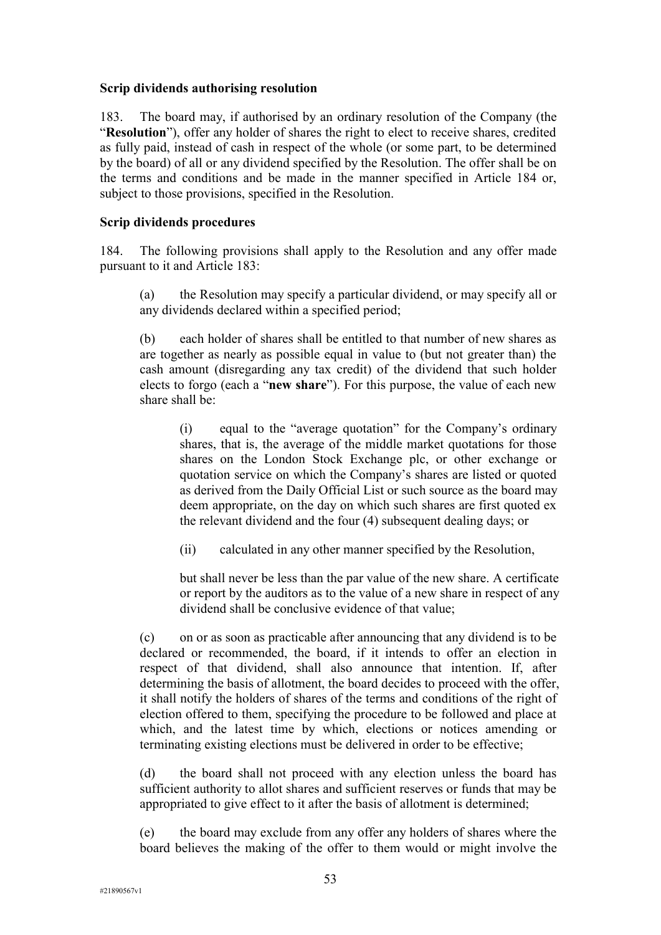### **Scrip dividends authorising resolution**

183. The board may, if authorised by an ordinary resolution of the Company (the "**Resolution**"), offer any holder of shares the right to elect to receive shares, credited as fully paid, instead of cash in respect of the whole (or some part, to be determined by the board) of all or any dividend specified by the Resolution. The offer shall be on the terms and conditions and be made in the manner specified in Article 184 or, subject to those provisions, specified in the Resolution.

## **Scrip dividends procedures**

184. The following provisions shall apply to the Resolution and any offer made pursuant to it and Article 183:

(a) the Resolution may specify a particular dividend, or may specify all or any dividends declared within a specified period;

(b) each holder of shares shall be entitled to that number of new shares as are together as nearly as possible equal in value to (but not greater than) the cash amount (disregarding any tax credit) of the dividend that such holder elects to forgo (each a "**new share**"). For this purpose, the value of each new share shall be:

(i) equal to the "average quotation" for the Company's ordinary shares, that is, the average of the middle market quotations for those shares on the London Stock Exchange plc, or other exchange or quotation service on which the Company's shares are listed or quoted as derived from the Daily Official List or such source as the board may deem appropriate, on the day on which such shares are first quoted ex the relevant dividend and the four (4) subsequent dealing days; or

(ii) calculated in any other manner specified by the Resolution,

but shall never be less than the par value of the new share. A certificate or report by the auditors as to the value of a new share in respect of any dividend shall be conclusive evidence of that value;

(c) on or as soon as practicable after announcing that any dividend is to be declared or recommended, the board, if it intends to offer an election in respect of that dividend, shall also announce that intention. If, after determining the basis of allotment, the board decides to proceed with the offer, it shall notify the holders of shares of the terms and conditions of the right of election offered to them, specifying the procedure to be followed and place at which, and the latest time by which, elections or notices amending or terminating existing elections must be delivered in order to be effective;

(d) the board shall not proceed with any election unless the board has sufficient authority to allot shares and sufficient reserves or funds that may be appropriated to give effect to it after the basis of allotment is determined;

(e) the board may exclude from any offer any holders of shares where the board believes the making of the offer to them would or might involve the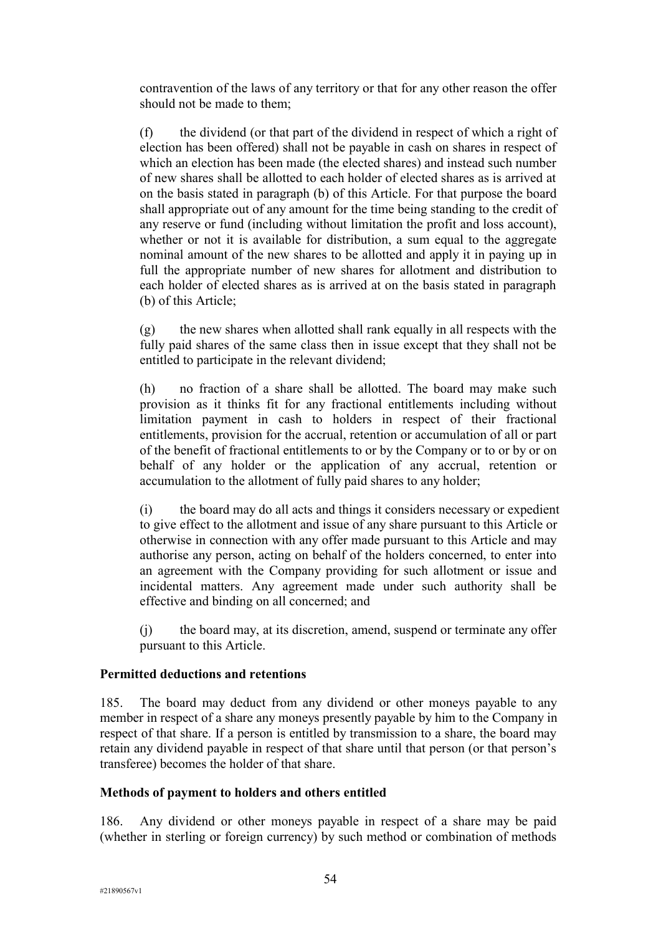contravention of the laws of any territory or that for any other reason the offer should not be made to them;

(f) the dividend (or that part of the dividend in respect of which a right of election has been offered) shall not be payable in cash on shares in respect of which an election has been made (the elected shares) and instead such number of new shares shall be allotted to each holder of elected shares as is arrived at on the basis stated in paragraph (b) of this Article. For that purpose the board shall appropriate out of any amount for the time being standing to the credit of any reserve or fund (including without limitation the profit and loss account), whether or not it is available for distribution, a sum equal to the aggregate nominal amount of the new shares to be allotted and apply it in paying up in full the appropriate number of new shares for allotment and distribution to each holder of elected shares as is arrived at on the basis stated in paragraph (b) of this Article;

 $(g)$  the new shares when allotted shall rank equally in all respects with the fully paid shares of the same class then in issue except that they shall not be entitled to participate in the relevant dividend;

(h) no fraction of a share shall be allotted. The board may make such provision as it thinks fit for any fractional entitlements including without limitation payment in cash to holders in respect of their fractional entitlements, provision for the accrual, retention or accumulation of all or part of the benefit of fractional entitlements to or by the Company or to or by or on behalf of any holder or the application of any accrual, retention or accumulation to the allotment of fully paid shares to any holder;

(i) the board may do all acts and things it considers necessary or expedient to give effect to the allotment and issue of any share pursuant to this Article or otherwise in connection with any offer made pursuant to this Article and may authorise any person, acting on behalf of the holders concerned, to enter into an agreement with the Company providing for such allotment or issue and incidental matters. Any agreement made under such authority shall be effective and binding on all concerned; and

(j) the board may, at its discretion, amend, suspend or terminate any offer pursuant to this Article.

### **Permitted deductions and retentions**

185. The board may deduct from any dividend or other moneys payable to any member in respect of a share any moneys presently payable by him to the Company in respect of that share. If a person is entitled by transmission to a share, the board may retain any dividend payable in respect of that share until that person (or that person's transferee) becomes the holder of that share.

### **Methods of payment to holders and others entitled**

186. Any dividend or other moneys payable in respect of a share may be paid (whether in sterling or foreign currency) by such method or combination of methods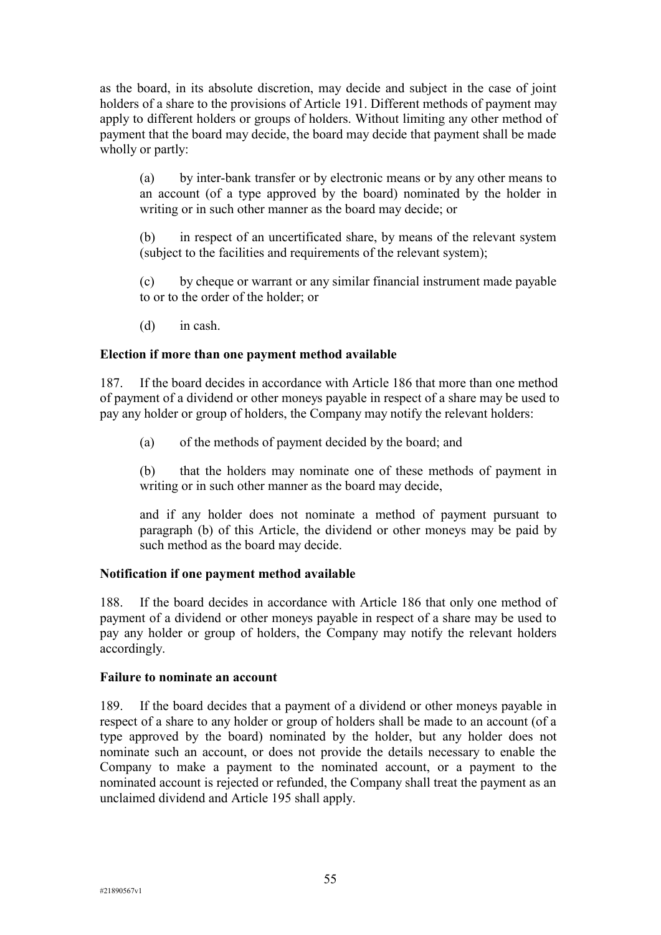as the board, in its absolute discretion, may decide and subject in the case of joint holders of a share to the provisions of Article 191. Different methods of payment may apply to different holders or groups of holders. Without limiting any other method of payment that the board may decide, the board may decide that payment shall be made wholly or partly:

(a) by inter-bank transfer or by electronic means or by any other means to an account (of a type approved by the board) nominated by the holder in writing or in such other manner as the board may decide; or

(b) in respect of an uncertificated share, by means of the relevant system (subject to the facilities and requirements of the relevant system);

(c) by cheque or warrant or any similar financial instrument made payable to or to the order of the holder; or

(d) in cash.

### **Election if more than one payment method available**

187. If the board decides in accordance with Article 186 that more than one method of payment of a dividend or other moneys payable in respect of a share may be used to pay any holder or group of holders, the Company may notify the relevant holders:

(a) of the methods of payment decided by the board; and

(b) that the holders may nominate one of these methods of payment in writing or in such other manner as the board may decide,

and if any holder does not nominate a method of payment pursuant to paragraph (b) of this Article, the dividend or other moneys may be paid by such method as the board may decide.

### **Notification if one payment method available**

188. If the board decides in accordance with Article 186 that only one method of payment of a dividend or other moneys payable in respect of a share may be used to pay any holder or group of holders, the Company may notify the relevant holders accordingly.

#### **Failure to nominate an account**

189. If the board decides that a payment of a dividend or other moneys payable in respect of a share to any holder or group of holders shall be made to an account (of a type approved by the board) nominated by the holder, but any holder does not nominate such an account, or does not provide the details necessary to enable the Company to make a payment to the nominated account, or a payment to the nominated account is rejected or refunded, the Company shall treat the payment as an unclaimed dividend and Article 195 shall apply.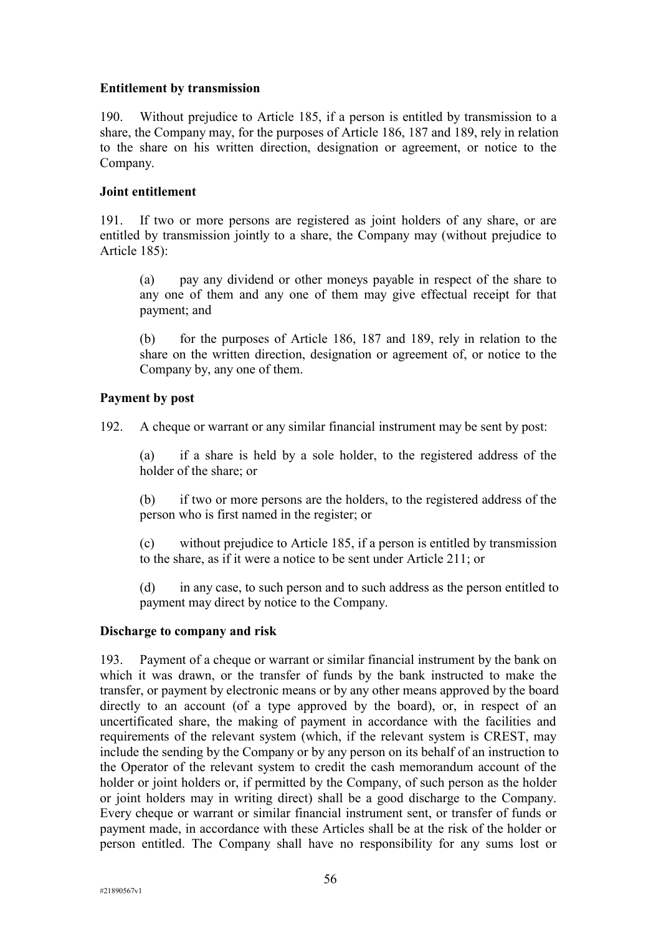# **Entitlement by transmission**

190. Without prejudice to Article 185, if a person is entitled by transmission to a share, the Company may, for the purposes of Article 186, 187 and 189, rely in relation to the share on his written direction, designation or agreement, or notice to the Company.

# **Joint entitlement**

191. If two or more persons are registered as joint holders of any share, or are entitled by transmission jointly to a share, the Company may (without prejudice to Article 185):

(a) pay any dividend or other moneys payable in respect of the share to any one of them and any one of them may give effectual receipt for that payment; and

(b) for the purposes of Article 186, 187 and 189, rely in relation to the share on the written direction, designation or agreement of, or notice to the Company by, any one of them.

# **Payment by post**

192. A cheque or warrant or any similar financial instrument may be sent by post:

(a) if a share is held by a sole holder, to the registered address of the holder of the share; or

(b) if two or more persons are the holders, to the registered address of the person who is first named in the register; or

(c) without prejudice to Article 185, if a person is entitled by transmission to the share, as if it were a notice to be sent under Article 211; or

(d) in any case, to such person and to such address as the person entitled to payment may direct by notice to the Company.

### **Discharge to company and risk**

193. Payment of a cheque or warrant or similar financial instrument by the bank on which it was drawn, or the transfer of funds by the bank instructed to make the transfer, or payment by electronic means or by any other means approved by the board directly to an account (of a type approved by the board), or, in respect of an uncertificated share, the making of payment in accordance with the facilities and requirements of the relevant system (which, if the relevant system is CREST, may include the sending by the Company or by any person on its behalf of an instruction to the Operator of the relevant system to credit the cash memorandum account of the holder or joint holders or, if permitted by the Company, of such person as the holder or joint holders may in writing direct) shall be a good discharge to the Company. Every cheque or warrant or similar financial instrument sent, or transfer of funds or payment made, in accordance with these Articles shall be at the risk of the holder or person entitled. The Company shall have no responsibility for any sums lost or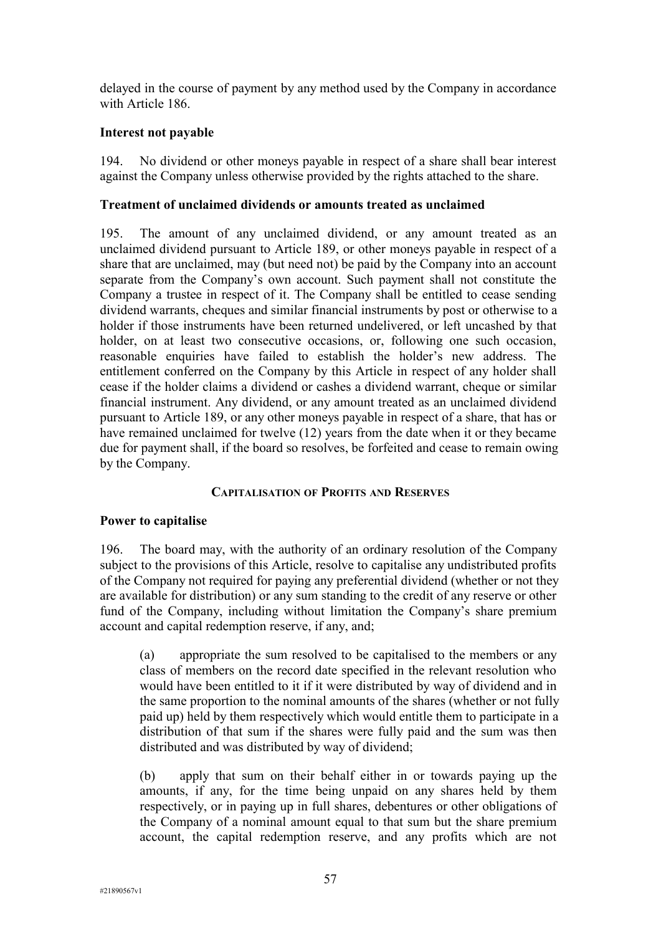delayed in the course of payment by any method used by the Company in accordance with Article 186.

# **Interest not payable**

194. No dividend or other moneys payable in respect of a share shall bear interest against the Company unless otherwise provided by the rights attached to the share.

# **Treatment of unclaimed dividends or amounts treated as unclaimed**

195. The amount of any unclaimed dividend, or any amount treated as an unclaimed dividend pursuant to Article 189, or other moneys payable in respect of a share that are unclaimed, may (but need not) be paid by the Company into an account separate from the Company's own account. Such payment shall not constitute the Company a trustee in respect of it. The Company shall be entitled to cease sending dividend warrants, cheques and similar financial instruments by post or otherwise to a holder if those instruments have been returned undelivered, or left uncashed by that holder, on at least two consecutive occasions, or, following one such occasion, reasonable enquiries have failed to establish the holder's new address. The entitlement conferred on the Company by this Article in respect of any holder shall cease if the holder claims a dividend or cashes a dividend warrant, cheque or similar financial instrument. Any dividend, or any amount treated as an unclaimed dividend pursuant to Article 189, or any other moneys payable in respect of a share, that has or have remained unclaimed for twelve (12) years from the date when it or they became due for payment shall, if the board so resolves, be forfeited and cease to remain owing by the Company.

### **CAPITALISATION OF PROFITS AND RESERVES**

### **Power to capitalise**

196. The board may, with the authority of an ordinary resolution of the Company subject to the provisions of this Article, resolve to capitalise any undistributed profits of the Company not required for paying any preferential dividend (whether or not they are available for distribution) or any sum standing to the credit of any reserve or other fund of the Company, including without limitation the Company's share premium account and capital redemption reserve, if any, and;

(a) appropriate the sum resolved to be capitalised to the members or any class of members on the record date specified in the relevant resolution who would have been entitled to it if it were distributed by way of dividend and in the same proportion to the nominal amounts of the shares (whether or not fully paid up) held by them respectively which would entitle them to participate in a distribution of that sum if the shares were fully paid and the sum was then distributed and was distributed by way of dividend;

(b) apply that sum on their behalf either in or towards paying up the amounts, if any, for the time being unpaid on any shares held by them respectively, or in paying up in full shares, debentures or other obligations of the Company of a nominal amount equal to that sum but the share premium account, the capital redemption reserve, and any profits which are not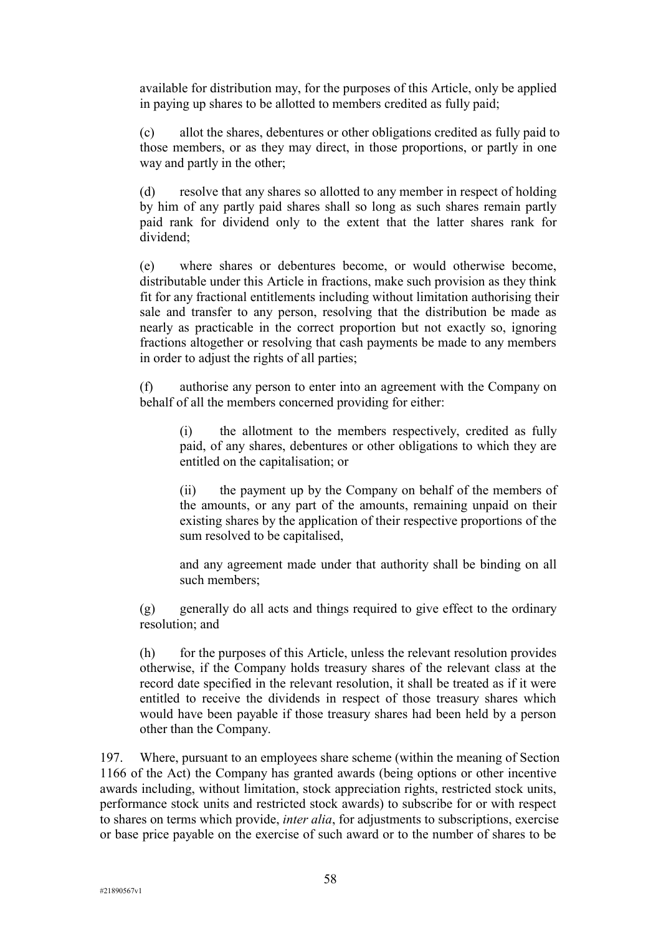available for distribution may, for the purposes of this Article, only be applied in paying up shares to be allotted to members credited as fully paid;

(c) allot the shares, debentures or other obligations credited as fully paid to those members, or as they may direct, in those proportions, or partly in one way and partly in the other;

(d) resolve that any shares so allotted to any member in respect of holding by him of any partly paid shares shall so long as such shares remain partly paid rank for dividend only to the extent that the latter shares rank for dividend;

(e) where shares or debentures become, or would otherwise become, distributable under this Article in fractions, make such provision as they think fit for any fractional entitlements including without limitation authorising their sale and transfer to any person, resolving that the distribution be made as nearly as practicable in the correct proportion but not exactly so, ignoring fractions altogether or resolving that cash payments be made to any members in order to adjust the rights of all parties;

(f) authorise any person to enter into an agreement with the Company on behalf of all the members concerned providing for either:

(i) the allotment to the members respectively, credited as fully paid, of any shares, debentures or other obligations to which they are entitled on the capitalisation; or

(ii) the payment up by the Company on behalf of the members of the amounts, or any part of the amounts, remaining unpaid on their existing shares by the application of their respective proportions of the sum resolved to be capitalised,

and any agreement made under that authority shall be binding on all such members;

(g) generally do all acts and things required to give effect to the ordinary resolution; and

(h) for the purposes of this Article, unless the relevant resolution provides otherwise, if the Company holds treasury shares of the relevant class at the record date specified in the relevant resolution, it shall be treated as if it were entitled to receive the dividends in respect of those treasury shares which would have been payable if those treasury shares had been held by a person other than the Company.

197. Where, pursuant to an employees share scheme (within the meaning of Section 1166 of the Act) the Company has granted awards (being options or other incentive awards including, without limitation, stock appreciation rights, restricted stock units, performance stock units and restricted stock awards) to subscribe for or with respect to shares on terms which provide, *inter alia*, for adjustments to subscriptions, exercise or base price payable on the exercise of such award or to the number of shares to be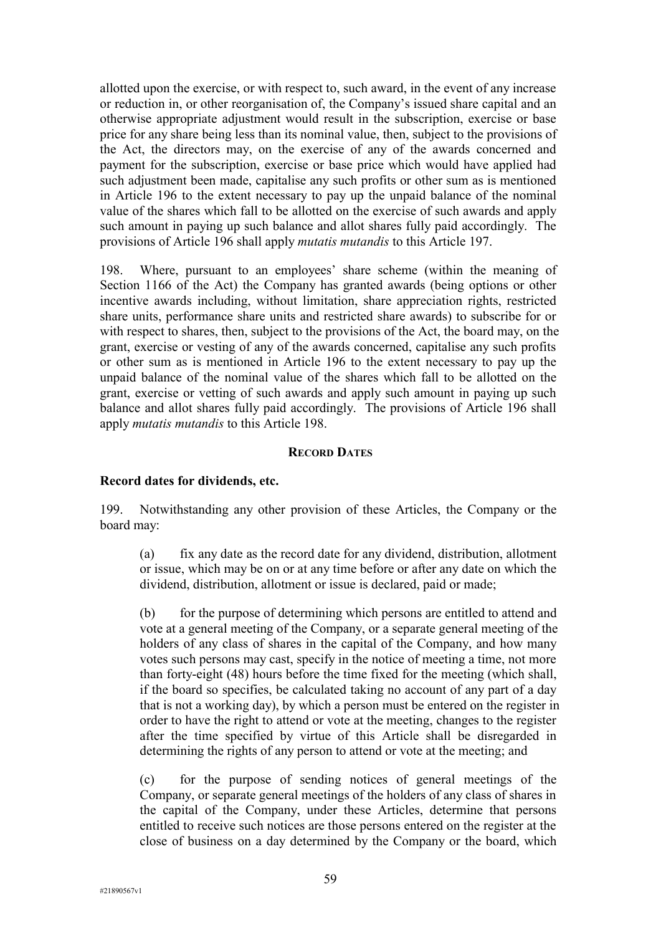allotted upon the exercise, or with respect to, such award, in the event of any increase or reduction in, or other reorganisation of, the Company's issued share capital and an otherwise appropriate adjustment would result in the subscription, exercise or base price for any share being less than its nominal value, then, subject to the provisions of the Act, the directors may, on the exercise of any of the awards concerned and payment for the subscription, exercise or base price which would have applied had such adjustment been made, capitalise any such profits or other sum as is mentioned in Article 196 to the extent necessary to pay up the unpaid balance of the nominal value of the shares which fall to be allotted on the exercise of such awards and apply such amount in paying up such balance and allot shares fully paid accordingly. The provisions of Article 196 shall apply *mutatis mutandis* to this Article 197.

198. Where, pursuant to an employees' share scheme (within the meaning of Section 1166 of the Act) the Company has granted awards (being options or other incentive awards including, without limitation, share appreciation rights, restricted share units, performance share units and restricted share awards) to subscribe for or with respect to shares, then, subject to the provisions of the Act, the board may, on the grant, exercise or vesting of any of the awards concerned, capitalise any such profits or other sum as is mentioned in Article 196 to the extent necessary to pay up the unpaid balance of the nominal value of the shares which fall to be allotted on the grant, exercise or vetting of such awards and apply such amount in paying up such balance and allot shares fully paid accordingly. The provisions of Article 196 shall apply *mutatis mutandis* to this Article 198.

#### **RECORD DATES**

#### **Record dates for dividends, etc.**

199. Notwithstanding any other provision of these Articles, the Company or the board may:

(a) fix any date as the record date for any dividend, distribution, allotment or issue, which may be on or at any time before or after any date on which the dividend, distribution, allotment or issue is declared, paid or made;

(b) for the purpose of determining which persons are entitled to attend and vote at a general meeting of the Company, or a separate general meeting of the holders of any class of shares in the capital of the Company, and how many votes such persons may cast, specify in the notice of meeting a time, not more than forty-eight (48) hours before the time fixed for the meeting (which shall, if the board so specifies, be calculated taking no account of any part of a day that is not a working day), by which a person must be entered on the register in order to have the right to attend or vote at the meeting, changes to the register after the time specified by virtue of this Article shall be disregarded in determining the rights of any person to attend or vote at the meeting; and

(c) for the purpose of sending notices of general meetings of the Company, or separate general meetings of the holders of any class of shares in the capital of the Company, under these Articles, determine that persons entitled to receive such notices are those persons entered on the register at the close of business on a day determined by the Company or the board, which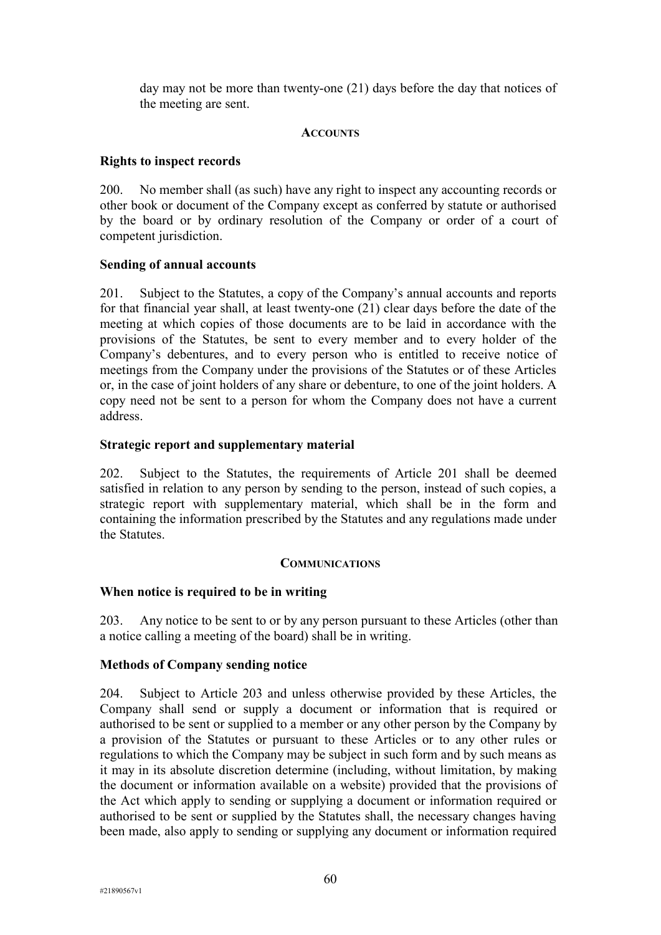day may not be more than twenty-one (21) days before the day that notices of the meeting are sent.

## **ACCOUNTS**

# **Rights to inspect records**

200. No member shall (as such) have any right to inspect any accounting records or other book or document of the Company except as conferred by statute or authorised by the board or by ordinary resolution of the Company or order of a court of competent jurisdiction.

# **Sending of annual accounts**

201. Subject to the Statutes, a copy of the Company's annual accounts and reports for that financial year shall, at least twenty-one (21) clear days before the date of the meeting at which copies of those documents are to be laid in accordance with the provisions of the Statutes, be sent to every member and to every holder of the Company's debentures, and to every person who is entitled to receive notice of meetings from the Company under the provisions of the Statutes or of these Articles or, in the case of joint holders of any share or debenture, to one of the joint holders. A copy need not be sent to a person for whom the Company does not have a current address.

# **Strategic report and supplementary material**

202. Subject to the Statutes, the requirements of Article 201 shall be deemed satisfied in relation to any person by sending to the person, instead of such copies, a strategic report with supplementary material, which shall be in the form and containing the information prescribed by the Statutes and any regulations made under the Statutes.

### **COMMUNICATIONS**

# **When notice is required to be in writing**

203. Any notice to be sent to or by any person pursuant to these Articles (other than a notice calling a meeting of the board) shall be in writing.

### **Methods of Company sending notice**

204. Subject to Article 203 and unless otherwise provided by these Articles, the Company shall send or supply a document or information that is required or authorised to be sent or supplied to a member or any other person by the Company by a provision of the Statutes or pursuant to these Articles or to any other rules or regulations to which the Company may be subject in such form and by such means as it may in its absolute discretion determine (including, without limitation, by making the document or information available on a website) provided that the provisions of the Act which apply to sending or supplying a document or information required or authorised to be sent or supplied by the Statutes shall, the necessary changes having been made, also apply to sending or supplying any document or information required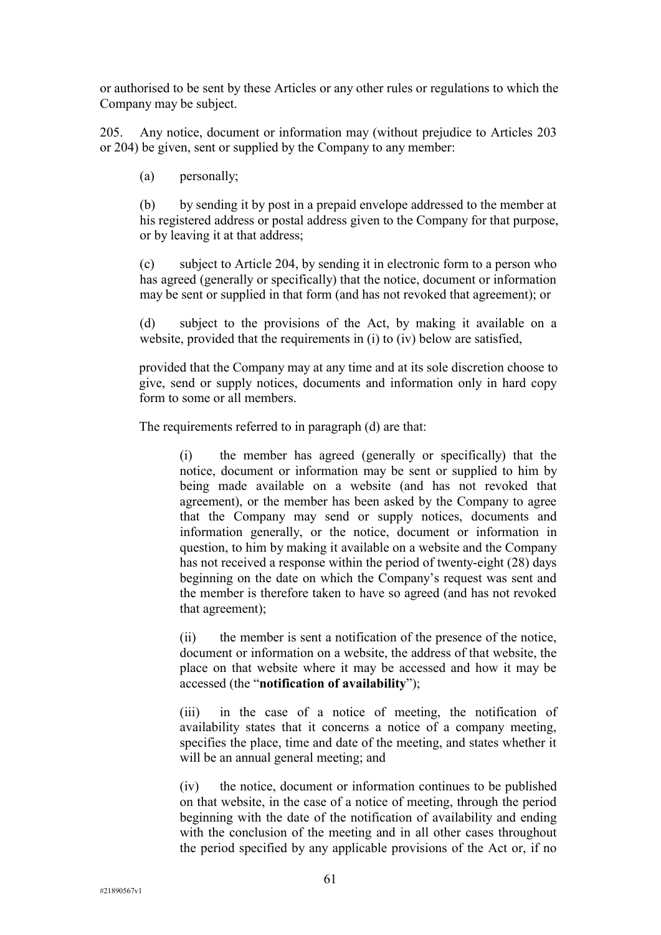or authorised to be sent by these Articles or any other rules or regulations to which the Company may be subject.

205. Any notice, document or information may (without prejudice to Articles 203 or 204) be given, sent or supplied by the Company to any member:

(a) personally;

(b) by sending it by post in a prepaid envelope addressed to the member at his registered address or postal address given to the Company for that purpose, or by leaving it at that address;

(c) subject to Article 204, by sending it in electronic form to a person who has agreed (generally or specifically) that the notice, document or information may be sent or supplied in that form (and has not revoked that agreement); or

(d) subject to the provisions of the Act, by making it available on a website, provided that the requirements in (i) to (iv) below are satisfied,

provided that the Company may at any time and at its sole discretion choose to give, send or supply notices, documents and information only in hard copy form to some or all members.

The requirements referred to in paragraph (d) are that:

(i) the member has agreed (generally or specifically) that the notice, document or information may be sent or supplied to him by being made available on a website (and has not revoked that agreement), or the member has been asked by the Company to agree that the Company may send or supply notices, documents and information generally, or the notice, document or information in question, to him by making it available on a website and the Company has not received a response within the period of twenty-eight (28) days beginning on the date on which the Company's request was sent and the member is therefore taken to have so agreed (and has not revoked that agreement);

(ii) the member is sent a notification of the presence of the notice, document or information on a website, the address of that website, the place on that website where it may be accessed and how it may be accessed (the "**notification of availability**");

(iii) in the case of a notice of meeting, the notification of availability states that it concerns a notice of a company meeting, specifies the place, time and date of the meeting, and states whether it will be an annual general meeting; and

(iv) the notice, document or information continues to be published on that website, in the case of a notice of meeting, through the period beginning with the date of the notification of availability and ending with the conclusion of the meeting and in all other cases throughout the period specified by any applicable provisions of the Act or, if no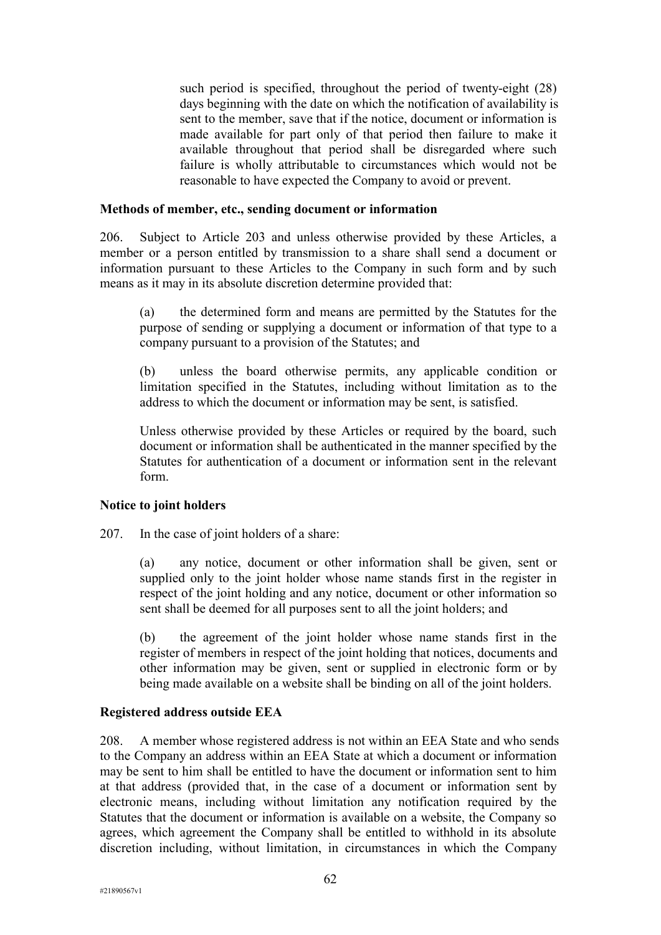such period is specified, throughout the period of twenty-eight (28) days beginning with the date on which the notification of availability is sent to the member, save that if the notice, document or information is made available for part only of that period then failure to make it available throughout that period shall be disregarded where such failure is wholly attributable to circumstances which would not be reasonable to have expected the Company to avoid or prevent.

### **Methods of member, etc., sending document or information**

206. Subject to Article 203 and unless otherwise provided by these Articles, a member or a person entitled by transmission to a share shall send a document or information pursuant to these Articles to the Company in such form and by such means as it may in its absolute discretion determine provided that:

(a) the determined form and means are permitted by the Statutes for the purpose of sending or supplying a document or information of that type to a company pursuant to a provision of the Statutes; and

(b) unless the board otherwise permits, any applicable condition or limitation specified in the Statutes, including without limitation as to the address to which the document or information may be sent, is satisfied.

Unless otherwise provided by these Articles or required by the board, such document or information shall be authenticated in the manner specified by the Statutes for authentication of a document or information sent in the relevant form.

#### **Notice to joint holders**

207. In the case of joint holders of a share:

(a) any notice, document or other information shall be given, sent or supplied only to the joint holder whose name stands first in the register in respect of the joint holding and any notice, document or other information so sent shall be deemed for all purposes sent to all the joint holders; and

(b) the agreement of the joint holder whose name stands first in the register of members in respect of the joint holding that notices, documents and other information may be given, sent or supplied in electronic form or by being made available on a website shall be binding on all of the joint holders.

### **Registered address outside EEA**

208. A member whose registered address is not within an EEA State and who sends to the Company an address within an EEA State at which a document or information may be sent to him shall be entitled to have the document or information sent to him at that address (provided that, in the case of a document or information sent by electronic means, including without limitation any notification required by the Statutes that the document or information is available on a website, the Company so agrees, which agreement the Company shall be entitled to withhold in its absolute discretion including, without limitation, in circumstances in which the Company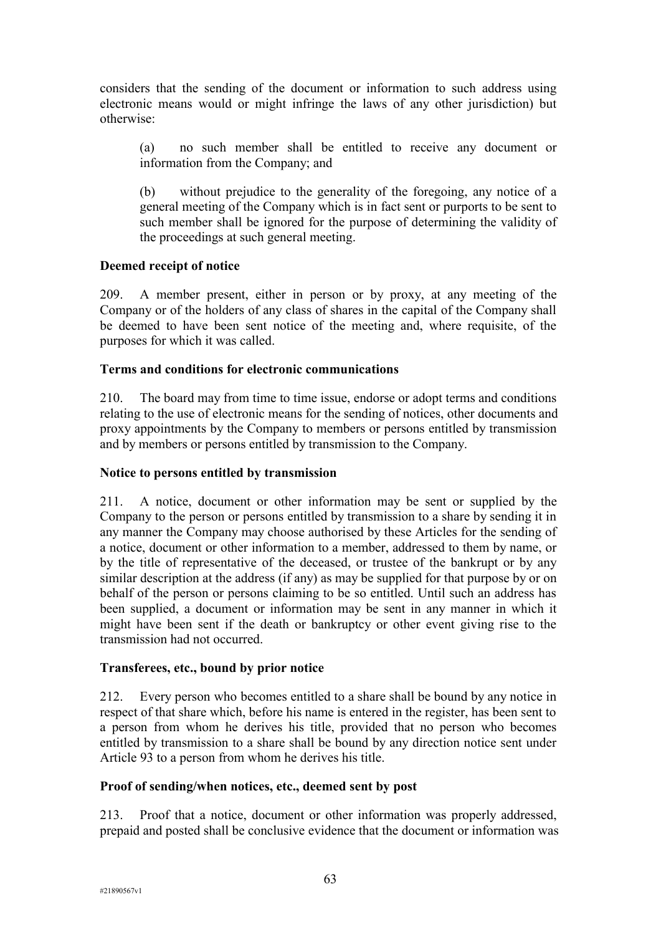considers that the sending of the document or information to such address using electronic means would or might infringe the laws of any other jurisdiction) but otherwise:

(a) no such member shall be entitled to receive any document or information from the Company; and

(b) without prejudice to the generality of the foregoing, any notice of a general meeting of the Company which is in fact sent or purports to be sent to such member shall be ignored for the purpose of determining the validity of the proceedings at such general meeting.

# **Deemed receipt of notice**

209. A member present, either in person or by proxy, at any meeting of the Company or of the holders of any class of shares in the capital of the Company shall be deemed to have been sent notice of the meeting and, where requisite, of the purposes for which it was called.

### **Terms and conditions for electronic communications**

210. The board may from time to time issue, endorse or adopt terms and conditions relating to the use of electronic means for the sending of notices, other documents and proxy appointments by the Company to members or persons entitled by transmission and by members or persons entitled by transmission to the Company.

### **Notice to persons entitled by transmission**

211. A notice, document or other information may be sent or supplied by the Company to the person or persons entitled by transmission to a share by sending it in any manner the Company may choose authorised by these Articles for the sending of a notice, document or other information to a member, addressed to them by name, or by the title of representative of the deceased, or trustee of the bankrupt or by any similar description at the address (if any) as may be supplied for that purpose by or on behalf of the person or persons claiming to be so entitled. Until such an address has been supplied, a document or information may be sent in any manner in which it might have been sent if the death or bankruptcy or other event giving rise to the transmission had not occurred.

### **Transferees, etc., bound by prior notice**

212. Every person who becomes entitled to a share shall be bound by any notice in respect of that share which, before his name is entered in the register, has been sent to a person from whom he derives his title, provided that no person who becomes entitled by transmission to a share shall be bound by any direction notice sent under Article 93 to a person from whom he derives his title.

### **Proof of sending/when notices, etc., deemed sent by post**

213. Proof that a notice, document or other information was properly addressed, prepaid and posted shall be conclusive evidence that the document or information was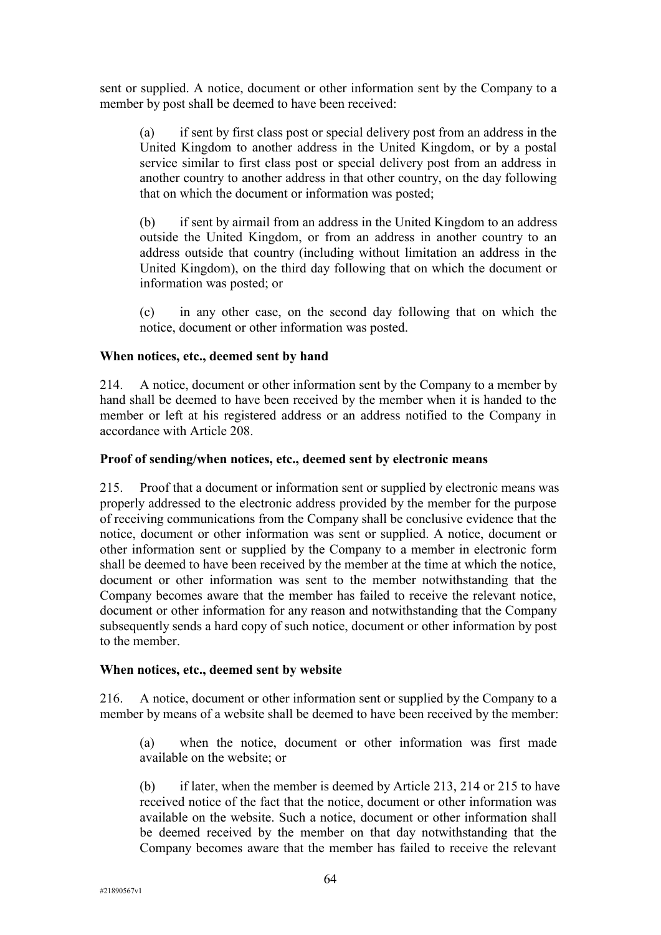sent or supplied. A notice, document or other information sent by the Company to a member by post shall be deemed to have been received:

(a) if sent by first class post or special delivery post from an address in the United Kingdom to another address in the United Kingdom, or by a postal service similar to first class post or special delivery post from an address in another country to another address in that other country, on the day following that on which the document or information was posted;

(b) if sent by airmail from an address in the United Kingdom to an address outside the United Kingdom, or from an address in another country to an address outside that country (including without limitation an address in the United Kingdom), on the third day following that on which the document or information was posted; or

(c) in any other case, on the second day following that on which the notice, document or other information was posted.

### **When notices, etc., deemed sent by hand**

214. A notice, document or other information sent by the Company to a member by hand shall be deemed to have been received by the member when it is handed to the member or left at his registered address or an address notified to the Company in accordance with Article 208.

### **Proof of sending/when notices, etc., deemed sent by electronic means**

215. Proof that a document or information sent or supplied by electronic means was properly addressed to the electronic address provided by the member for the purpose of receiving communications from the Company shall be conclusive evidence that the notice, document or other information was sent or supplied. A notice, document or other information sent or supplied by the Company to a member in electronic form shall be deemed to have been received by the member at the time at which the notice, document or other information was sent to the member notwithstanding that the Company becomes aware that the member has failed to receive the relevant notice, document or other information for any reason and notwithstanding that the Company subsequently sends a hard copy of such notice, document or other information by post to the member.

#### **When notices, etc., deemed sent by website**

216. A notice, document or other information sent or supplied by the Company to a member by means of a website shall be deemed to have been received by the member:

(a) when the notice, document or other information was first made available on the website; or

(b) if later, when the member is deemed by Article 213, 214 or 215 to have received notice of the fact that the notice, document or other information was available on the website. Such a notice, document or other information shall be deemed received by the member on that day notwithstanding that the Company becomes aware that the member has failed to receive the relevant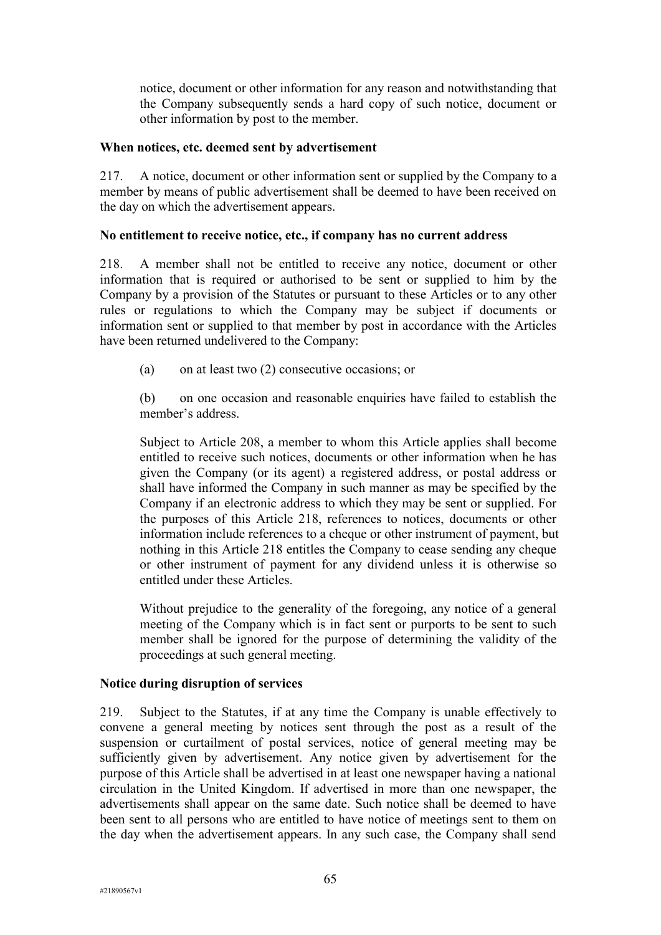notice, document or other information for any reason and notwithstanding that the Company subsequently sends a hard copy of such notice, document or other information by post to the member.

#### **When notices, etc. deemed sent by advertisement**

217. A notice, document or other information sent or supplied by the Company to a member by means of public advertisement shall be deemed to have been received on the day on which the advertisement appears.

### **No entitlement to receive notice, etc., if company has no current address**

218. A member shall not be entitled to receive any notice, document or other information that is required or authorised to be sent or supplied to him by the Company by a provision of the Statutes or pursuant to these Articles or to any other rules or regulations to which the Company may be subject if documents or information sent or supplied to that member by post in accordance with the Articles have been returned undelivered to the Company:

(a) on at least two (2) consecutive occasions; or

(b) on one occasion and reasonable enquiries have failed to establish the member's address.

Subject to Article 208, a member to whom this Article applies shall become entitled to receive such notices, documents or other information when he has given the Company (or its agent) a registered address, or postal address or shall have informed the Company in such manner as may be specified by the Company if an electronic address to which they may be sent or supplied. For the purposes of this Article 218, references to notices, documents or other information include references to a cheque or other instrument of payment, but nothing in this Article 218 entitles the Company to cease sending any cheque or other instrument of payment for any dividend unless it is otherwise so entitled under these Articles.

Without prejudice to the generality of the foregoing, any notice of a general meeting of the Company which is in fact sent or purports to be sent to such member shall be ignored for the purpose of determining the validity of the proceedings at such general meeting.

### **Notice during disruption of services**

219. Subject to the Statutes, if at any time the Company is unable effectively to convene a general meeting by notices sent through the post as a result of the suspension or curtailment of postal services, notice of general meeting may be sufficiently given by advertisement. Any notice given by advertisement for the purpose of this Article shall be advertised in at least one newspaper having a national circulation in the United Kingdom. If advertised in more than one newspaper, the advertisements shall appear on the same date. Such notice shall be deemed to have been sent to all persons who are entitled to have notice of meetings sent to them on the day when the advertisement appears. In any such case, the Company shall send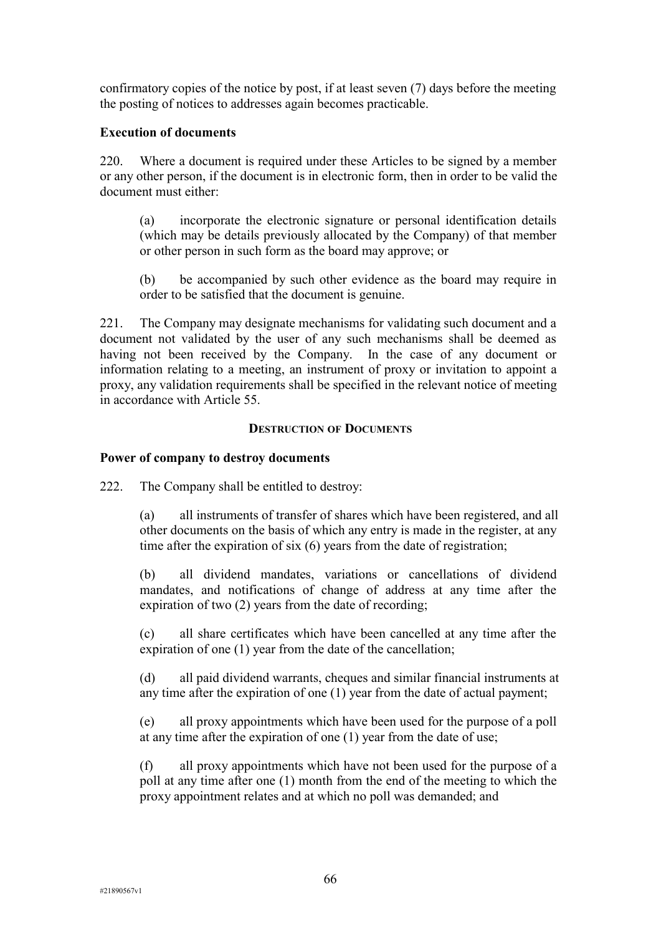confirmatory copies of the notice by post, if at least seven (7) days before the meeting the posting of notices to addresses again becomes practicable.

#### **Execution of documents**

220. Where a document is required under these Articles to be signed by a member or any other person, if the document is in electronic form, then in order to be valid the document must either:

(a) incorporate the electronic signature or personal identification details (which may be details previously allocated by the Company) of that member or other person in such form as the board may approve; or

(b) be accompanied by such other evidence as the board may require in order to be satisfied that the document is genuine.

221. The Company may designate mechanisms for validating such document and a document not validated by the user of any such mechanisms shall be deemed as having not been received by the Company. In the case of any document or information relating to a meeting, an instrument of proxy or invitation to appoint a proxy, any validation requirements shall be specified in the relevant notice of meeting in accordance with Article 55.

#### **DESTRUCTION OF DOCUMENTS**

### **Power of company to destroy documents**

222. The Company shall be entitled to destroy:

(a) all instruments of transfer of shares which have been registered, and all other documents on the basis of which any entry is made in the register, at any time after the expiration of six (6) years from the date of registration;

(b) all dividend mandates, variations or cancellations of dividend mandates, and notifications of change of address at any time after the expiration of two (2) years from the date of recording;

(c) all share certificates which have been cancelled at any time after the expiration of one (1) year from the date of the cancellation;

(d) all paid dividend warrants, cheques and similar financial instruments at any time after the expiration of one (1) year from the date of actual payment;

(e) all proxy appointments which have been used for the purpose of a poll at any time after the expiration of one (1) year from the date of use;

(f) all proxy appointments which have not been used for the purpose of a poll at any time after one (1) month from the end of the meeting to which the proxy appointment relates and at which no poll was demanded; and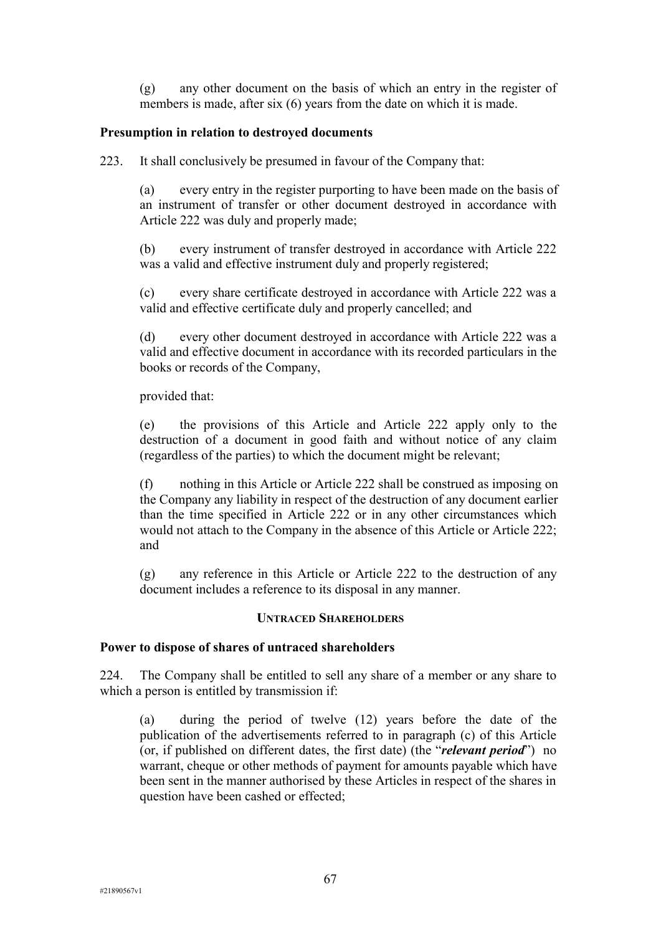(g) any other document on the basis of which an entry in the register of members is made, after six (6) years from the date on which it is made.

### **Presumption in relation to destroyed documents**

223. It shall conclusively be presumed in favour of the Company that:

(a) every entry in the register purporting to have been made on the basis of an instrument of transfer or other document destroyed in accordance with Article 222 was duly and properly made;

(b) every instrument of transfer destroyed in accordance with Article 222 was a valid and effective instrument duly and properly registered;

(c) every share certificate destroyed in accordance with Article 222 was a valid and effective certificate duly and properly cancelled; and

(d) every other document destroyed in accordance with Article 222 was a valid and effective document in accordance with its recorded particulars in the books or records of the Company,

provided that:

(e) the provisions of this Article and Article 222 apply only to the destruction of a document in good faith and without notice of any claim (regardless of the parties) to which the document might be relevant;

(f) nothing in this Article or Article 222 shall be construed as imposing on the Company any liability in respect of the destruction of any document earlier than the time specified in Article 222 or in any other circumstances which would not attach to the Company in the absence of this Article or Article 222; and

(g) any reference in this Article or Article 222 to the destruction of any document includes a reference to its disposal in any manner.

#### **UNTRACED SHAREHOLDERS**

#### **Power to dispose of shares of untraced shareholders**

224. The Company shall be entitled to sell any share of a member or any share to which a person is entitled by transmission if:

(a) during the period of twelve (12) years before the date of the publication of the advertisements referred to in paragraph (c) of this Article (or, if published on different dates, the first date) (the "*relevant period*") no warrant, cheque or other methods of payment for amounts payable which have been sent in the manner authorised by these Articles in respect of the shares in question have been cashed or effected;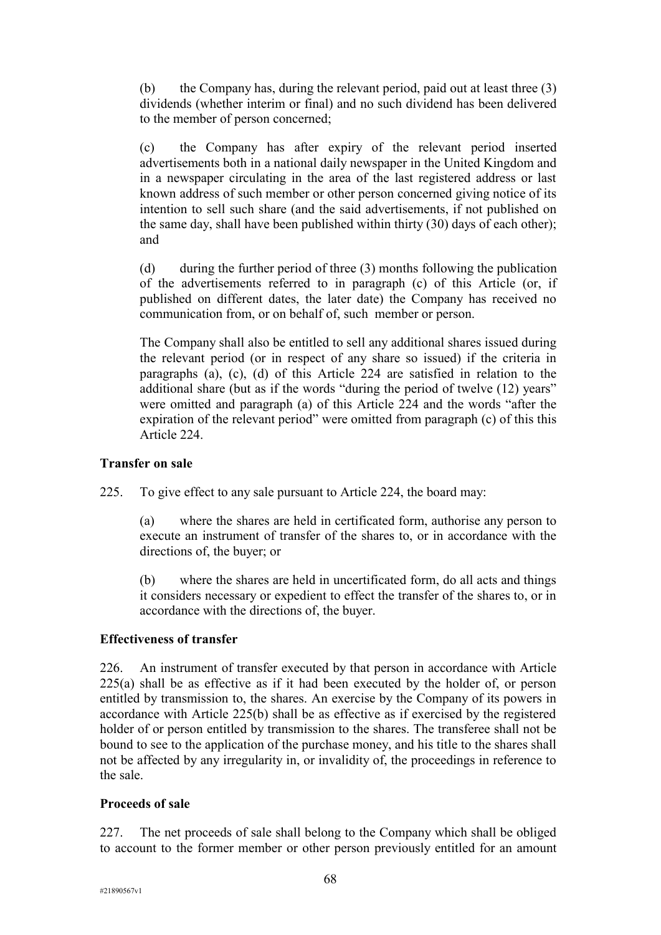(b) the Company has, during the relevant period, paid out at least three (3) dividends (whether interim or final) and no such dividend has been delivered to the member of person concerned;

(c) the Company has after expiry of the relevant period inserted advertisements both in a national daily newspaper in the United Kingdom and in a newspaper circulating in the area of the last registered address or last known address of such member or other person concerned giving notice of its intention to sell such share (and the said advertisements, if not published on the same day, shall have been published within thirty (30) days of each other); and

(d) during the further period of three (3) months following the publication of the advertisements referred to in paragraph (c) of this Article (or, if published on different dates, the later date) the Company has received no communication from, or on behalf of, such member or person.

The Company shall also be entitled to sell any additional shares issued during the relevant period (or in respect of any share so issued) if the criteria in paragraphs (a), (c), (d) of this Article 224 are satisfied in relation to the additional share (but as if the words "during the period of twelve (12) years" were omitted and paragraph (a) of this Article 224 and the words "after the expiration of the relevant period" were omitted from paragraph (c) of this this Article 224.

### **Transfer on sale**

225. To give effect to any sale pursuant to Article 224, the board may:

(a) where the shares are held in certificated form, authorise any person to execute an instrument of transfer of the shares to, or in accordance with the directions of, the buyer; or

(b) where the shares are held in uncertificated form, do all acts and things it considers necessary or expedient to effect the transfer of the shares to, or in accordance with the directions of, the buyer.

#### **Effectiveness of transfer**

226. An instrument of transfer executed by that person in accordance with Article 225(a) shall be as effective as if it had been executed by the holder of, or person entitled by transmission to, the shares. An exercise by the Company of its powers in accordance with Article 225(b) shall be as effective as if exercised by the registered holder of or person entitled by transmission to the shares. The transferee shall not be bound to see to the application of the purchase money, and his title to the shares shall not be affected by any irregularity in, or invalidity of, the proceedings in reference to the sale.

#### **Proceeds of sale**

227. The net proceeds of sale shall belong to the Company which shall be obliged to account to the former member or other person previously entitled for an amount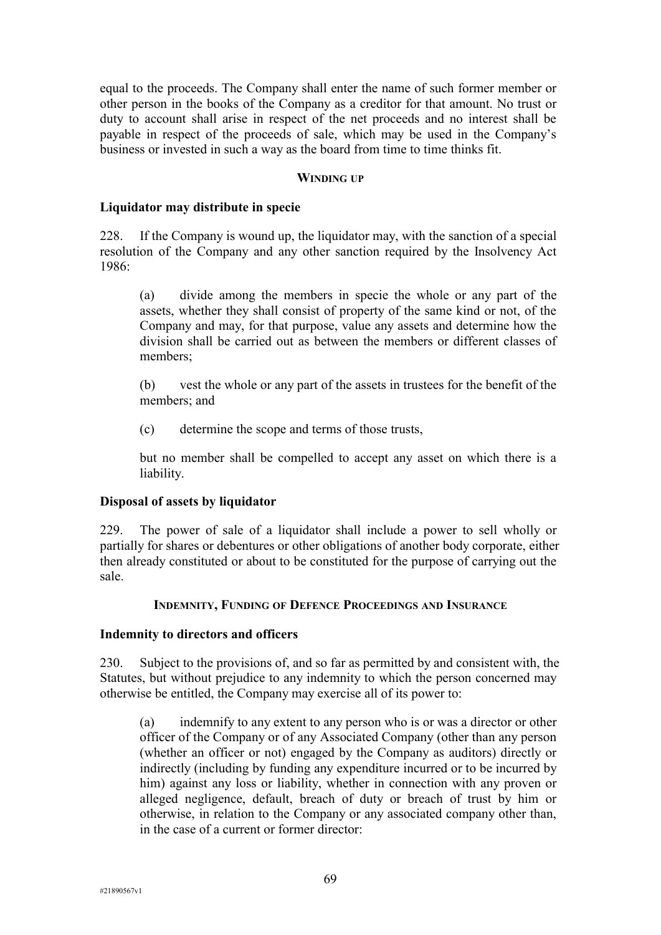equal to the proceeds. The Company shall enter the name of such former member or other person in the books of the Company as a creditor for that amount. No trust or duty to account shall arise in respect of the net proceeds and no interest shall be payable in respect of the proceeds of sale, which may be used in the Company's business or invested in such a way as the board from time to time thinks fit.

#### **WINDING UP**

#### **Liquidator may distribute in specie**

228. If the Company is wound up, the liquidator may, with the sanction of a special resolution of the Company and any other sanction required by the Insolvency Act 1986:

(a) divide among the members in specie the whole or any part of the assets, whether they shall consist of property of the same kind or not, of the Company and may, for that purpose, value any assets and determine how the division shall be carried out as between the members or different classes of members;

(b) vest the whole or any part of the assets in trustees for the benefit of the members; and

(c) determine the scope and terms of those trusts,

but no member shall be compelled to accept any asset on which there is a liability.

#### **Disposal of assets by liquidator**

229. The power of sale of a liquidator shall include a power to sell wholly or partially for shares or debentures or other obligations of another body corporate, either then already constituted or about to be constituted for the purpose of carrying out the sale.

#### **INDEMNITY, FUNDING OF DEFENCE PROCEEDINGS AND INSURANCE**

#### **Indemnity to directors and officers**

230. Subject to the provisions of, and so far as permitted by and consistent with, the Statutes, but without prejudice to any indemnity to which the person concerned may otherwise be entitled, the Company may exercise all of its power to:

(a) indemnify to any extent to any person who is or was a director or other officer of the Company or of any Associated Company (other than any person (whether an officer or not) engaged by the Company as auditors) directly or indirectly (including by funding any expenditure incurred or to be incurred by him) against any loss or liability, whether in connection with any proven or alleged negligence, default, breach of duty or breach of trust by him or otherwise, in relation to the Company or any associated company other than, in the case of a current or former director: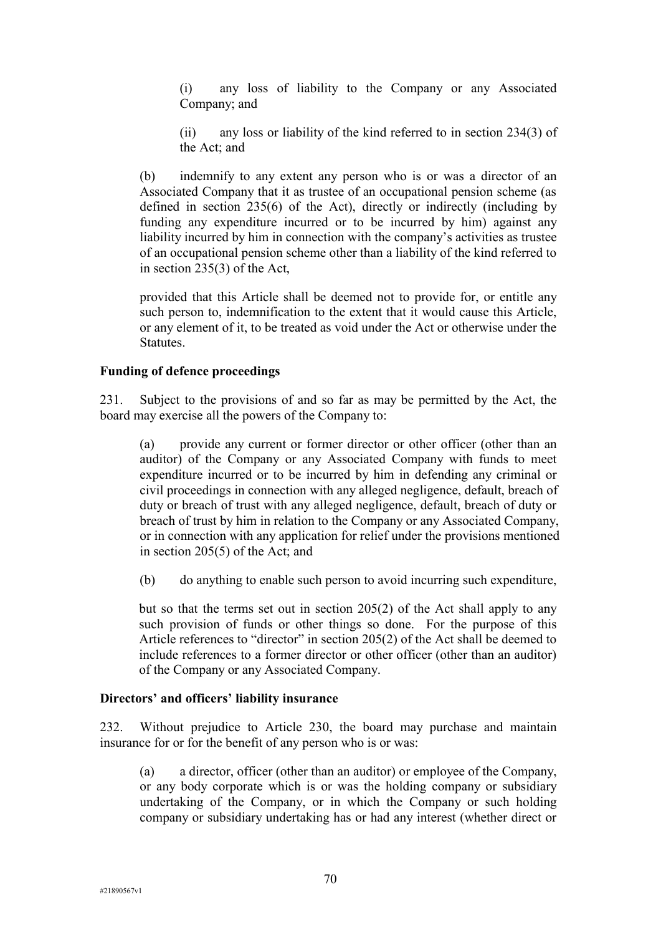(i) any loss of liability to the Company or any Associated Company; and

(ii) any loss or liability of the kind referred to in section 234(3) of the Act; and

(b) indemnify to any extent any person who is or was a director of an Associated Company that it as trustee of an occupational pension scheme (as defined in section 235(6) of the Act), directly or indirectly (including by funding any expenditure incurred or to be incurred by him) against any liability incurred by him in connection with the company's activities as trustee of an occupational pension scheme other than a liability of the kind referred to in section 235(3) of the Act,

provided that this Article shall be deemed not to provide for, or entitle any such person to, indemnification to the extent that it would cause this Article, or any element of it, to be treated as void under the Act or otherwise under the Statutes.

#### **Funding of defence proceedings**

231. Subject to the provisions of and so far as may be permitted by the Act, the board may exercise all the powers of the Company to:

(a) provide any current or former director or other officer (other than an auditor) of the Company or any Associated Company with funds to meet expenditure incurred or to be incurred by him in defending any criminal or civil proceedings in connection with any alleged negligence, default, breach of duty or breach of trust with any alleged negligence, default, breach of duty or breach of trust by him in relation to the Company or any Associated Company, or in connection with any application for relief under the provisions mentioned in section 205(5) of the Act; and

(b) do anything to enable such person to avoid incurring such expenditure,

but so that the terms set out in section 205(2) of the Act shall apply to any such provision of funds or other things so done. For the purpose of this Article references to "director" in section 205(2) of the Act shall be deemed to include references to a former director or other officer (other than an auditor) of the Company or any Associated Company.

#### **Directors' and officers' liability insurance**

232. Without prejudice to Article 230, the board may purchase and maintain insurance for or for the benefit of any person who is or was:

(a) a director, officer (other than an auditor) or employee of the Company, or any body corporate which is or was the holding company or subsidiary undertaking of the Company, or in which the Company or such holding company or subsidiary undertaking has or had any interest (whether direct or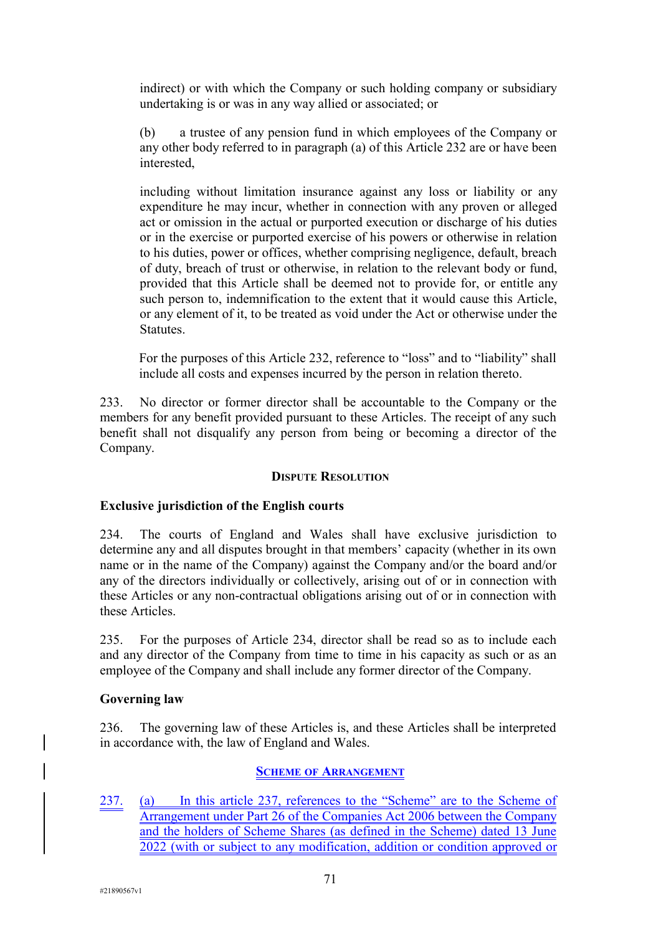indirect) or with which the Company or such holding company or subsidiary undertaking is or was in any way allied or associated; or

(b) a trustee of any pension fund in which employees of the Company or any other body referred to in paragraph (a) of this Article 232 are or have been interested,

including without limitation insurance against any loss or liability or any expenditure he may incur, whether in connection with any proven or alleged act or omission in the actual or purported execution or discharge of his duties or in the exercise or purported exercise of his powers or otherwise in relation to his duties, power or offices, whether comprising negligence, default, breach of duty, breach of trust or otherwise, in relation to the relevant body or fund, provided that this Article shall be deemed not to provide for, or entitle any such person to, indemnification to the extent that it would cause this Article, or any element of it, to be treated as void under the Act or otherwise under the Statutes.

For the purposes of this Article 232, reference to "loss" and to "liability" shall include all costs and expenses incurred by the person in relation thereto.

233. No director or former director shall be accountable to the Company or the members for any benefit provided pursuant to these Articles. The receipt of any such benefit shall not disqualify any person from being or becoming a director of the Company.

## **DISPUTE RESOLUTION**

# **Exclusive jurisdiction of the English courts**

234. The courts of England and Wales shall have exclusive jurisdiction to determine any and all disputes brought in that members' capacity (whether in its own name or in the name of the Company) against the Company and/or the board and/or any of the directors individually or collectively, arising out of or in connection with these Articles or any non-contractual obligations arising out of or in connection with these Articles.

235. For the purposes of Article 234, director shall be read so as to include each and any director of the Company from time to time in his capacity as such or as an employee of the Company and shall include any former director of the Company.

## **Governing law**

236. The governing law of these Articles is, and these Articles shall be interpreted in accordance with, the law of England and Wales.

# **SCHEME OF ARRANGEMENT**

237. (a) In this article 237, references to the "Scheme" are to the Scheme of Arrangement under Part 26 of the Companies Act 2006 between the Company and the holders of Scheme Shares (as defined in the Scheme) dated 13 June 2022 (with or subject to any modification, addition or condition approved or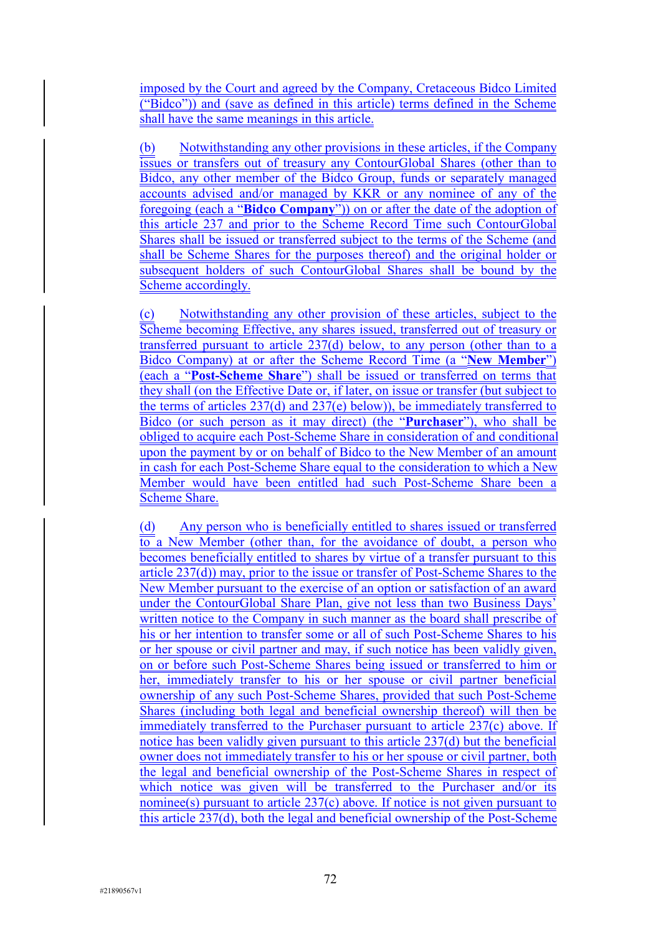imposed by the Court and agreed by the Company, Cretaceous Bidco Limited ("Bidco")) and (save as defined in this article) terms defined in the Scheme shall have the same meanings in this article.

(b) Notwithstanding any other provisions in these articles, if the Company issues or transfers out of treasury any ContourGlobal Shares (other than to Bidco, any other member of the Bidco Group, funds or separately managed accounts advised and/or managed by KKR or any nominee of any of the foregoing (each a "**Bidco Company**")) on or after the date of the adoption of this article 237 and prior to the Scheme Record Time such ContourGlobal Shares shall be issued or transferred subject to the terms of the Scheme (and shall be Scheme Shares for the purposes thereof) and the original holder or subsequent holders of such ContourGlobal Shares shall be bound by the Scheme accordingly.

(c) Notwithstanding any other provision of these articles, subject to the Scheme becoming Effective, any shares issued, transferred out of treasury or transferred pursuant to article 237(d) below, to any person (other than to a Bidco Company) at or after the Scheme Record Time (a "**New Member**") (each a "**Post-Scheme Share**") shall be issued or transferred on terms that they shall (on the Effective Date or, if later, on issue or transfer (but subject to the terms of articles 237(d) and 237(e) below)), be immediately transferred to Bidco (or such person as it may direct) (the "**Purchaser**"), who shall be obliged to acquire each Post-Scheme Share in consideration of and conditional upon the payment by or on behalf of Bidco to the New Member of an amount in cash for each Post-Scheme Share equal to the consideration to which a New Member would have been entitled had such Post-Scheme Share been a Scheme Share.

(d) Any person who is beneficially entitled to shares issued or transferred  $\overline{to}$  a New Member (other than, for the avoidance of doubt, a person who becomes beneficially entitled to shares by virtue of a transfer pursuant to this article 237(d)) may, prior to the issue or transfer of Post-Scheme Shares to the New Member pursuant to the exercise of an option or satisfaction of an award under the ContourGlobal Share Plan, give not less than two Business Days' written notice to the Company in such manner as the board shall prescribe of his or her intention to transfer some or all of such Post-Scheme Shares to his or her spouse or civil partner and may, if such notice has been validly given, on or before such Post-Scheme Shares being issued or transferred to him or her, immediately transfer to his or her spouse or civil partner beneficial ownership of any such Post-Scheme Shares, provided that such Post-Scheme Shares (including both legal and beneficial ownership thereof) will then be immediately transferred to the Purchaser pursuant to article 237(c) above. If notice has been validly given pursuant to this article 237(d) but the beneficial owner does not immediately transfer to his or her spouse or civil partner, both the legal and beneficial ownership of the Post-Scheme Shares in respect of which notice was given will be transferred to the Purchaser and/or its nominee(s) pursuant to article  $237(c)$  above. If notice is not given pursuant to this article 237(d), both the legal and beneficial ownership of the Post-Scheme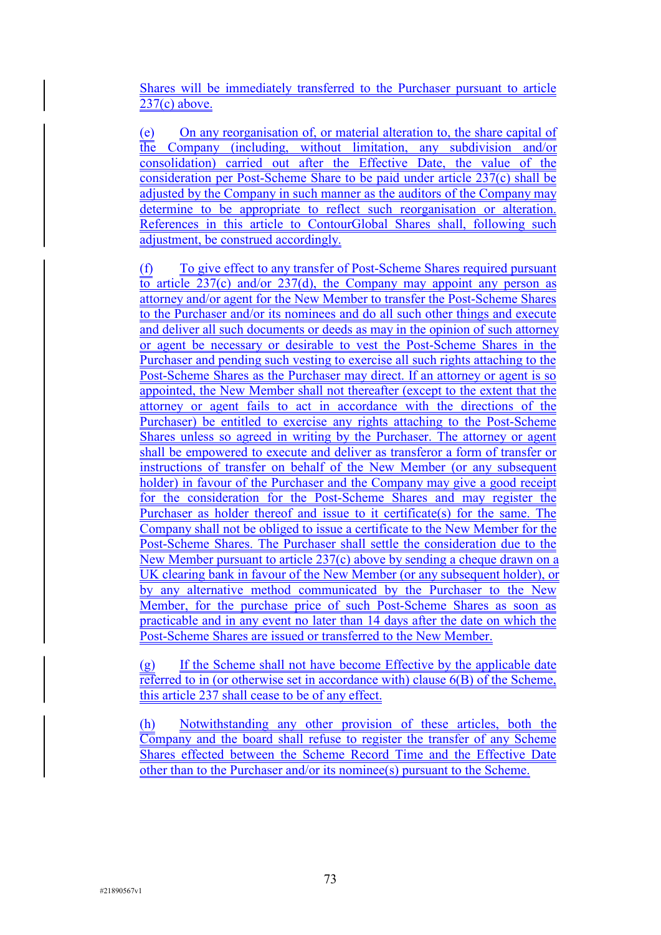Shares will be immediately transferred to the Purchaser pursuant to article 237(c) above.

(e) On any reorganisation of, or material alteration to, the share capital of the Company (including, without limitation, any subdivision and/or consolidation) carried out after the Effective Date, the value of the consideration per Post-Scheme Share to be paid under article 237(c) shall be adjusted by the Company in such manner as the auditors of the Company may determine to be appropriate to reflect such reorganisation or alteration. References in this article to ContourGlobal Shares shall, following such adjustment, be construed accordingly.

(f) To give effect to any transfer of Post-Scheme Shares required pursuant to article 237(c) and/or 237(d), the Company may appoint any person as attorney and/or agent for the New Member to transfer the Post-Scheme Shares to the Purchaser and/or its nominees and do all such other things and execute and deliver all such documents or deeds as may in the opinion of such attorney or agent be necessary or desirable to vest the Post-Scheme Shares in the Purchaser and pending such vesting to exercise all such rights attaching to the Post-Scheme Shares as the Purchaser may direct. If an attorney or agent is so appointed, the New Member shall not thereafter (except to the extent that the attorney or agent fails to act in accordance with the directions of the Purchaser) be entitled to exercise any rights attaching to the Post-Scheme Shares unless so agreed in writing by the Purchaser. The attorney or agent shall be empowered to execute and deliver as transferor a form of transfer or instructions of transfer on behalf of the New Member (or any subsequent holder) in favour of the Purchaser and the Company may give a good receipt for the consideration for the Post-Scheme Shares and may register the Purchaser as holder thereof and issue to it certificate(s) for the same. The Company shall not be obliged to issue a certificate to the New Member for the Post-Scheme Shares. The Purchaser shall settle the consideration due to the New Member pursuant to article 237(c) above by sending a cheque drawn on a UK clearing bank in favour of the New Member (or any subsequent holder), or by any alternative method communicated by the Purchaser to the New Member, for the purchase price of such Post-Scheme Shares as soon as practicable and in any event no later than 14 days after the date on which the Post-Scheme Shares are issued or transferred to the New Member.

(g) If the Scheme shall not have become Effective by the applicable date referred to in (or otherwise set in accordance with) clause 6(B) of the Scheme, this article 237 shall cease to be of any effect.

(h) Notwithstanding any other provision of these articles, both the Company and the board shall refuse to register the transfer of any Scheme Shares effected between the Scheme Record Time and the Effective Date other than to the Purchaser and/or its nominee(s) pursuant to the Scheme.